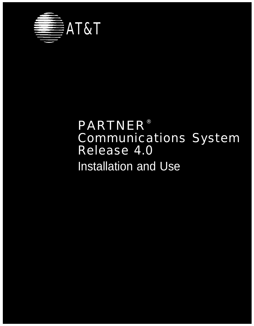

## PARTNER® Communications System Release 4.0 Installation and Use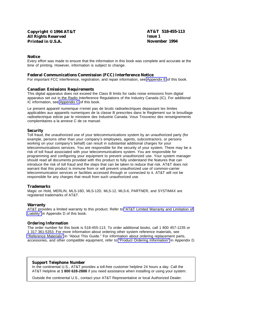#### **Notice**

Every effort was made to ensure that the information in this book was complete and accurate at the time of printing. However, information is subject to change.

#### **Federal Communications Commission (FCC) Interference Notice**

For important FCC interference, registration, and repair information, see [Appendix E](#page-127-0) of this book.

#### **Canadian Emissions Requirements**

This digital apparatus does not exceed the Class B limits for radio noise emissions from digital apparatus set out in the Radio Interference Regulations of the Industry Canada (IC). For additional IC information, see [Appendix C](#page-104-0) of this book.

Le present appareil numerique n'emet pas de bruits radioelectriques depassant les limites applicables aux appareils numeriques de la classe B prescrites dans le Reglement sur le brouillage radioelectrique edicte par le ministere des Industrie Canada. Vous Trouverez des renseignements complemitaires a la annexe C de ce manuel.

#### **Security**

Toll fraud, the unauthorized use of your telecommunications system by an unauthorized party (for example, persons other than your company's employees, agents, subcontractors, or persons working on your company's behalf) can result in substantial additional charges for your telecommunications services. You are responsible for the security of your system. There may be a risk of toll fraud associated with your telecommunications system. You are responsible for programming and configuring your equipment to prevent unauthorized use. Your system manager should read all documents provided with this product to fully understand the features that can introduce the risk of toll fraud and the steps that can be taken to reduce that risk. AT&T does not warrant that this product is immune from or will prevent unauthorized use of common-carrier telecommunication services or facilities accessed through or connected to it. AT&T will not be responsible for any charges that result from such unauthorized use.

#### **Trademarks**

Magic on Hold, MERLIN, MLS-18D, MLS-12D, MLS-12, MLS-6, PARTNER, and SYSTIMAX are registered trademarks of AT&T.

#### **Warranty**

AT&T provides a limited warranty to this product. Refer to ["AT&T Limited Warranty and Limitation of](#page-123-0) [Liability"](#page-123-0) in Appendix D of this book.

#### **Ordering Information**

The order number for this book is 518-455-113. To order additional books, call 1 800 457-1235 or 1 317 361-5353. For more information about ordering other system reference materials, see ["Reference Materials"](#page-5-0) in "About This Guide." For information about ordering replacement parts, accessories, and other compatible equipment, refer to ["Product Ordering Information"](#page-125-0) in Appendix D.

#### **Support Telephone Number**

In the continental U.S., AT&T provides a toll-free customer helpline 24 hours a day. Call the AT&T Helpline at **1 800 628-2888** if you need assistance when installing or using your system.

Outside the continental U.S., contact your AT&T Representative or local Authorized Dealer.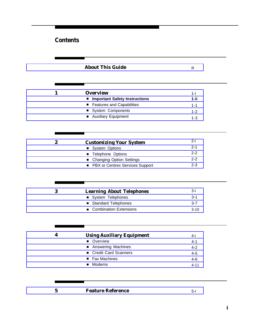## <span id="page-2-0"></span>**Contents**

|                  | <b>About This Guide</b>                         | iij      |
|------------------|-------------------------------------------------|----------|
|                  |                                                 |          |
| 1                | <b>Overview</b>                                 | 1-i      |
|                  | ■ Important Safety Instructions                 | 1-ii     |
|                  | Features and Capabilities                       | $1 - 1$  |
|                  | System Components                               | $1 - 2$  |
|                  | Auxiliary Equipment                             | $1 - 3$  |
|                  |                                                 |          |
| $\boldsymbol{2}$ | <b>Customizing Your System</b>                  | 2-i      |
|                  | System Options                                  | $2 - 1$  |
|                  | <b>Telephone Options</b>                        | $2 - 2$  |
|                  | ■ Changing Option Settings                      | $2 - 2$  |
|                  | ■ PBX or Centrex Services Support               | $2 - 3$  |
|                  |                                                 |          |
| 3                | <b>Learning About Telephones</b>                | 3-i      |
|                  | System Telephones                               | $3 - 1$  |
|                  | <b>Standard Telephones</b><br>٠                 | $3 - 7$  |
|                  | <b>Combination Extensions</b><br>$\blacksquare$ | $3 - 10$ |
|                  |                                                 |          |
| 4                | <b>Using Auxiliary Equipment</b>                | 4-i      |
|                  | Overview                                        | $4 - 1$  |
|                  | <b>Answering Machines</b><br>п                  | $4 - 2$  |
|                  | Credit Card Scanners                            | $4 - 5$  |
|                  | <b>Fax Machines</b><br>п                        | $4-6$    |
|                  | Modems<br>п                                     | $4 - 11$ |
|                  |                                                 |          |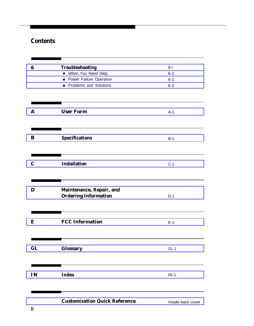## **Contents**

| 6           | <b>Troubleshooting</b><br>When You Need Help<br>Power Failure Operation<br>Problems and Solutions | $6 - i$<br>$6 - 1$<br>$6 - 1$<br>$6 - 2$ |
|-------------|---------------------------------------------------------------------------------------------------|------------------------------------------|
| A           | <b>User Form</b>                                                                                  | $A-1$                                    |
| ${\bf B}$   | <b>Specifications</b>                                                                             | $B-1$                                    |
| $\mathbf C$ | <b>Installation</b>                                                                               | $C-1$                                    |
| D           | Maintenance, Repair, and<br><b>Ordering Information</b>                                           | $D-1$                                    |
| E           | <b>FCC Information</b>                                                                            | $E-1$                                    |
| GL          | <b>Glossary</b>                                                                                   | $GL-1$                                   |
| IN          | <b>Index</b>                                                                                      | $IN-1$                                   |
|             |                                                                                                   |                                          |

### **[Customization Quick Reference](#page-137-0)** Inside back cover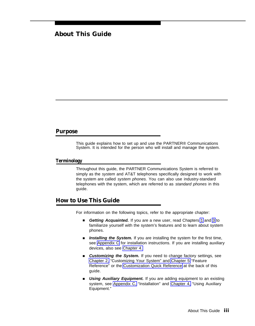### <span id="page-4-0"></span>**About This Guide**

#### **Purpose**

This guide explains how to set up and use the PARTNER® Communications System. It is intended for the person who will install and manage the system.

#### **Terminology**

Throughout this guide, the PARTNER Communications System is referred to simply as the *system* and AT&T telephones specifically designed to work with the system are called system phones. You can also use industry-standard telephones with the system, which are referred to as standard phones in this guide.

#### **How to Use This Guide**

For information on the following topics, refer to the appropriate chapter:

- Getting Acquainted. If you are a new user, read Chapters [1](#page-7-0) and [3](#page-18-1) to familiarize yourself with the system's features and to learn about system phones.
- Installing the System. If you are installing the system for the first time, see [Appendix C](#page-104-2) for installation instructions. If you are installing auxiliary devices, also see [Chapter 4.](#page-29-1)
- Customizing the System. If you need to change factory settings, see [Chapter 2,](#page-14-1) "Customizing Your System" and [Chapter 5](#page-42-1) "Feature Reference" or the [Customization Quick Reference](#page-137-0) at the back of this guide.
- **Using Auxiliary Equipment.** If you are adding equipment to an existing system, see [Appendix C,](#page-104-2) "Installation" and [Chapter 4,](#page-29-1) "Using Auxiliary Equipment."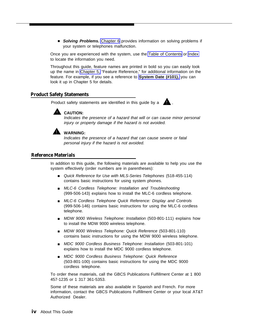■ **Solving Problems.** [Chapter 6](#page-89-1) provides information on solving problems if your system or telephones malfunction.

Once you are experienced with the system, use the [Table of Contents](#page-2-0) or [Index](#page-133-0) to locate the information you need.

Throughout this guide, feature names are printed in bold so you can easily look up the name in [Chapter 5,](#page-42-1) "Feature Reference," for additional information on the feature. For example, if you see a reference to **[System Date \(#101\),](#page-80-0)** you can look it up in Chapter 5 for details.

#### **Product Safety Statements**

Product safety statements are identified in this guide by a



Indicates the presence of a hazard that will or can cause minor personal injury or property damage if the hazard is not avoided.



#### **WARNING:**

Indicates the presence of a hazard that can cause severe or fatal personal injury if the hazard is not avoided.

#### <span id="page-5-0"></span>**Reference Materials**

In addition to this guide, the following materials are available to help you use the system effectively (order numbers are in parentheses):

- Quick Reference for Use with MLS-Series Telephones (518-455-114) contains basic instructions for using system phones.
- MLC-6 Cordless Telephone: Installation and Troubleshooting (999-506-143) explains how to install the MLC-6 cordless telephone.
- MLC-6 Cordless Telephone Quick Reference: Display and Controls (999-506-146) contains basic instructions for using the MLC-6 cordless telephone.
- MDW 9000 Wireless Telephone: Installation (503-801-111) explains how to install the MDW 9000 wireless telephone.
- MDW 9000 Wireless Telephone: Quick Reference (503-801-110) contains basic instructions for using the MDW 9000 wireless telephone.
- MDC 9000 Cordless Business Telephone: Installation (503-801-101) explains how to install the MDC 9000 cordless telephone.
- MDC 9000 Cordless Business Telephone: Quick Reference (503-801-100) contains basic instructions for using the MDC 9000 cordless telephone.

To order these materials, call the GBCS Publications Fulfillment Center at 1 800 457-1235 or 1 317 361-5353.

Some of these materials are also available in Spanish and French. For more information, contact the GBCS Publications Fulfillment Center or your local AT&T Authorized Dealer.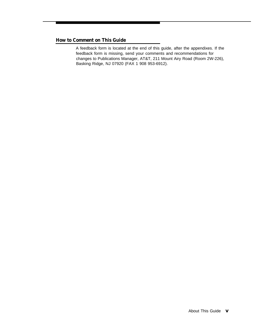#### **How to Comment on This Guide**

A feedback form is located at the end of this guide, after the appendixes. If the feedback form is missing, send your comments and recommendations for changes to Publications Manager, AT&T, 211 Mount Airy Road (Room 2W-226), Basking Ridge, NJ 07920 (FAX 1 908 953-6912).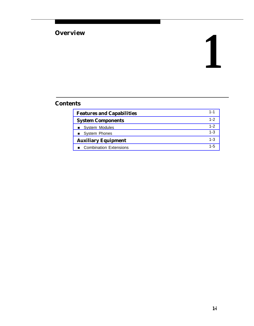# <span id="page-7-0"></span>**Overview 1**

### **Contents**

| <b>Features and Capabilities</b> | $1 - 1$ |
|----------------------------------|---------|
| <b>System Components</b>         | $1 - 2$ |
| ■ System Modules                 | $1 - 2$ |
| ■ System Phones                  | $1 - 3$ |
| <b>Auxiliary Equipment</b>       | $1 - 3$ |
| <b>Combination Extensions</b>    | $1 - 5$ |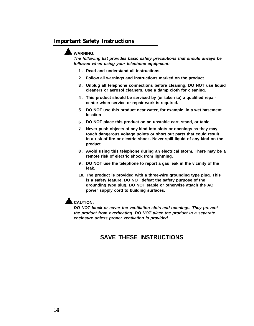#### <span id="page-8-0"></span>**Important Safety Instructions**

#### **WARNING:**

**The following list provides basic safety precautions that should always be followed when using your telephone equipment:**

- **1. Read and understand all instructions.**
- **2. Follow all warnings and instructions marked on the product.**
- **3. Unplug all telephone connections before cleaning. DO NOT use liquid cleaners or aerosol cleaners. Use a damp cloth for cleaning.**
- **4. This product should be serviced by (or taken to) a qualified repair center when service or repair work is required.**
- **5. DO NOT use this product near water, for example, in a wet basement location**
- **6. DO NOT place this product on an unstable cart, stand, or table.**
- **7. Never push objects of any kind into slots or openings as they may touch dangerous voltage points or short out parts that could result in a risk of fire or electric shock. Never spill liquid of any kind on the product.**
- **8. Avoid using this telephone during an electrical storm. There may be a remote risk of electric shock from lightning.**
- **9. DO NOT use the telephone to report a gas leak in the vicinity of the leak.**
- **10. The product is provided with a three-wire grounding type plug. This is a safety feature. DO NOT defeat the safety purpose of the grounding type plug. DO NOT staple or otherwise attach the AC power supply cord to building surfaces.**



**DO NOT block or cover the ventilation slots and openings. They prevent the product from overheating. DO NOT place the product in a separate enclosure unless proper ventilation is provided.**

#### **SAVE THESE INSTRUCTIONS**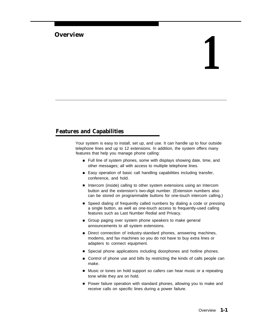#### <span id="page-9-0"></span>**Overview**

## **1**

#### <span id="page-9-2"></span><span id="page-9-1"></span>**Features and Capabilities**

Your system is easy to install, set up, and use. It can handle up to four outside telephone lines and up to 12 extensions. In addition, the system offers many features that help you manage phone calling:

- Full line of system phones, some with displays showing date, time, and other messages; all with access to multiple telephone lines.
- Easy operation of basic call handling capabilities including transfer, conference, and hold.
- Intercom (inside) calling to other system extensions using an Intercom button and the extension's two-digit number. (Extension numbers also can be stored on programmable buttons for one-touch intercom calling.)
- Speed dialing of frequently called numbers by dialing a code or pressing a single button, as well as one-touch access to frequently-used calling features such as Last Number Redial and Privacy.
- Group paging over system phone speakers to make general announcements to all system extensions.
- Direct connection of industry-standard phones, answering machines, modems, and fax machines so you do not have to buy extra lines or adapters to connect equipment.
- Special phone applications including doorphones and hotline phones.
- Control of phone use and bills by restricting the kinds of calls people can make.
- Music or tones on hold support so callers can hear music or a repeating tone while they are on hold.
- Power failure operation with standard phones, allowing you to make and receive calls on specific lines during a power failure.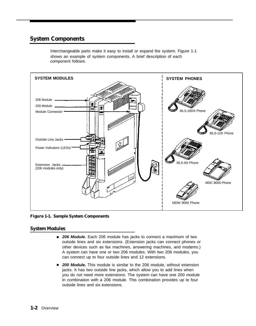#### <span id="page-10-2"></span><span id="page-10-0"></span>**System Components**

Interchangeable parts make it easy to install or expand the system. Figure 1-1 shows an example of system components. A brief description of each component follows.



<span id="page-10-1"></span>**Figure 1-1. Sample System Components**

#### **System Modules**

- 206 Module. Each 206 module has jacks to connect a maximum of two outside lines and six extensions. (Extension jacks can connect phones or other devices such as fax machines, answering machines, and modems.) A system can have one or two 206 modules. With two 206 modules, you can connect up to four outside lines and 12 extensions.
- 200 Module. This module is similar to the 206 module, without extension jacks. It has two outside line jacks, which allow you to add lines when you do not need more extensions. The system can have one 200 module in combination with a 206 module. This combination provides up to four outside lines and six extensions.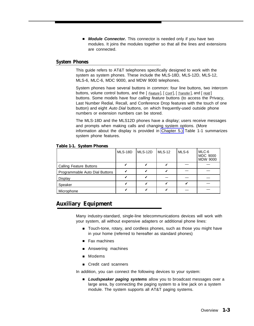■ **Module Connector.** This connector is needed only if you have two modules. It joins the modules together so that all the lines and extensions are connected.

#### <span id="page-11-2"></span>**System Phones**

This guide refers to AT&T telephones specifically designed to work with the system as system phones. These include the MLS-18D, MLS-12D, MLS-12, MLS-6, MLC-6, MDC 9000, and MDW 9000 telephones.

System phones have several buttons in common: four line buttons, two intercom buttons, volume control buttons, and the [ Feature], [ Conf], [ Transfer], and [ Hold] buttons. Some models have four calling feature buttons (to access the Privacy, Last Number Redial, Recall, and Conference Drop features with the touch of one button) and eight Auto Dial buttons, on which frequently-used outside phone numbers or extension numbers can be stored.

The MLS-18D and the MLS12D phones have a display; users receive messages and prompts when making calls and changi[ng system op](#page-42-2)tions. (More information about the display is provided in Chapter 5.) Table 1-1 summarizes system phone features.

<span id="page-11-1"></span><span id="page-11-0"></span>

|                                | MLS-18D | MLS-12D | $MLS-12$ | MLS-6 | MLC-6<br><b>MDC 9000</b><br><b>MDW 9000</b> |
|--------------------------------|---------|---------|----------|-------|---------------------------------------------|
| <b>Calling Feature Buttons</b> |         | v       |          |       |                                             |
| Programmable Auto Dial Buttons |         | v       |          |       |                                             |
| Display                        |         | V       |          |       |                                             |
| Speaker                        |         | ✔       |          |       |                                             |
| Microphone                     |         | v       |          |       |                                             |

#### **Table 1-1. System Phones**

#### **Auxiliary Equipment**

Many industry-standard, single-line telecommunications devices will work with your system, all without expensive adapters or additional phone lines:

- Touch-tone, rotary, and cordless phones, such as those you might have in your home (referred to hereafter as standard phones)
- Fax machines
- Answering machines
- Modems
- Credit card scanners

In addition, you can connect the following devices to your system:

■ Loudspeaker paging systems allow you to broadcast messages over a large area, by connecting the paging system to a line jack on a system module. The system supports all AT&T paging systems.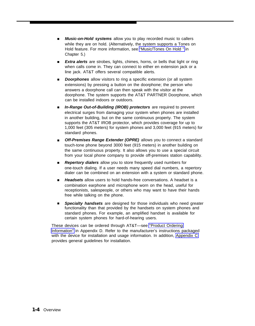- **Music-on-Hold systems** allow you to play recorded music to callers while they are on hold. (Alternatively, the system supports a Tones on Hold feature. For more information, see ["Music/Tones On Hold "](#page-70-0) in Chapter 5.) ■
- **Extra alerts** are strobes, lights, chimes, horns, or bells that light or ring when calls come in. They can connect to either en extension jack or a line jack. AT&T offers several compatible alerts. ■
- **Doorphones** allow visitors to ring a specific extension (or all system extensions) by pressing a button on the doorphone; the person who answers a doorphone call can then speak with the visitor at the doorphone. The system supports the AT&T PARTNER Doorphone, which can be installed indoors or outdoors. ■
- **In-Range Out-of-Building (IROB) protectors** are required to prevent electrical surges from damaging your system when phones are installed in another building, but on the same continuous property. The system supports the AT&T IROB protector, which provides coverage for up to 1,000 feet (305 meters) for system phones and 3,000 feet (915 meters) for standard phones. ■
- **Off-Premises Range Extender (OPRE)** allows you to connect a standard touch-tone phone beyond 3000 feet (915 meters) in another building on the same continuous property. It also allows you to use a special circuit from your local phone company to provide off-premises station capability. ■
- Repertory dialers allow you to store frequently used numbers for one-touch dialing. If a user needs many speed dial numbers, a repertory dialer can be combined on an extension with a system or standard phone.
- Headsets allow users to hold hands-free conversations. A headset is a combination earphone and microphone worn on the head, useful for receptionists, salespeople, or others who may want to have their hands free while talking on the phone.
- **Specialty handsets** are designed for those individuals who need greater functionality than that provided by the handsets on system phones and standard phones. For example, an amplified handset is available for certain system phones for hard-of-hearing users. ■

These devices can be ordered through AT&T—see ["Product Ordering](#page-125-1) [Information"](#page-125-1) in Appendix D. Refer to the manufacturer's instructions packaged with the device for installation and usage information. In addition, [Appendix C](#page-104-2) provides general guidelines for installation.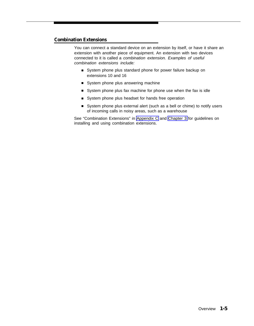#### <span id="page-13-0"></span>**Combination Extensions**

You can connect a standard device on an extension by itself, or have it share an extension with another piece of equipment. An extension with two devices connected to it is called a combination extension. Examples of useful combination extensions include:

- System phone plus standard phone for power failure backup on extensions 10 and 16
- System phone plus answering machine
- System phone plus fax machine for phone use when the fax is idle
- System phone plus headset for hands free operation
- System phone plus external alert (such as a bell or chime) to notify users of incoming calls in noisy areas, such as a warehouse

See "Combination Extensions" in [Appendix C](#page-109-0) and [Chapter 3](#page-28-1) for guidelines on installing and using combination extensions.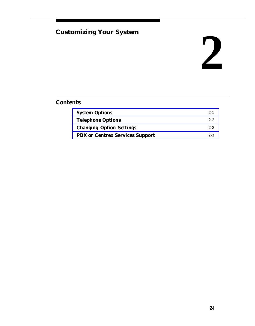## <span id="page-14-1"></span><span id="page-14-0"></span>**Customizing Your System**

## **2**

### **Contents**

| <b>System Options</b>                  | $2 - 1$ |
|----------------------------------------|---------|
| <b>Telephone Options</b>               | $2 - 2$ |
| <b>Changing Option Settings</b>        | $2 - 2$ |
| <b>PBX</b> or Centrex Services Support | $2 - 3$ |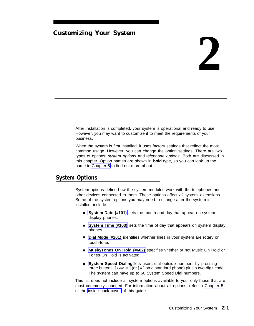#### **Customizing Your System**

## **2**

After installation is completed, your system is operational and ready to use. However, you may want to customize it to meet the requirements of your business.

When the system is first installed, it uses factory settings that reflect the most common usage. However, you can change the option settings. There are two types of options: system options and telephone options. Both are discussed in this cha[pter. Option](#page-42-2) names are shown in **bold** type, so you can look up the name in Chapter 5 to find out more about it.

#### <span id="page-15-1"></span><span id="page-15-0"></span>**System Options**

System options define how the system modules work with the telephones and other devices connected to them. These options affect all system extensions. Some of the system options you may need to change after the system is installed include:

- [System Date \(#101\)](#page-80-1) sets the month and day that appear on system [display phones.](#page-84-0)
- System Time (#103) sets the time of day that appears on system display [phones.](#page-55-0)
- Dial Mode (#201) identifies whether lines in your system are rotary or touch-tone.
- [Music/Tones On Hold \(#602\)](#page-70-1) specifies vhether or not Music On Hold or Tones On Hold is activated.
- [System Speed Dialing](#page-82-0) lets users dial outside numbers by pressing three buttons:  $[$  Feature ] (or  $[$   $\#$ ] on a standard phone) plus a two-digit code. The system can have up to 60 System Speed Dial numbers.

This list does not include all system options available to you, only th[ose that are](#page-42-2) most [commonly changed](#page-137-1). For information about all options, refer to Chapter 5 or the inside back cover of this guide.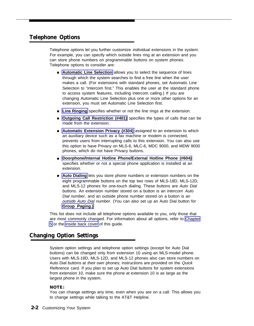#### <span id="page-16-2"></span><span id="page-16-0"></span>**Telephone Options**

Telephone options let you further customize individual extensions in the system. For example, you can specify which outside lines ring at an extension and you can store phone numbers on programmable buttons on system phones. Telep[hone options to consider are](#page-50-0):

- Automatic Line Selection allows you to select the sequence of lines through which the system searches to find a free line when the user makes a call. (For extensions with standard phones, set Automatic Line Selection to "intercom first." This enables the user at the standard phone to access system features, including intercom calling.) If you are changing Automatic Line Selection plus one or more other options for an [extension, you](#page-65-0) must set Automatic Line Selection first.
- Line Ringing [specifies whether or](#page-73-0) not the line rings at the extension.
- Outgoing Call Restriction (#401) specifies the types of calls that can be made from the extension.
- [Automatic Extension Privacy \(#304\)](#page-49-0) assigned to an extension to which an auxiliary device such as a fax machine or modem is connected, prevents users from interrupting calls to this extension. You can also use this option to have Privacy on MLS-6, MLC-6, MDC 9000, and MDW 9000 [phones, which do not have Privacy buttons.](#page-57-0)
- <span id="page-16-3"></span><span id="page-16-1"></span>■ Doorphone/Internal Hotline Phone/External Hotline Phone (#604) specifies whether or not a special phone application is installed at an [extension.](#page-47-0)
- Auto Dialing lets you store phone numbers or extension numbers on the eight programmable buttons on the top two rows of MLS-18D, MLS-12D, and MLS-12 phones for one-touch dialing. These buttons are Auto Dial buttons. An extension number stored on a button is an intercom Auto Dial number, and an outside phone number stored on a button is an [outside Auto Dial](#page-59-0) number. (You can also set up an Auto Dial button for **Group Paging.)**

This list does not include all telephone options available to you, only tho[se that](#page-42-2) [ar](#page-42-2)e mo[st commonly chang](#page-137-1)ed. For information about all options, refer to Chapter 5 or the inside back cover of this guide.

#### **Changing Option Settings**

System option settings and telephone option settings (except for Auto Dial buttons) can be changed only from extension 10 using an MLS-model phone. Users with MLS-18D, MLS-12D, and MLS-12 phones also can store numbers on Auto Dial buttons at their own phones; instructions are provided on the Quick Reference card. If you plan to set up Auto Dial buttons for system extensions from extension 10, make sure the phone at extension 10 is as large as the largest phone in the system.

#### **NOTE:**

You can change settings any time, even when you are on a call. This allows you to change settings while talking to the AT&T Helpline.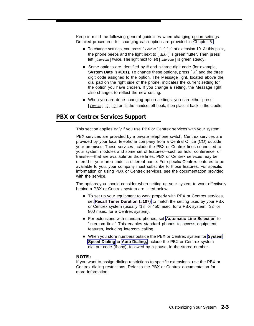Keep in mind the following general guidelines when changing option settings. Detailed procedures for changing each option are provided in [Chapter 5.](#page-42-3)

- To change settings, you press [ *Eeature* ] [ <u>0</u> ] [ 0 ] at extension 10. At this point, the phone beeps and the light next to  $[$   $_{Spkr}$ ] is green flutter. Then press left [ *Intercom* ] twice. The light next to left [ *Intercom* ] is green steady.
- Some options are identified by # and a three-digit code (for example, **System Date** is #101). To change these options, press [  $\#$  ] and the three digit code assigned to the option. The Message light, located above the dial pad on the right side of the phone, indicates the current setting for the option you have chosen. If you change a setting, the Message light also changes to reflect the new setting.
- When you are done changing option settings, you can either press [  $Feature$ ] [  $Q$ ] [  $Q$ ] or lift the handset off-hook, then place it back in the cradle.

#### <span id="page-17-1"></span><span id="page-17-0"></span>**PBX or Centrex Services Support**

This section applies only if you use PBX or Centrex services with your system.

PBX services are provided by a private telephone switch; Centrex services are provided by your local telephone company from a Central Office (CO) outside your premises. These services include the PBX or Centrex lines connected to your system modules and some set of features—such as hold, conference, or transfer—that are available on those lines. PBX or Centrex services may be offered in your area under a different name. For specific Centrex features to be available to you, your company must subscribe to those features. For specific information on using PBX or Centrex services, see the documentation provided with the service.

The options you should consider when setting up your system to work effectively behind a PBX or Centrex system are listed below.

- To set up your equipment to work properly with PBX or Centrex services, set **[Recall Timer Duration \(#107\)](#page-78-0)** to match the setting used by your PBX or Centrex system (usually "18" or 450 msec. for a PBX system; "32" or 800 msec. for a Centrex system).
- For extensions with standard phones, set [Automatic Line Selection](#page-50-1) to "intercom first." This enables standard phones to access equipment features, including intercom calling.
- When you store numbers outside the PBX or Centrex system for **[System](#page-82-1) [Speed Dialing](#page-82-1)** or **[Auto Dialing,](#page-47-1)** include the PBX or Centrex system dial-out code (if any), followed by a pause, in the stored number.

#### **NOTE:**

If you want to assign dialing restrictions to specific extensions, use the PBX or Centrex dialing restrictions. Refer to the PBX or Centrex documentation for more information.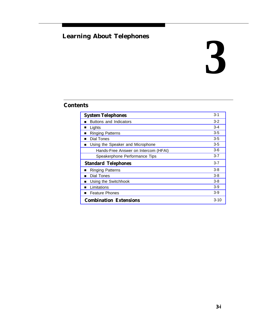## <span id="page-18-1"></span><span id="page-18-0"></span>**Learning About Telephones**

## **3**

## **Contents**

| <b>System Telephones</b>              |         |  |
|---------------------------------------|---------|--|
| Buttons and Indicators                | $3 - 2$ |  |
| Lights<br>п                           | $3 - 4$ |  |
| <b>Ringing Patterns</b>               | $3-5$   |  |
| Dial Tones<br>п                       | 3-5     |  |
| Using the Speaker and Microphone<br>ш | 3-5     |  |
| Hands-Free Answer on Intercom (HFAI)  | $3-6$   |  |
| Speakerphone Performance Tips         | $3 - 7$ |  |
| <b>Standard Telephones</b>            | $3 - 7$ |  |
| <b>Ringing Patterns</b>               | 3-8     |  |
| Dial Tones                            | $3 - 8$ |  |
| Using the Switchhook                  | $3 - 8$ |  |
| Limitations<br>п                      | 3-9     |  |
| <b>Feature Phones</b><br>п            | 3-9     |  |
| <b>Combination Extensions</b>         |         |  |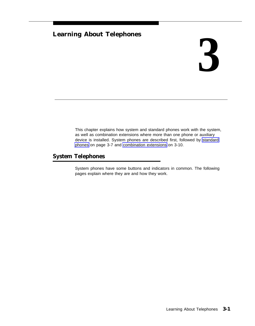## **Learning About Telephones**

## **3**

This chapter explains how system and standard phones work with the system, as well as combination extensions where more than one phone or auxiliary device is installed. System phones are described first, followed by [standard](#page-25-3) [phones](#page-25-3) on page 3-7 and [combination extensions](#page-28-3) on 3-10.

### <span id="page-19-1"></span><span id="page-19-0"></span>**System Telephones**

System phones have some buttons and indicators in common. The following pages explain where they are and how they work.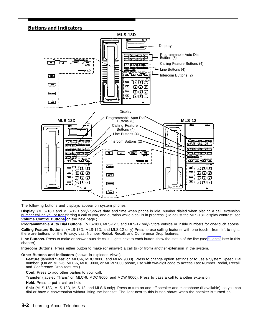#### <span id="page-20-0"></span>**Buttons and Indicators**



The following buttons and displays appear on system phones:

**Display.** (MLS-18D and MLS-12D only) Shows date and time when phone is idle, number dialed when placing a call, extension number calling you or transferring a call to you, and duration while a call is in progress. (To adjust the MLS-18D display contrast, see **[Volume Control Buttons](#page-21-0)** on the next page.)

**Programmmable Auto Dial Buttons.** (MLS-18D, MLS-12D, and MLS-12 only) Store outside or inside numbers for one-touch access.

**Calling Feature Buttons.** (MLS-18D, MLS-12D, and MLS-12 only) Press to use calling features with one touch—from left to right, there are buttons for the Privacy, Last Number Redial, Recall, and Conference Drop features.

**Line Buttons.** Press to make or answer outside calls. Lights next to each button show the status of the line (see ["Lights"](#page-22-1) later in this chapter).

**Intercom Buttons.** Press either button to make (or answer) a call to (or from) another extension in the system.

#### **Other Buttons and Indicators** (shown in exploded views)

**Feature** (labeled "Feat" on MLC-6, MDC 9000, and MDW 9000). Press to change option settings or to use a System Speed Dial number. (On an MLS-6, MLC-6, MDC 9000, or MDW 9000 phone, use with two-digit code to access Last Number Redial, Recall, and Conference Drop features.)

**Conf.** Press to add other parties to your call.

**Transfer** (labeled "Trans" on MLC-6, MDC 9000, and MDW 9000). Press to pass a call to another extension.

**Hold.** Press to put a call on hold.

**Spkr** (MLS-18D, MLS-12D, MLS-12, and MLS-6 only). Press to turn on and off speaker and microphone (if available), so you can dial or have a conversation without lifting the handset. The light next to this button shows when the speaker is turned on.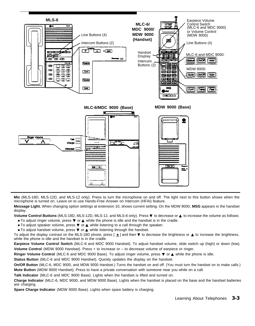

<span id="page-21-0"></span>**Mic** (MLS-18D, MLS-12D, and MLS-12 only). Press to turn the microphone on and off. The light next to this button shows when the microphone is turned on. Leave on to use Hands-Free Answer on Intercom (HFAI) feature.

**Message Light.** When changing option settings at extension 10, shows current setting. On the MDW 9000, **MSG** appears in the handset display.

**Volume Control Buttons** (MLS-18D, MLS-12D, MLS-12, and MLS-6 only). Press ▼ to decrease or ▲ to increase the volume as follows:

- To adjust ringer volume, press ▼ or ▲ while the phone is idle and the handset is in the cradle.
- To adjust speaker volume, press ▼ or ▲ while listening to a call through the speaker. ■ To adjust handset volume, press ▼ or ▲ while listening through the handset.

To adjust the display contrast on the MLS-18D phone, press  $[\star]$  and then  $\nabla$  to decrease the brightness or  $\blacktriangle$  to increase the brightness, while the phone is idle and the handset is in the cradle.

**Earpiece Volume Control Switch** (MLC-6 and MDC 9000 Handset). To adjust handset volume, slide switch up (high) or down (low). **Volume Control** (MDW 9000 Handset). Press + to increase or – to decrease volume of earpiece or ringer.

**Ringer Volume Control** (MLC-6 and MDC 9000 Base). To adjust ringer volume, press ▼ or ▲ while the phone is idle.

**Status Button** (MLC-6 and MDC 9000 Handset). Quickly updates the display on the handset.

**On/Off Button** (MLC-6, MDC 9000, and MDW 9000 Handset.) Turns the handset on and off. (You must turn the handset on to make calls.) **Mute Button** (MDW 9000 Handset). Press to have a private conversation with someone near you while on a call.

**Talk Indicator** (MLC-6 and MDC 9000 Base). Lights when the handset is lifted and turned on.

**Charge Indicator** (MLC-6, MDC 9000, and MDW 9000 Base). Lights when the handset is placed on the base and the handset batteries are charging.

**Spare Charge Indicator** (MDW 9000 Base). Lights when spare battery is charging.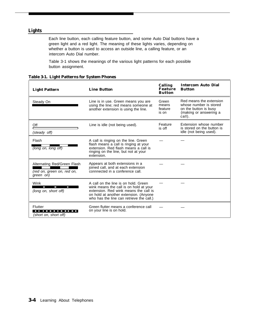#### <span id="page-22-2"></span><span id="page-22-1"></span><span id="page-22-0"></span>**Lights**

Each line button, each calling feature button, and some Auto Dial buttons have a green light and a red light. The meaning of these lights varies, depending on whether a button is used to access an outside line, a calling feature, or an intercom Auto Dial number.

Table 3-1 shows the meanings of the various light patterns for each possible button assignment.

| <b>Light Pattern</b>                                                   | <b>Line Button</b>                                                                                                                                                                                           | Calling<br><b>Feature</b><br><b>Button</b> | <b>Intercom Auto Dial</b><br><b>Button</b>                                                                     |
|------------------------------------------------------------------------|--------------------------------------------------------------------------------------------------------------------------------------------------------------------------------------------------------------|--------------------------------------------|----------------------------------------------------------------------------------------------------------------|
| Steady On                                                              | Line is in use. Green means you are<br>using the line; red means someone at<br>another extension is using the line.                                                                                          | Green<br>means<br>feature<br>is on         | Red means the extension<br>whose number is stored<br>on the button is busy<br>(making or answering a<br>call). |
| Off<br>(steady off)                                                    | Line is idle (not being used).                                                                                                                                                                               | Feature<br>is off                          | Extension whose number<br>is stored on the button is<br>idle (not being used).                                 |
| Flash<br>(long on, long off)                                           | A call is ringing on the line. Green<br>flash means a call is ringing at your<br>extension. Red flash means a call is<br>ringing on the line, but not at your<br>extension.                                  |                                            |                                                                                                                |
| Alternating Red/Green Flash<br>(red on, green on, red on,<br>green on) | Appears at both extensions in a<br>joined call, and at each extension<br>connnected in a conference call.                                                                                                    |                                            |                                                                                                                |
| Wink<br>I<br><b>The Second Second</b><br>(long on, short off)          | A call on the line is on hold. Green<br>wink means the call is on hold at your<br>extension. Red wink means the call is<br>on hold at another extension. (Anyone<br>who has the line can retrieve the call.) |                                            |                                                                                                                |
| Flutter<br>.<br>(short on, short off)                                  | Green flutter means a conference call<br>on your line is on hold.                                                                                                                                            |                                            |                                                                                                                |

**Table 3-1. Light Patterns for System Phones**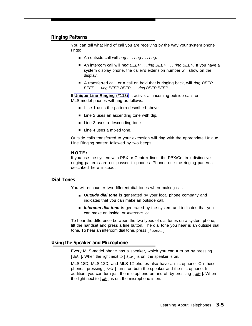#### <span id="page-23-1"></span>**Ringing Patterns**

You can tell what kind of call you are receiving by the way your system phone rings:

- An outside call will ring . . . ring . . . ring.
- An intercom call will *ring BEEP . . .ring BEEP . . . ring BEEP.* If you have a system display phone, the caller's extension number will show on the display.
- A transferred call, or a call on hold that is ringing back, will *ring BEEP* BEEP . . .ring BEEP BEEP . . . ring BEEP BEEP.

If **[Unique Line Ringing \(#118\)](#page-87-0)** is active, all incoming outside calls on MLS-model phones will ring as follows:

- Line 1 uses the pattern described above.
- Line 2 uses an ascending tone with dip.
- Line 3 uses a descending tone.
- Line 4 uses a mixed tone.

Outside calls transferred to your extension will ring with the appropriate Unique Line Ringing pattern followed by two beeps.

#### **NOTE:**

If you use the system with PBX or Centrex lines, the PBX/Centrex distinctive ringing patterns are not passed to phones. Phones use the ringing patterns described here instead.

#### <span id="page-23-0"></span>**Dial Tones**

You will encounter two different dial tones when making calls:

- **Outside dial tone** is generated by your local phone company and indicates that you can make an outside call.
- Intercom dial tone is generated by the system and indicates that you can make an inside, or intercom, call.

To hear the difference between the two types of dial tones on a system phone, lift the handset and press a line button. The dial tone you hear is an outside dial tone. To hear an intercom dial tone, press [ Intercom ].

#### **Using the Speaker and Microphone**

Every MLS-model phone has a speaker, which you can turn on by pressing  $\int$  Spkr ]. When the light next to  $\int$  Spkr ] is on, the speaker is on.

MLS-18D, MLS-12D, and MLS-12 phones also have a microphone. On these phones, pressing [  $S_{\text{pkr}}$  ] turns on both the speaker and the microphone. In addition, you can turn just the microphone on and off by pressing  $[$  Mic  $]$ . When the light next to  $\left[\right.$  Mic  $\right]$  is on, the microphone is on.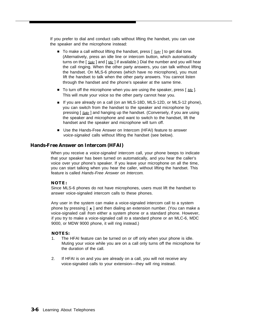If you prefer to dial and conduct calls without lifting the handset, you can use the speaker and the microphone instead:

- To make a call without lifting the handset, press [ S<sub>pkr</sub>] to get dial tone. (Alternatively, press an idle line or intercom button, which automatically turns on the  $\lceil S_{\text{pkr}} \rceil$  and  $\lceil M_{\text{ic}} \rceil$  if available.) Dial the number and you will hear the call ringing. When the other party answers, you can talk without lifting the handset. On MLS-6 phones (which have no microphone), you must lift the handset to talk when the other party answers. You cannot listen through the handset and the phone's speaker at the same time.
- To turn off the microphone when you are using the speaker, press [ Mic]. This will *mute* your voice so the other party cannot hear you.
- If you are already on a call (on an MLS-18D, MLS-12D, or MLS-12 phone), you can switch from the handset to the speaker and microphone by pressing [  $S_{\text{Dk}r}$  ] and hanging up the handset. (Conversely, if you are using the speaker and microphone and want to switch to the handset, lift the handset and the speaker and microphone will turn off.
- Use the Hands-Free Answer on Intercom (HFAI) feature to answer voice-signaled calls without lifting the handset (see below).

#### <span id="page-24-0"></span>**Hands-Free Answer on Intercom (HFAI)**

When you receive a *voice-signaled* intercom call, your phone beeps to indicate that your speaker has been turned on automatically, and you hear the caller's voice over your phone's speaker. If you leave your microphone on all the time, you can start talking when you hear the caller, without lifting the handset. This feature is called Hands-Free Answer on Intercom.

#### **NOTE:**

Since MLS-6 phones do not have microphones, users must lift the handset to answer voice-signaled intercom calls to these phones.

Any user in the system can make a voice-signaled intercom call to a system phone by pressing  $\mathsf{F} \star \mathsf{I}$  and then dialing an extension number. (You can make a voice-signaled call from either a system phone or a standard phone. However, if you try to make a voice-signaled call to a standard phone or an MLC-6, MDC 9000, or MDW 9000 phone, it will ring instead.)

#### **NOTES:**

- 1. The HFAI feature can be turned on or off only when your phone is idle. Muting your voice while you are on a call only turns off the microphone for the duration of the call.
- 2. If HFAI is on and you are already on a call, you will not receive any voice-signaled calls to your extension—they will ring instead.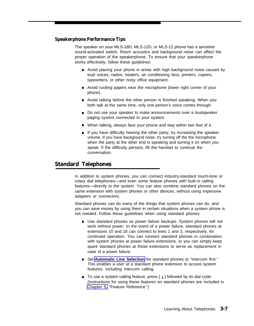#### <span id="page-25-2"></span>**Speakerphone Performance Tips**

The speaker on your MLS-18D, MLS-12D, or MLS-12 phone has a sensitive sound-activated switch. Room acoustics and background noise can affect the proper operation of the speakerphone. To ensure that your speakerphone works effectively, follow these guidelines:

- Avoid placing your phone in areas with high background noise caused by loud voices, radios, heaters, air conditioning fans, printers, copiers, typewriters, or other noisy office equipment.
- Avoid rustling papers near the microphone (lower right corner of your phone).
- Avoid talking before the other person is finished speaking. When you both talk at the same time, only one person's voice comes through.
- Do not use your speaker to make announcements over a loudspeaker paging system connected to your system.
- When talking, always face your phone and stay within two feet of it.
- If you have difficulty hearing the other party, try increasing the speaker volume. If you have background noise, try turning off the the microphone when the party at the other end is speaking and turning it on when you speak. If the difficulty persists, lift the handset to continue the conversation. ■

#### <span id="page-25-3"></span><span id="page-25-1"></span><span id="page-25-0"></span>**Standard Telephones**

In addition to system phones, you can connect industry-standard touch-tone or rotary dial telephones—and even some feature phones with built-in calling features—directly to the system. You can also combine standard phones on the same extension with system phones or other devices, without using expensive adapters or connectors.

Standard phones can do many of the things that system phones can do, and you can save money by using them in certain situations when a system phone is not needed. Follow these guidelines when using standard phones:

- Use standard phones as power failure backups. System phones will not work without power. In the event of a power failure, standard phones at extensions 10 and 16 can connect to lines 1 and 3, respectively, for continued operation. You can connect standard phones in combination with system phones at power failure extensions, or you can simply keep spare standard phones at those extensions to serve as replacement in case of a power failure.
- Set [Automatic Line Selection](#page-50-2) for standard phones to "intercom first." This enables a user at a standard phone extension to access system features, including intercom calling.
- To use a system calling feature, press  $[$   $#$ ] followed by its dial code. (Instructions for using these features on standard phones are included in [Chapter 5,](#page-42-4) "Feature Reference.")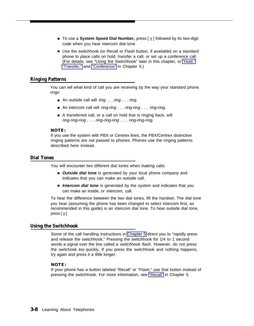- To use a System Speed Dial Number, press [ <u>#</u> ] followed by its two-digit code when you hear intercom dial tone
- Use the switchhook (or Recall or Flash button, if available) on a standard phone to place calls on hold, transfer a call, or set up a confere[nce call](#page-61-0). [\(For details](#page-85-0), se[e "Using the S](#page-52-0)witchhook" later in this chapter, or "Hold," "Transfer," and "Conference" in Chapter 5.)

#### <span id="page-26-2"></span>**Ringing Patterns**

You can tell what kind of call you are receiving by the way your standard phone rings:

- An outside call will *ring . . . ring . . . ring.*
- An intercom call will ring-ring . . . ring-ring . . . ring-ring.
- A transferred call, or a call on hold that is ringing back, will ring-ring-ring . . . ring-ring-ring . . . ring-ring-ring.

#### **NOTE:**

If you use the system with PBX or Centrex lines, the PBX/Centrex distinctive ringing patterns are not passed to phones. Phones use the ringing patterns described here instead.

#### <span id="page-26-1"></span><span id="page-26-0"></span>**Dial Tones**

You will encounter two different dial tones when making calls:

- **Outside dial tone** is generated by your local phone company and indicates that you can make an outside call.
- Intercom dial tone is generated by the system and indicates that you can make an inside, or intercom, call.

To hear the difference between the two dial tones, lift the handset. The dial tone you hear (assuming the phone has been changed to select intercom first, as recommended in this guide) is an intercom dial tone. To hear outside dial tone, press  $[9]$ .

#### **Using the Switchhook**

Some of the call handling instructions in [Chapter 5](#page-42-2) direct you to "rapidly press and release the switchhook." Pressing the switchhook for 1/4 to 1 second sends a signal over the line called a *switchhook flash*. However, do not press the switchook too quickly. If you press the switchhook and nothing happens, try again and press it a *little* longer.

#### **NOTE:**

If your phone has a button labeled "Recall" or "Flas[h," use th](#page-76-0)at button instead of pressing the switchhook. For more information, see "Recall" in Chapter 5.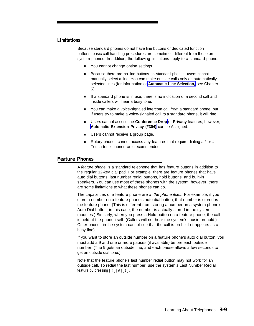#### <span id="page-27-1"></span>**Limitations**

Because standard phones do not have line buttons or dedicated function buttons, basic call handling procedures are sometimes different from those on system phones. In addition, the following limitations apply to a standard phone:

- You cannot change option settings.
- Because there are no line buttons on standard phones, users cannot manually select a line. You can make outside calls only on automatically selected lines (for information on **[Automatic Line Selection,](#page-50-3)** see Chapter 5).
- If a standard phone is in use, there is no indication of a second call and inside callers will hear a busy tone.
- You can make a voice-signaled intercom call from a standard phone, but if users try to make a voice-signaled call to a standard phone, it will ring.
- Users cannot access the **Conference Drop** or **Privacy** features; however, **[Automatic Extension Privacy \(#304\)](#page-49-1)** can be Assigned.
- Users cannot receive a group page.
- Rotary phones cannot access any features that require dialing a \* or #. Touch-tone phones are recommended.

#### <span id="page-27-0"></span>**Feature Phones**

A feature phone is a standard telephone that has feature buttons in addition to the regular 12-key dial pad. For example, there are feature phones that have auto dial buttons, last number redial buttons, hold buttons, and built-in speakers. You can use most of these phones with the system; however, there are some limitations to what these phones can do.

The capabilities of a feature phone are in the phone itself. For example, if you store a number on a feature phone's auto dial button, that number is stored in the feature phone. (This is different from storing a number on a system phone's Auto Dial button; in this case, the number is actually stored in the system modules.) Similarly, when you press a Hold button on a feature phone, the call is held at the phone itself. (Callers will not hear the system's music-on-hold.) Other phones in the system cannot see that the call is on hold (it appears as a busy line).

If you want to store an outside number on a feature phone's auto dial button, you must add a 9 and one or more pauses (if available) before each outside number. (The 9 gets an outside line, and each pause allows a few seconds to get an outside dial tone.)

Note that the feature phone's last number redial button may not work for an outside call. To redial the last number, use the system's Last Number Redial feature by pressing  $\left[\begin{array}{c} \# \\ \end{array}\right] \left[\begin{array}{c} 0 \\ \end{array}\right] \left[\begin{array}{c} 5 \end{array}\right]$ .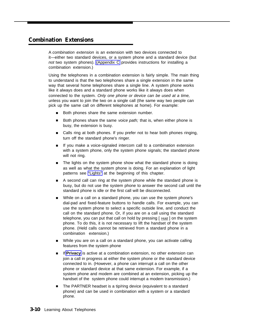#### <span id="page-28-3"></span><span id="page-28-2"></span><span id="page-28-1"></span><span id="page-28-0"></span>**Combination Extensions**

A combination extension is an extension with two devices connected to it—either two standard devices, or a system phone and a standard device (but not two system phones). [\(Appendix C](#page-104-3) provides instructions for installing a combination extension.)

Using the telephones in a combination extension is fairly simple. The main thing to understand is that the two telephones share a single extension in the same way that several home telephones share a single line. A system phone works like it always does and a standard phone works like it always does when connected to the system. Only one phone or device can be used at a time, unless you want to join the two on a single call (the same way two people can pick up the same call on different telephones at home). For example:

- Both phones share the same extension number. ■
- Both phones share the same voice path; that is, when either phone is busy, the extension is busy. ■
- Calls ring at both phones. If you prefer not to hear both phones ringing, turn off the standard phone's ringer.
- If you make a voice-signaled intercom call to a combination extension with a system phone, only the system phone signals; the standard phone will not ring. ■
- The lights on the system phone show what the standard phone is doing as well as what the system phone is doing. For an explanation of light patterns see ["Lights"](#page-22-2) at the beginning of this chapter. ■
- A second call can ring at the system phone while the standard phone is busy, but do not use the system phone to answer the second call until the standard phone is idle or the first call will be disconnected. ■
- While on a call on a standard phone, you can use the system phone's dial-pad and fixed-feature buttons to handle calls. For example, you can use the system phone to select a specific outside line, and conduct the call on the standard phone. Or, if you are on a call using the standard telephone, you can put that call on hold by pressing  $[$  Hold  $]$  on the system phone. To do this, it is not necessary to lift the handset of the system phone. (Held calls cannot be retrieved from a standard phone in a combination extension.) ■
- While you are on a call on a standard phone, you can activate calling features from the system phone ■
- If **[Privacy](#page-75-1)** is active at a combination extension, no other extension can join a call in progress at either the system phone or the standard device connected to in. (However, a phone can interrupt a call on the other phone or standard device at that same extension. For example, if a system phone and modem are combined at an extension, picking up the handset of the system phone could interrupt a modem transmission.) ■
- The PARTNER headset is a tip/ring device (equivalent to a standard phone) and can be used in combination with a system or a standard phone. ■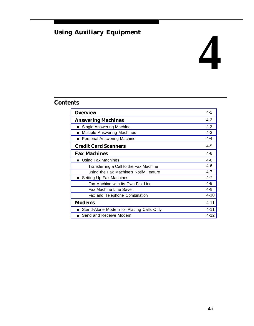## <span id="page-29-1"></span><span id="page-29-0"></span>**Using Auxiliary Equipment**

## **4**

## **Contents**

| <b>Overview</b>                          | 4-1      |
|------------------------------------------|----------|
| <b>Answering Machines</b>                | $4 - 2$  |
| Single Answering Machine<br>п            | $4 - 2$  |
| <b>Multiple Answering Machines</b>       | $4 - 3$  |
| Personal Answering Machine               | $4 - 4$  |
| <b>Credit Card Scanners</b>              | $4 - 5$  |
| <b>Fax Machines</b>                      | $4-6$    |
| Using Fax Machines                       | $4-6$    |
| Transferring a Call to the Fax Machine   | $4 - 6$  |
| Using the Fax Machine's Notify Feature   | $4 - 7$  |
| Setting Up Fax Machines                  | $4 - 7$  |
| Fax Machine with its Own Fax Line        | 4-8      |
| <b>Fax Machine Line Saver</b>            | 4-9      |
| Fax and Telephone Combination            | $4 - 10$ |
| <b>Modems</b>                            | $4 - 11$ |
| Stand-Alone Modem for Placing Calls Only | $4 - 11$ |
| Send and Receive Modem                   |          |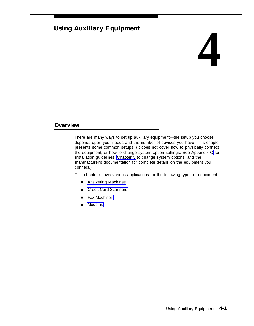### **Using Auxiliary Equipment**

## **4**

#### <span id="page-30-1"></span><span id="page-30-0"></span>**Overview**

There are many ways to set up auxiliary equipment—the setup you choose depends upon your needs and the number of devices you have. This chapter presents some common setups. (It does not cover how to physically connect the equipment, or how to change system option settings. See [Appendix C](#page-104-4) for installation guidelines, [Chapter 5](#page-42-5) to change system options, and the manufacturer's documentation for complete details on the equipment you connect.)

This chapter shows various applications for the following types of equipment:

- [Answering Machines](#page-31-3)
- [Credit Card Scanners](#page-34-2)
- [Fax Machines](#page-35-4)
- [Modems](#page-40-3)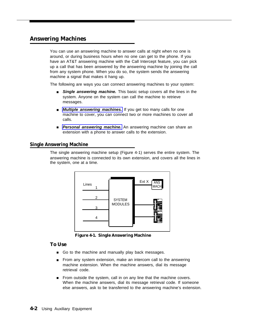#### <span id="page-31-3"></span><span id="page-31-1"></span><span id="page-31-0"></span>**Answering Machines**

You can use an answering machine to answer calls at night when no one is around, or during business hours when no one can get to the phone. If you have an AT&T answering machine with the Call Intercept feature, you can pick up a call that has been answered by the answering machine by joining the call from any system phone. When you do so, the system sends the answering machine a signal that makes it hang up.

The following are ways you can connect answering machines to your system:

- **Single answering machine.** This basic setup covers all the lines in the system. Anyone on the system can call the machine to retrieve messages.
- **[Multiple answering machines.](#page-32-1)** If you get too many calls for one machine to cover, you can connect two or more machines to cover all calls.
- **[Personal answering machine.](#page-33-1)** An answering machine can share an extension with a phone to answer calls to the extension.

#### <span id="page-31-2"></span>**Single Answering Machine**

The single answering machine setup (Figure 4-1) serves the entire system. The answering machine is connected to its own extension, and covers all the lines in the system, one at a time.



**Figure 4-1. Single Answering Machine**

#### **To Use**

- Go to the machine and manually play back messages.
- From any system extension, make an intercom call to the answering machine extension. When the machine answers, dial its message retrieval code.
- From outside the system, call in on any line that the machine covers. When the machine answers, dial its message retrieval code. If someone else answers, ask to be transferred to the answering machine's extension.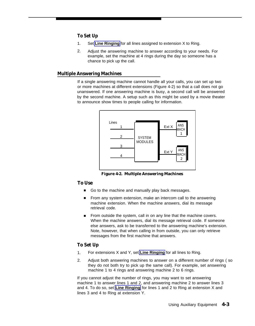#### **To Set Up**

- Set **[Line Ringing](#page-65-1)** for all lines assigned to extension X to Ring. 1.
- Adjust the answering machine to answer according to your needs. For example, set the machine at 4 rings during the day so someone has a chance to pick up the call.  $\mathcal{P}$

#### <span id="page-32-1"></span><span id="page-32-0"></span>**Multiple Answering Machines**

If a single answering machine cannot handle all your calls, you can set up two or more machines at different extensions (Figure 4-2) so that a call does not go unanswered. If one answering machine is busy, a second call will be answered by the second machine. A setup such as this might be used by a movie theater to announce show times to people calling for information.



**Figure 4-2. Multiple Answering Machines**

#### **To Use**

- Go to the machine and manually play back messages.
- From any system extension, make an intercom call to the answering machine extension. When the machine answers, dial its message retrieval code.
- From outside the system, call in on any line that the machine covers. When the machine answers, dial its message retrieval code. If someone else answers, ask to be transferred to the answering machine's extension. Note, however, that when calling in from outside, you can only retrieve messages from the first machine that answers.

#### **To Set Up**

- For extensions X and Y, set **[Line Ringing](#page-65-1)** for all lines to Ring. 1.
- Adjust both answering machines to answer on a different number of rings ( so they do not both try to pick up the same call). For example, set answering machine 1 to 4 rings and answering machine 2 to 6 rings. 2.

If you cannot adjust the number of rings, you may want to set answering machine 1 to answer lines 1 and 2, and answering machine 2 to answer lines 3 and 4. To do so, set **[Line Ringing](#page-65-2)** for lines 1 and 2 to Ring at extension X and lines 3 and 4 to Ring at extension Y.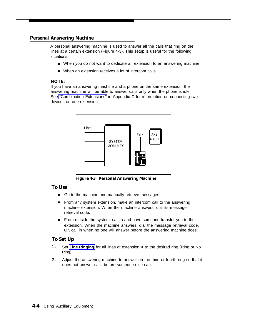#### <span id="page-33-1"></span><span id="page-33-0"></span>**Personal Answering Machine**

A personal answering machine is used to answer all the calls that ring on the lines at a certain extension (Figure 4-3). This setup is useful for the following situations:

- When you do not want to dedicate an extension to an answering machine
- When an extension receives a lot of intercom calls

#### **NOTE:**

If you have an answering machine and a phone on the same extension, the answering machine will be able to answer calls only when the phone is idle. See ["Combination Extensions"](#page-109-1) in Appendix C for information on connecting two devices on one extension.



**Figure 4-3. Personal Answering Machine**

#### **To Use**

- Go to the machine and manually retrieve messages.
- From any system extension, make an intercom call to the answering machine extension. When the machine answers, dial its message retrieval code.
- From outside the system, call in and have someone transfer you to the extension. When the machine answers, dial the message retrieval code. Or, call in when no one will answer before the answering machine does.

#### **To Set Up**

- 1. Set **[Line Ringing](#page-65-3)** for all lines at extension X to the desired ring (Ring or No Ring).
- 2. Adjust the answering machine to answer on the third or fourth ring so that it does not answer calls before someone else can.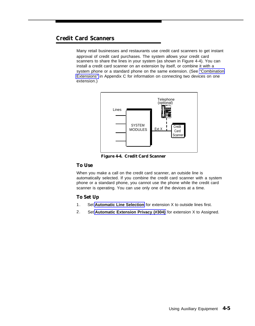#### <span id="page-34-2"></span><span id="page-34-1"></span><span id="page-34-0"></span>**Credit Card Scanners**

Many retail businesses and restaurants use credit card scanners to get instant approval of credit card purchases. The system allows your credit card scanners to share the lines in your system (as shown in Figure 4-4). You can install a credit card scanner on an extension by itself, or combine it with a system phone or a standard phone on the same extension. (See ["Combination](#page-109-2) [Extensions"](#page-109-2) in Appendix C for information on connecting two devices on one extension.)



**Figure 4-4. Credit Card Scanner**

#### **To Use**

When you make a call on the credit card scanner, an outside line is automatically selected. If you combine the credit card scanner with a system phone or a standard phone, you cannot use the phone while the credit card scanner is operating. You can use only one of the devices at a time.

#### **To Set Up**

- 1. Set **[Automatic Line Selection](#page-50-4)** for extension X to outside lines first.
- 2. Set **[Automatic Extension Privacy \(#304\)](#page-49-2)** for extension X to Assigned.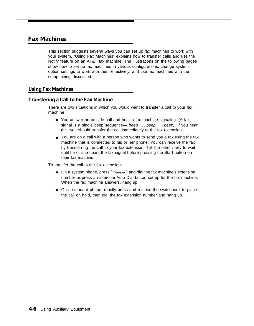#### <span id="page-35-4"></span><span id="page-35-1"></span><span id="page-35-0"></span>**Fax Machines**

This section suggests several ways you can set up fax machines to work with your system. "Using Fax Machines" explains how to transfer calls and use the Notify feature on an AT&T fax machine. The illustrations on the following pages show how to set up fax machines in various configurations, change system option settings to work with them effectively, and use fax machines with the setup being discussed.

#### <span id="page-35-2"></span>**Using Fax Machines**

#### <span id="page-35-3"></span>**Transfering a Call to the Fax Machine**

There are two situations in which you would want to transfer a call to your fax machine:

- You answer an outside call and hear a fax machine signaling. (A fax signal is a single beep sequence— beep . . . beep . . . beep). If you hear this, you should transfer the call immediately to the fax extension.
- You are on a call with a person who wants to send you a fax using the fax machine that is connected to his or her phone. You can receive the fax by transferring the call to your fax extension. Tell the other party to wait until he or she hears the fax signal before pressing the Start button on their fax machine.

To transfer the call to the fax extension:

- On a system phone, press [ *Transfer* ] and dial the fax machine's extension number or press an intercom Auto Dial button set up for the fax machine. When the fax machine answers, hang up.
- On a standard phone, rapidly press and release the switchhook to place the call on hold, then dial the fax extension number and hang up.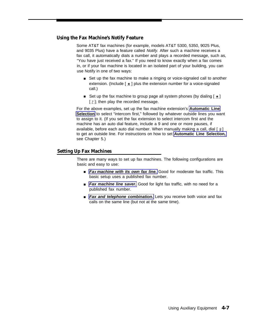# **Using the Fax Machine's Notify Feature**

Some AT&T fax machines (for example, models AT&T 5300, 5350, 9025 Plus, and 9035 Plus) have a feature called Notify. After such a machine receives a fax call, it automatically dials a number and plays a recorded message, such as, "You have just received a fax." If you need to know exactly when a fax comes in, or if your fax machine is located in an isolated part of your building, you can use Notify in one of two ways:

- Set up the fax machine to make a ringing or voice-signaled call to another extension. (Include  $[\pm]$  plus the extension number for a voice-signaled call.)
- Set up the fax machine to group page all system phones (by dialing  $[ \ \underline{\star} \ ]$ [  $7$  ]; then play the recorded message.

For the above examples, set up the fax machine extension's **[Automatic Line](#page-50-1) [Selection](#page-50-1)** to select "intercom first," followed by whatever outside lines you want to assign to it. (If you set the fax extension to select intercom first and the machine has an auto dial feature, include a 9 and one or more pauses, if available, before each auto dial number. When manually making a call, dial  $\lceil \frac{9}{2} \rceil$ to get an outside line. For instructions on how to set **[Automatic Line Selection,](#page-50-0)** see Chapter 5.)

# **Setting Up Fax Machines**

There are many ways to set up fax machines. The following configurations are basic and easy to use:

- **FaX [machine with its own fax line.](#page-37-0)** Good for moderate fax traffic. This basic setup uses a published fax number.
- [Fax machine line saver.](#page-38-0) Good for light fax traffic, with no need for a published fax number.
- [Fax and telephone combination.](#page-39-0) Lets you receive both voice and fax calls on the same line (but not at the same time).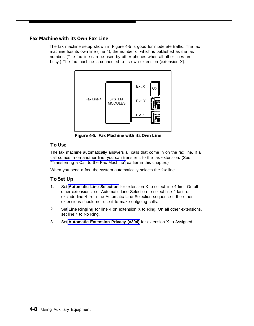# <span id="page-37-0"></span>**Fax Machine with its Own Fax Line**

The fax machine setup shown in Figure 4-5 is good for moderate traffic. The fax machine has its own line (line 4), the number of which is published as the fax number. (The fax line can be used by other phones when all other lines are busy.) The fax machine is connected to its own extension (extension X).



**Figure 4-5. Fax Machine with its Own Line**

# **To Use**

The fax machine automatically answers all calls that come in on the fax line. If a [call comes in on another line, you can tr](#page-35-0)ansfer it to the fax extension. (See "Transferring a Call to the Fax Machine" earlier in this chapter.)

When you send a fax, the system automatically selects the fax line.

- 1. Set **[Automatic Line Selection](#page-50-2)** for extension X to select line 4 first. On all other extensions, set Automatic Line Selection to select line 4 last, or exclude line 4 from the Automatic Line Selection sequence if the other ext[ensions should](#page-65-0) not use it to make outgoing calls.
- 2. Set **Line Ringing** for line 4 on extension X to Ring. On all other extensions, set line 4 to No Ring.
- 3. Set **[Automatic Extension Privacy \(#304\)](#page-49-0)** for extension X to Assigned.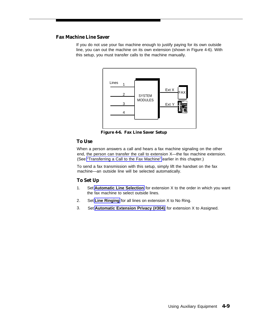# <span id="page-38-0"></span>**Fax Machine Line Saver**

If you do not use your fax machine enough to justify paying for its own outside line, you can out the machine on its own extension (shown in Figure 4-6). With this setup, you must transfer calls to the machine manually.



**Figure 4-6. Fax Line Saver Setup**

# **To Use**

When a person answers a call and hears a fax machine signaling on the other end, the person can transfer the call to extension X—the fax machine extension. (See ["Transferring a Call to the Fax Machine"](#page-35-1) earlier in this chapter.)

To send a fax transmission with this setup, simply lift the handset on the fax machine—an outside line will be selected automatically.

- 1. Set **[Automatic Line Selection](#page-50-3)** for extension X to the order in which you want the fax machine to select outside lines.
- 2. Set **[Line Ringing](#page-65-1)** for all lines on extension X to No Ring.
- 3. Set **[Automatic Extension Privacy \(#304\)](#page-49-1)** for extension X to Assigned.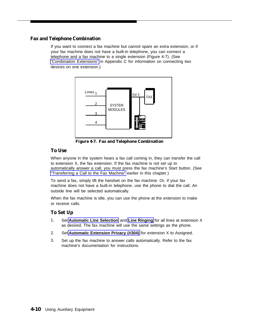# <span id="page-39-0"></span>**Fax and Telephone Combination**

If you want to connect a fax machine but cannot spare an extra extension, or if your fax machine does not have a built-in telephone, you can connect a [telephone and a fax mach](#page-109-0)ine to a single extension (Figure 4-7). (See "Combination Extensions" in Appendix C for information on connecting two devices on one extension.)



**Figure 4-7. Fax and Telephone Combination**

# **To Use**

When anyone in the system hears a fax call coming in, they can transfer the call to extension X, the fax extension. If the fax machine is not set up to [automatically answer a call, you must pr](#page-35-0)ess the fax machine's Start button. (See "Transferring a Call to the Fax Machine" earlier in this chapter.)

To send a fax, simply lift the handset on the fax machine. Or, if your fax machine does not have a built-in telephone, use the phone to dial the call. An outside line will be selected automatically.

When the fax machine is idle, you can use the phone at the extension to make or receive calls.

- 1. Set **[Automatic Line Selection](#page-50-2)** and **[Line Ringing](#page-65-0)** for all lines at extension X as [desired. The fax machine will use the s](#page-49-0)ame settings as the phone.
- 2. Set **Automatic Extension Privacy (#304)** for extension X to Assigned.
- 3. Set up the fax machine to answer calls automatically. Refer to the fax machine's documentation for instructions.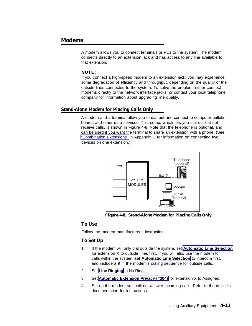# **Modems**

A modem allows you to connect terminals or PCs to the system. The modem connects directly to an extension jack and has access to any line available to that extension.

#### **NOTE:**

If you connect a high-speed modem to an extension jack, you may experience some degradation of efficiency and throughput, depending on the quality of the outside lines connected to the system. To solve the problem, either connect modems directly to the network interface jacks, or contact your local telephone company for information about upgrading line quality.

#### **Stand-Alone Modem for Placing Calls Only**

A modem and a terminal allow you to dial out and connect to computer bulletin boards and other data services. This setup, which lets you dial out but not receive calls, is shown in Figure 4-8. Note that the telephone is optional, and can be used if you want the terminal to share an extension with a phone. (See ["Combination Extensions"](#page-109-1) in Appendix C for information on connecting two devices on one extension.)



**Figure 4-8. Stand-Alone Modem for Placing Calls Only**

#### **To Use**

Follow the modem manufacturer's instructions.

- 1. If the modem will only dial outside the system, set **[Automatic Line Selection](#page-50-4)** for extension X to outside lines first. If you will also use the modem for calls within the system, set **[Automatic Line Selection](#page-50-4)** to intercom first, and include a 9 in the modem's dialing sequence for outside calls.
- 2. Set **[Line Ringing](#page-65-2)** to No Ring.
- 3. Set **[Automatic Extension Privacy \(#304\)](#page-49-2)** for extension X to Assigned.
- 4. Set up the modem so it will not answer incoming calls. Refer to the device's documentation for instructions.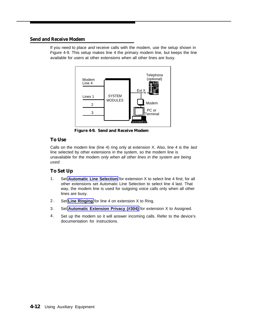# **Send and Receive Modem**

If you need to place and receive calls with the modem, use the setup shown in Figure 4-9. This setup makes line 4 the primary modem line, but keeps the line available for users at other extensions when all other lines are busy.



**Figure 4-9. Send and Receive Modem**

# **To Use**

Calls on the modem line (line 4) ring only at extension X. Also, line 4 is the last line selected by other extensions in the system, so the modem line is unavailable for the modem only when all other lines in the system are being used.

- 1. Set **[Automatic Line Selection](#page-50-4)** for extension X to select line 4 first; for all other extensions set Automatic Line Selection to select line 4 last. That way, the modem line is used for outgoing voice calls only when all other lines are busy.
- 2. Set **[Line Ringing](#page-65-2)** for line 4 on extension X to Ring.
- 3. Set **[Automatic Extension Privacy \(#304\)](#page-49-2)** for extension X to Assigned.
- 4. Set up the modem so it will answer incoming calls. Refer to the device's documentation for instructions.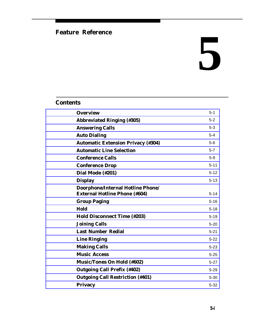# **Feature Reference**

# **5**

# **Contents**

| <b>Overview</b>                                                           | $5 - 1$  |
|---------------------------------------------------------------------------|----------|
| <b>Abbreviated Ringing (#305)</b>                                         | $5 - 2$  |
| <b>Answering Calls</b>                                                    | $5 - 3$  |
| <b>Auto Dialing</b>                                                       | $5-4$    |
| <b>Automatic Extension Privacy (#304)</b>                                 | $5-6$    |
| <b>Automatic Line Selection</b>                                           | $5 - 7$  |
| <b>Conference Calls</b>                                                   | $5-9$    |
| <b>Conference Drop</b>                                                    | $5 - 11$ |
| Dial Mode (#201)                                                          | $5 - 12$ |
| <b>Display</b>                                                            | $5 - 13$ |
| Doorphone/Internal Hotline Phone/<br><b>External Hotline Phone (#604)</b> | $5 - 14$ |
| <b>Group Paging</b>                                                       | $5 - 16$ |
| Hold                                                                      | $5 - 18$ |
| <b>Hold Disconnect Time (#203)</b>                                        | $5 - 19$ |
| <b>Joining Calls</b>                                                      | $5 - 20$ |
| <b>Last Number Redial</b>                                                 | $5 - 21$ |
| <b>Line Ringing</b>                                                       | $5 - 22$ |
| <b>Making Calls</b>                                                       | $5 - 23$ |
| <b>Music Access</b>                                                       | $5 - 25$ |
| <b>Music/Tones On Hold (#602)</b>                                         | $5 - 27$ |
| <b>Outgoing Call Prefix (#402)</b>                                        | $5 - 29$ |
| <b>Outgoing Call Restriction (#401)</b>                                   | $5 - 30$ |
| <b>Privacy</b>                                                            | $5 - 32$ |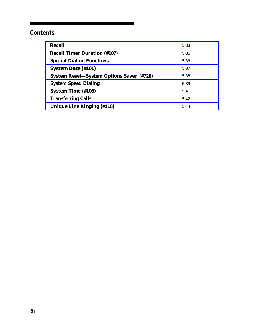# **Contents**

| <b>Recall</b>                                   | $5 - 33$ |
|-------------------------------------------------|----------|
| <b>Recall Timer Duration (#107)</b>             | $5 - 35$ |
| <b>Special Dialing Functions</b>                | $5 - 36$ |
| <b>System Date (#101)</b>                       | $5 - 37$ |
| <b>System Reset-System Options Saved (#728)</b> | $5 - 38$ |
| <b>System Speed Dialing</b>                     | $5 - 39$ |
| <b>System Time (#103)</b>                       | $5 - 41$ |
| <b>Transferring Calls</b>                       | $5 - 42$ |
| <b>Unique Line Ringing (#118)</b>               | $5 - 44$ |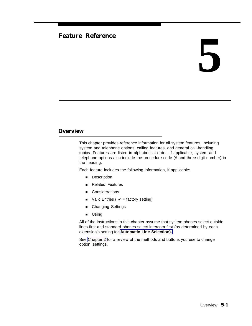# **Feature Reference 5**

# <span id="page-44-0"></span>**Overview**

This chapter provides reference information for all system features, including system and telephone options, calling features, and general call-handling topics. Features are listed in alphabetical order. If applicable, system and telephone options also include the procedure code (# and three-digit number) in the heading.

Each feature includes the following information, if applicable:

- Description
- Related Features
- Considerations
- Valid Entries ( $\boldsymbol{\checkmark}$  = factory setting)
- Changing Settings
- Using

All of the instructions in this chapter assume that system phones select outside lines first and standard phones select intercom first (as determined by each extension's setting for **[Automatic Line Selection\).](#page-50-4)**

See [Chapter 2](#page-14-0) for a review of the methods and buttons you use to change option settings.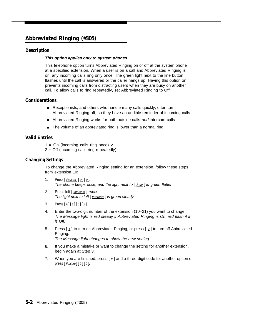# <span id="page-45-0"></span>**Abbreviated Ringing (#305)**

# **Description**

#### **This option applies only to system phones.**

This telephone option turns Abbreviated Ringing on or off at the system phone at a specified extension. When a user is on a call and Abbreviated Ringing is on, any incoming calls ring only once. The green light next to the line button flashes until the call is answered or the caller hangs up. Having this option on prevents incoming calls from distracting users when they are busy on another call. To allow calls to ring repeatedly, set Abbreviated Ringing to Off.

# **Considerations**

- Receptionists, and others who handle many calls quickly, often turn Abbreviated Ringing off, so they have an audible reminder of incoming calls.
- Abbreviated Ringing works for both outside calls and intercom calls.
- The volume of an abbreviated ring is lower than a normal ring.

# **Valid Entries**

- 1 = On (incoming calls ring once)  $\checkmark$
- $2 = \text{Off}$  (incoming calls ring repeatedly)

# **Changing Settings**

To change the Abbreviated Ringing setting for an extension, follow these steps from extension 10:

- 1. Press  $[$  Feature] $[$   $Q$ ] $[$   $Q$ ]. The phone beeps once, and the light next to  $\lceil S_{\text{Dkr}} \rceil$  is green flutter.
- 2. Press left [ *Intercom* ] twice. The light next to left [ Intercom ] is green steady.
- 3. Press  $[\,\,\# \,] [\,\,3\,] [\,\,\varrho\,] [\,\,5\,].$
- 4. Enter the two-digit number of the extension (10–21) you want to change. The Message light is red steady if Abbreviated Ringing is On, red flash if it is Off.
- 5. Press  $\left[\begin{array}{c} 1 \end{array}\right]$  to turn on Abbreviated Ringing, or press  $\left[\begin{array}{c} 2 \end{array}\right]$  to turn off Abbreviated Ringing. The Message light changes to show the new setting.
- 6. If you make a mistake or want to change the setting for another extension, begin again at Step 3.
- 7. When you are finished, press  $[$   $\#$ ] and a three-digit code for another option or press  $[$  *Feature* $]$  $[$   $Q$  $]$  $[$   $Q$  $]$ .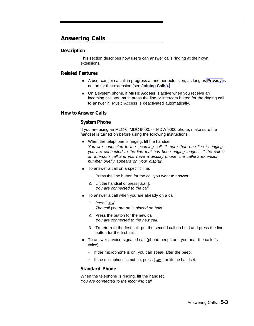# <span id="page-46-0"></span>**Answering Calls**

# **Description**

This section describes how users can answer calls ringing at their own extensions.

# **Related Features**

- A user can join a call in progress at another extension, as long as [Privacy](#page-75-1) is not on for that extension (see **[Joining Calls\).](#page-63-1)**
- On a system phone, if **Music Access** is active when you receive an incoming call, you must press the line or intercom button for the ringing call to answer it. Music Access is deactivated automatically.

# **How to Answer Calls**

# **System Phone**

If you are using an MLC-6, MDC 9000, or MDW 9000 phone, make sure the handset is turned on before using the following instructions.

- When the telephone is ringing, lift the handset. You are connected to the incoming call. If more than one line is ringing, you are connected to the line that has been ringing longest. If the call is an intercom call and you have a display phone, the caller's extension number briefly appears on your display.
- To answer a call on a specific line:
	- 1. Press the line button for the call you want to answer.
	- 2. Lift the handset or press [Spkr]. You are connected to the call.
- To answer a call when you are already on a call:
	- 1. Press [ **Hold**]. The call you are on is placed on hold.
	- 2. Press the button for the new call. You are connected to the new call.
	- 3. To return to the first call, put the second call on hold and press the line button for the first call.
- To answer a voice-signaled call (phone beeps and you hear the caller's voice):
	- If the microphone is on, you can speak after the beep.
	- If the microphone is not on, press  $[$   $Mic$   $]$  or lift the handset.

# **Standard Phone**

When the telephone is ringing, lift the handset. You are connected to the incoming call.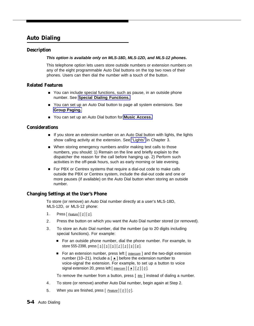# <span id="page-47-1"></span><span id="page-47-0"></span>**Auto Dialing**

# **Description**

#### **This option is available only on MLS-18D, MLS-12D, and MLS-12 phones.**

This telephone option lets users store outside numbers or extension numbers on any of the eight programmable Auto Dial buttons on the top two rows of their phones. Users can then dial the number with a touch of the button.

# **Related Features**

- You can include special functions, such as pause, in an outside phone number. See **[Special Dialing Functions.](#page-79-1)**
- You can set up an Auto Dial button to page all system extensions. See **[Group Paging.](#page-59-1)**
- You can set up an Auto Dial button for **[Music Access.](#page-68-2)**

# **Considerations**

- If you store an extension number on an Auto Dial button with lights, the lights show calling activity at the extension. See ["Lights"](#page-22-0) in Chapter 3.
- When storing emergency numbers and/or making test calls to those numbers, you should: 1) Remain on the line and briefly explain to the dispatcher the reason for the call before hanging up. 2) Perform such activities in the off-peak hours, such as early morning or late evening.
- For PBX or Centrex systems that require a dial-out code to make calls outside the PBX or Centrex system, include the dial-out code and one or more pauses (if available) on the Auto Dial button when storing an outside number.

# **Changing Settings at the User's Phone**

To store (or remove) an Auto Dial number directly at a user's MLS-18D, MLS-12D, or MLS-12 phone:

- 1. Press  $[$  Feature  $[$   $[$   $\emptyset$   $]$   $[$   $\emptyset$   $]$ .
- 2. Press the button on which you want the Auto Dial number stored (or removed).
- 3. To store an Auto Dial number, dial the number (up to 20 digits including special functions). For example:
	- For an outside phone number, dial the phone number. For example, to store 555-2398, press  $[5][5][5][2][3][9][8]$ .
	- For an extension number, press left [ *Intercom* ] and the two-digit extension number (10–21). Include a  $\lceil \pm \rceil$  before the extension number to voice-signal the extension. For example, to set up a button to voice signal extension 20, press left  $[$  *Intercom*  $]$   $[ \pm ] [ 2 ] [ 0 ]$ .

To remove the number from a button, press  $\lceil \underline{\text{Mic}} \rceil$  instead of dialing a number.

- 4. To store (or remove) another Auto Dial number, begin again at Step 2.
- 5. When you are finished, press  $[$  Feature]  $[$   $Q$ ]  $[$   $Q$ ].
- **5-4** Auto Dialing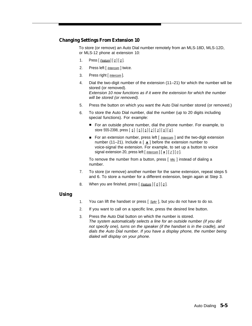# **Changing Settings From Extension 10**

To store (or remove) an Auto Dial number remotely from an MLS-18D, MLS-12D, or MLS-12 phone at extension 10:

- 1. Press  $[$  Feature $]$  $[$   $Q$  $]$  $[$   $Q$  $]$ .
- 2. Press left [ Intercom ] twice.
- 3. Press right [ *Intercom* ].
- 4. Dial the two-digit number of the extension (11–21) for which the number will be stored (or removed). Extension 10 now functions as if it were the extension for which the number will be stored (or removed).
- 5. Press the button on which you want the Auto Dial number stored (or removed.)
- 6. To store the Auto Dial number, dial the number (up to 20 digits including special functions). For example:
	- For an outside phone number, dial the phone number. For example, to store 555-2398, press  $[5] [5] [5] [2] [3] [9] [8]$ .
	- For an extension number, press left [ *Intercom* ] and the two-digit extension number (11–21). Include a  $\left[\star\right]$  before the extension number to voice-signal the extension. For example, to set up a button to voice signal extension 20, press left  $\left[\frac{Intercom}{k}\right]$  | 2 |  $\left[Q\right]$ .

To remove the number from a button, press  $\lceil \frac{Mic}{m} \rceil$  instead of dialing a number.

- 7. To store (or remove) another number for the same extension, repeat steps 5 and 6. To store a number for a different extension, begin again at Step 3.
- 8. When you are finished, press  $[$  Feature  $]$   $[$   $Q$   $]$   $[$   $Q$   $]$ .

# **Using**

- 1. You can lift the handset or press [ Spkr ], but you do not have to do so.
- 2. If you want to call on a specific line, press the desired line button.
- 3. Press the Auto Dial button on which the number is stored. The system automatically selects a line for an outside number (if you did not specify one), turns on the speaker (if the handset is in the cradle), and dials the Auto Dial number. If you have a display phone, the number being dialed will display on your phone.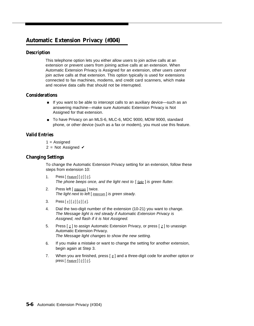# <span id="page-49-3"></span><span id="page-49-2"></span><span id="page-49-1"></span><span id="page-49-0"></span>**Automatic Extension Privacy (#304)**

# **Description**

This telephone option lets you either allow users to join active calls at an extension or prevent users from joining active calls at an extension. When Automatic Extension Privacy is Assigned for an extension, other users cannot join active calls at that extension. This option typically is used for extensions connected to fax machines, modems, and credit card scanners, which make and receive data calls that should not be interrupted.

# **Considerations**

- If you want to be able to intercept calls to an auxiliary device—such as an answering machine—make sure Automatic Extension Privacy is Not Assigned for that extension.
- To have Privacy on an MLS-6, MLC-6, MDC 9000, MDW 9000, standard phone, or other device (such as a fax or modem), you must use this feature.

# **Valid Entries**

- $1 =$  Assigned
	- 2 = Not Assigned  $\checkmark$

# **Changing Settings**

To change the Automatic Extension Privacy setting for an extension, follow these steps from extension 10:

- 1. Press  $[$  Feature  $[$   $[$   $\emptyset$   $]$   $[$   $\emptyset$   $]$ . The phone beeps once, and the light next to  $\lceil S_{\text{Dk}r} \rceil$  is green flutter.
- 2. Press left [ Intercom ] twice. The light next to left [ Intercom] is green steady.
- 3. Press  $\lceil \frac{1}{2} \rceil \lceil \frac{3}{2} \rceil \lceil \frac{1}{2} \rceil$ .
- 4. Dial the two-digit number of the extension (10-21) you want to change. The Message light is red steady if Automatic Extension Privacy is Assigned, red flash if it is Not Assigned.
- 5. Press  $\lceil 1 \rceil$  to assign Automatic Extension Privacy, or press  $\lceil 2 \rceil$  to unassign Automatic Extension Privacy. The Message light changes to show the new setting.
- 6. If you make a mistake or want to change the setting for another extension, begin again at Step 3.
- 7. When you are finished, press  $\lceil \frac{1}{2} \rceil$  and a three-digit code for another option or press  $[$  *Feature* $]$  $[$   $Q$  $]$  $[$   $Q$  $]$ .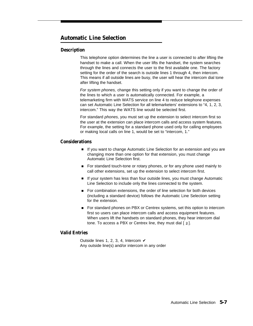# <span id="page-50-6"></span><span id="page-50-5"></span><span id="page-50-4"></span><span id="page-50-3"></span><span id="page-50-2"></span><span id="page-50-1"></span><span id="page-50-0"></span>**Automatic Line Selection**

# **Description**

This telephone option determines the line a user is connected to after lifting the handset to make a call. When the user lifts the handset, the system searches through the lines and connects the user to the first available one. The factory setting for the order of the search is outside lines 1 through 4, then intercom. This means if all outside lines are busy, the user will hear the intercom dial tone after lifting the handset.

For system phones, change this setting only if you want to change the order of the lines to which a user is automatically connected. For example, a telemarketing firm with WATS service on line 4 to reduce telephone expenses can set Automatic Line Selection for all telemarketers' extensions to "4, 1, 2, 3, intercom." This way the WATS line would be selected first.

For standard phones, you must set up the extension to select intercom first so the user at the extension can place intercom calls and access system features. For example, the setting for a standard phone used only for calling employees or making local calls on line 1, would be set to "intercom, 1."

# **Considerations**

- If you want to change Automatic Line Selection for an extension and you are changing more than one option for that extension, you must change Automatic Line Selection first.
- For standard touch-tone or rotary phones, or for any phone used mainly to call other extensions, set up the extension to select intercom first.
- If your system has less than four outside lines, you must change Automatic Line Selection to include only the lines connected to the system.
- For combination extensions, the order of line selection for both devices (including a standard device) follows the Automatic Line Selection setting for the extension.
- For standard phones on PBX or Centrex systems, set this option to intercom first so users can place intercom calls and access equipment features. When users lift the handsets on standard phones, they hear intercom dial tone. To access a PBX or Centrex line, they must dial  $\lceil \frac{9}{2} \rceil$ .

# **Valid Entries**

Outside lines 1, 2, 3, 4, Intercom  $\checkmark$ Any outside line(s) and/or intercom in any order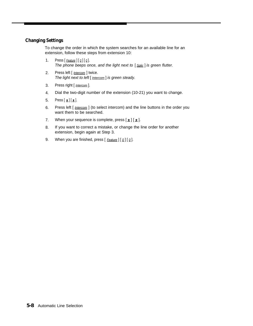# **Changing Settings**

To change the order in which the system searches for an available line for an extension, follow these steps from extension 10:

- 1. Press  $[$  Feature  $][$   $[$   $[$   $]$  $[$   $]$  $[$   $]$ . The phone beeps once, and the light next to  $\lceil S_{\text{Dk}r} \rceil$  is green flutter.
- 2. Press left [ *Intercom* ] twice. The light next to left [ **Intercom** ] is green steady.
- 3. Press right [ *Intercom* ].
- 4. Dial the two-digit number of the extension (10-21) you want to change.
- 5. Press  $[\pm] [\pm]$ .
- 6. Press left [ *Intercom* ] (to select intercom) and the line buttons in the order you want them to be searched.
- 7. When your sequence is complete, press  $[\pm] [\pm]$ .
- 8. If you want to correct a mistake, or change the line order for another extension, begin again at Step 3.
- 9. When you are finished, press  $[$  Feature  $]$   $[$   $Q$   $]$   $[$   $Q$   $]$ .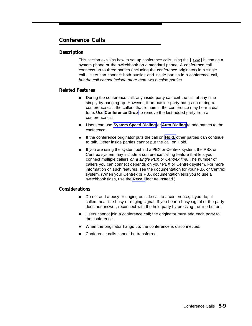# <span id="page-52-1"></span><span id="page-52-0"></span>**Conference Calls**

# **Description**

This section explains how to set up conference calls using the [ Conf] button on a system phone or the switchhook on a standard phone. A conference call connects up to three parties (including the conference originator) in a single call. Users can connect both outside and inside parties in a conference call, but the call cannot include more than two outside parties.

# **Related Features**

- During the conference call, any inside party can exit the call at any time simply by hanging up. However, if an outside party hangs up during a conference call, the callers that remain in the conference may hear a dial tone. Use **[Conference Drop](#page-54-1)** to remove the last-added party from a conference call.
- Users can use **[System Speed Dialing](#page-82-1)** or **[Auto Dialing](#page-47-1)** to add parties to the conference.
- If the conference originator puts the call on **Hold,** other parties can continue to talk. Other inside parties cannot put the call on Hold.
- If you are using the system behind a PBX or Centrex system, the PBX or Centrex system may include a conference calling feature that lets you connect multiple callers on a single PBX or Centrex line. The number of callers you can connect depends on your PBX or Centrex system. For more information on such features, see the documentation for your PBX or Centrex system. (When your Centrex or PBX documentation tells you to use a switchhook flash, use the **[Recall](#page-76-1)** feature instead.)

# **Considerations**

- Do not add a busy or ringing outside call to a conference; if you do, all callers hear the busy or ringing signal. If you hear a busy signal or the party does not answer, reconnect with the held party by pressing the line button.
- Users cannot join a conference call; the originator must add each party to the conference.
- When the originator hangs up, the conference is disconnected.
- Conference calls cannot be transferred.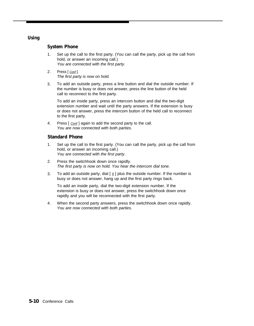# **Using**

# **System Phone**

- 1. Set up the call to the first party. (You can call the party, pick up the call from hold, or answer an incoming call.) You are connected with the first party.
- 2. Press [ Conf]. The first party is now on hold.
- 3. To add an outside party, press a line button and dial the outside number. If the number is busy or does not answer, press the line button of the held call to reconnect to the first party.

To add an inside party, press an intercom button and dial the two-digit extension number and wait until the party answers. If the extension is busy or does not answer, press the intercom button of the held call to reconnect to the first party.

4. Press [ Conf] again to add the second party to the call. You are now connected with both parties.

# **Standard Phone**

- 1. Set up the call to the first party. (You can call the party, pick up the call from hold, or answer an incoming call.) You are connected with the first party.
- 2. Press the switchhook down once rapidly. The first party is now on hold. You hear the intercom dial tone.
- 3. To add an outside party, dial  $\lceil \frac{9}{2} \rceil$  plus the outside number. If the number is busy or does not answer, hang up and the first party rings back.

To add an inside party, dial the two-digit extension number. If the extension is busy or does not answer, press the switchhook down once rapidly and you will be reconnected with the first party.

4. When the second party answers, press the switchhook down once rapidly. You are now connected with both parties.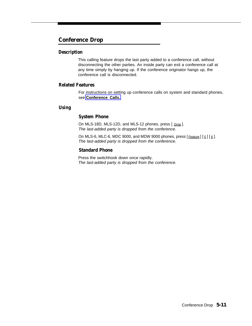# <span id="page-54-1"></span><span id="page-54-0"></span>**Conference Drop**

# **Description**

This calling feature drops the last party added to a conference call, without disconnecting the other parties. An inside party can exit a conference call at any time simply by hanging up. If the conference originator hangs up, the conference call is disconnected.

# **Related Features**

For instructions on setting up conference calls on system and standard phones, see **[Conference Calls.](#page-52-1)**

# **Using**

# **System Phone**

On MLS-18D, MLS-12D, and MLS-12 phones, press [ Drop ]. The last-added party is dropped from the conference.

On MLS-6, MLC-6, MDC 9000, and MDW 9000 phones, press  $[$  Feature]  $[$   $Q$   $]$   $[$   $\underline{6}$   $]$ . The last-added party is dropped from the conference.

# **Standard Phone**

Press the switchhook down once rapidly. The last-added party is dropped from the conference.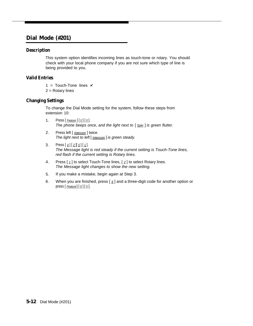# <span id="page-55-0"></span>**Dial Mode (#201)**

# **Description**

This system option identifies incoming lines as touch-tone or rotary. You should check with your local phone company if you are not sure which type of line is being provided to you.

# **Valid Entries**

- 1 = Touch-Tone lines  $\checkmark$
- 2 = Rotary lines

# **Changing Settings**

To change the Dial Mode setting for the system, follow these steps from extension 10:

- 1. Press  $[$  Feature  $]$   $[$   $Q$   $]$   $[$   $Q$   $]$ . The phone beeps once, and the light next to  $[$  Spkr  $]$  is green flutter.
- 2. Press left [ *Intercom* ] twice. The light next to left  $[$  **Intercom**  $]$  is green steady.
- 3. Press  $\left[\frac{1}{2} \right] \left[\frac{1}{2} \right] \left[\frac{1}{1}\right]$ . The Message light is red steady if the current setting is Touch-Tone lines, red flash if the current setting is Rotary lines.
- 4. Press  $\left[\begin{smallmatrix}1\1\end{smallmatrix}\right]$  to select Touch-Tone lines,  $\left[\begin{smallmatrix}2\end{smallmatrix}\right]$  to select Rotary lines. The Message light changes to show the new setting.
- 5. If you make a mistake, begin again at Step 3.
- 6. When you are finished, press  $[$   $\#$ ] and a three-digit code for another option or press [ Feature] [ 0 ] [ 0 ].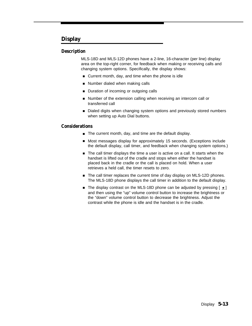# <span id="page-56-0"></span>**Display**

# **Description**

MLS-18D and MLS-12D phones have a 2-line, 16-character (per line) display area on the top-right corner, for feedback when making or receiving calls and changing system options. Specifically, the display shows:

- Current month, day, and time when the phone is idle
- Number dialed when making calls ■
- Duration of incoming or outgoing calls ■
- Number of the extension calling when receiving an intercom call or transferred call ■
- Dialed digits when changing system options and previously stored numbers when setting up Auto Dial buttons.

# **Considerations**

- The current month, day, and time are the default display.
- Most messages display for approximately 15 seconds. (Exceptions include the default display, call timer, and feedback when changing system options.)
- The call timer displays the time a user is active on a call. It starts when the handset is lifted out of the cradle and stops when either the handset is placed back in the cradle or the call is placed on hold. When a user retrieves a held call, the timer resets to zero.
- The call timer replaces the current time of day display on MLS-12D phones. The MLS-18D phone displays the call timer in addition to the default display.
- The display contrast on the MLS-18D phone can be adjusted by pressing [  $\star$  ] and then using the "up" volume control button to increase the brightness or the "down" volume control button to decrease the brightness. Adjust the contrast while the phone is idle and the handset is in the cradle.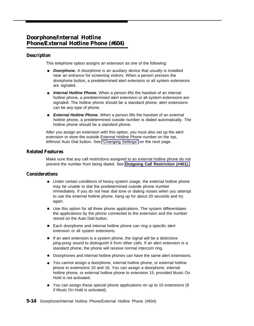# <span id="page-57-0"></span>**Doorphone/Internal Hotline Phone/External Hotline Phone (#604)**

# **Description**

This telephone option assigns an extension as one of the following:

- **Doorphone.** A doorphone is an auxiliary device that usually is installed near an entrance for screening visitors. When a person presses the doorphone button, a predetermined alert extension or all system extensions are signaled.
- **Internal Hotline Phone.** When a person lifts the handset of an internal hotline phone, a predetermined alert extension or all system extensions are signaled. The hotline phone should be a standard phone; alert extensions can be any type of phone.
- External Hotline Phone. When a person lifts the handset of an external hotline phone, a predetermined outside number is dialed automatically. The hotline phone should be a standard phone.

After you assign an extension with this option, you must also set up the alert extension or store the outside External Hotline Phone number on the top, leftmost Auto Dial button. See ["Changing Settings"](#page-58-0) on the next page.

# **Related Features**

Make sure that any call restrictions assigned to an external hotline phone do not prevent the number from being dialed. See **[Outgoing Call Restriction \(#401\).](#page-73-1)**

# **Considerations**

- Under certain conditions of heavy system usage, the external hotline phone may be unable to dial the predetermined outside phone number immediately. If you do not hear dial tone or dialing noises when you attempt to use the external hotline phone, hang up for about 20 seconds and try again.
- Use this option for all three phone applications. The system differentiates the applications by the phone connected to the extension and the number stored on the Auto Dial button.
- Each doorphone and internal hotline phone can ring a specific alert extension or all system extensions.
- If an alert extension is a system phone, the signal will be a distinctive ping-pong sound to distinguish it from other calls. If an alert extension is a standard phone, the phone will receive normal intercom ring.
- Doorphones and internal hotline phones can have the same alert extensions.
- You cannot assign a doorphone, internal hotline phone, or external hotline phone to extensions 10 and 16. You can assign a doorphone, internal hotline phone, or external hotline phone to extension 15, provided Music On Hold is not activated.
- You can assign these special phone applications on up to 10 extensions (9 if Music On Hold is activated).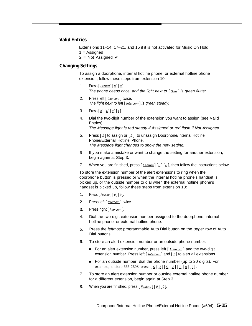#### **Valid Entries**

Extensions 11–14, 17–21, and 15 if it is not activated for Music On Hold  $1 =$ Assigned

2 = Not Assigned  $\checkmark$ 

#### <span id="page-58-0"></span>**Changing Settings**

To assign a doorphone, internal hotline phone, or external hotline phone extension, follow these steps from extension 10:

- 1. Press  $[$  Feature  $[$   $[$   $\emptyset$   $]$   $[$   $\emptyset$   $]$ . The phone beeps once, and the light next to  $\lceil S_{\text{Dkr}} \rceil$  is green flutter.
- 2. Press left [ *Intercom* ] twice. The light next to left [ **Intercom** ] is green steady.
- 3. Press  $\left[\begin{array}{c} \# \\ \end{array}\right] \left[\begin{array}{c} 6 \\ \end{array}\right] \left[\begin{array}{c} 0 \\ \end{array}\right] \left[\begin{array}{c} 4 \end{array}\right].$
- 4. Dial the two-digit number of the extension you want to assign (see Valid Entries).

The Message light is red steady if Assigned or red flash if Not Assigned.

- 5. Press [ 1] to assign or [ 2 ] to unassign Doorphone/Internal Hotline Phone/External Hotline Phone. The Message light changes to show the new setting.
- 6. If you make a mistake or want to change the setting for another extension, begin again at Step 3.
- 7. When you are finished, press  $\lceil$  Feature  $\rceil$   $\lceil \varrho \rceil$ , then follow the instructions below.

To store the extension number of the alert extensions to ring when the doorphone button is pressed or when the internal hotline phone's handset is picked up, or the outside number to dial when the external hotline phone's handset is picked up, follow these steps from extension 10:

- 1. Press  $[$  Feature  $]$   $[$   $\emptyset$   $]$   $[$   $\emptyset$   $]$ .
- 2. Press left [ *Intercom* ] twice.
- 3. Press right [ *Intercom* ].
- 4. Dial the two-digit extension number assigned to the doorphone, internal hotline phone, or external hotline phone.
- 5. Press the *leftmost* programmable Auto Dial button on the *upper* row of Auto Dial buttons.
- 6. To store an alert extension number or an outside phone number:
	- For an alert extension number, press left [ *Intercom* ] and the two-digit extension number. Press left  $\left[\right]$  *Intercom*  $\left[\right]$  and  $\left[\right]$   $\left[\right]$  to alert all extensions.
	- For an outside number, dial the phone number (up to 20 digits). For example, to store 555-2398, press  $[5][5][5][2][3][9][8]$ .
- 7. To store an alert extension number or outside external hotline phone number for a different extension, begin again at Step 3.
- 8. When you are finished, press  $\lceil$  Feature  $\lceil \lceil \varrho \rceil \lceil \varrho \rceil$ .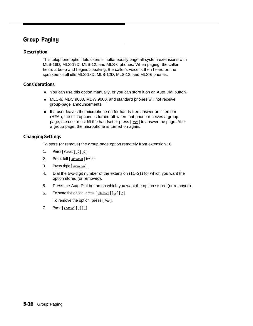# <span id="page-59-2"></span><span id="page-59-1"></span><span id="page-59-0"></span>**Group Paging**

# **Description**

This telephone option lets users simultaneously page all system extensions with MLS-18D, MLS-12D, MLS-12, and MLS-6 phones. When paging, the caller hears a beep and begins speaking; the caller's voice is then heard on the speakers of all idle MLS-18D, MLS-12D, MLS-12, and MLS-6 phones.

# **Considerations**

- You can use this option manually, or you can store it on an Auto Dial button.
- MLC-6, MDC 9000, MDW 9000, and standard phones will not receive group-page announcements.
- If a user leaves the microphone on for hands-free answer on intercom (HFAI), the microphone is turned off when that phone receives a group page; the user must lift the handset or press [ Mic ] to answer the page. After a group page, the microphone is turned on again.

# **Changing Settings**

To store (or remove) the group page option remotely from extension 10:

- 1. Press  $[$  Feature  $]$   $[$   $Q$  $]$   $[$   $Q$  $]$ .
- 2. Press left [ *Intercom* ] twice.
- 3. Press right [ Intercom ].
- 4. Dial the two-digit number of the extension (11–21) for which you want the option stored (or removed).
- 5. Press the Auto Dial button on which you want the option stored (or removed).
- 6. To store the option, press  $\left[\frac{intercom}{1 \pm 1}$   $\left[\frac{z}{z}\right]$ .

To remove the option, press  $[$  Mic  $]$ .

7. Press  $[$  Feature  $[$   $[$   $\emptyset$   $]$   $[$   $\emptyset$   $]$ .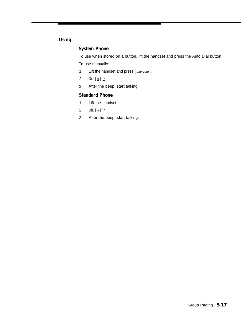# **Using**

# **System Phone**

To use when stored on a button, lift the handset and press the Auto Dial button.

To use manually:

- 1. Lift the handset and press [*Intercom*].
- 2. Dial  $[\pm] [Z]$ .
- 3. After the beep, start talking.

# **Standard Phone**

- 1. Lift the handset.
- 2. Dial  $[\pm] [7]$ .
- 3. After the beep, start talking.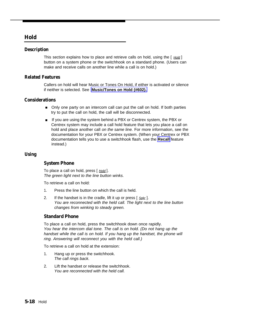# <span id="page-61-1"></span><span id="page-61-0"></span>**Hold**

# **Description**

This section explains how to place and retrieve calls on hold, using the  $\lceil$  Hold  $\rceil$ button on a system phone or the switchhook on a standard phone. (Users can make and receive calls on another line while a call is on hold.)

# **Related Features**

Callers on hold will hear Music or Tones On Hold, if either is activated or silence if neither is selected. See **[Music/Tones on Hold \(#602\).](#page-70-1)**

# **Considerations**

- Only one party on an intercom call can put the call on hold. If both parties try to put the call on hold, the call will be disconnected.
- If you are using the system behind a PBX or Centrex system, the PBX or Centrex system may include a call hold feature that lets you place a call on hold and place another call on the same line. For more information, see the documentation for your PBX or Centrex system. (When your Centrex or PBX documentation tells you to use a switchhook flash, use the **[Recall](#page-76-2)** feature instead.)

# **Using**

# **System Phone**

To place a call on hold, press [ Hold ]. The green light next to the line button winks.

To retrieve a call on hold:

- 1. Press the line button on which the call is held.
- 2. If the handset is in the cradle, lift it up or press  $\lceil S_{\text{pkr}} \rceil$ . You are reconnected with the held call. The light next to the line button changes from winking to steady green.

# **Standard Phone**

To place a call on hold, press the switchhook down once rapidly. You hear the intercom dial tone. The call is on hold. (Do not hang up the handset while the call is on hold. If you hang up the handset, the phone will ring. Answering will reconnect you with the held call.)

To retrieve a call on hold at the extension:

- 1. Hang up or press the switchhook. The call rings back.
- 2. Lift the handset or release the switchhook. You are reconnected with the held call.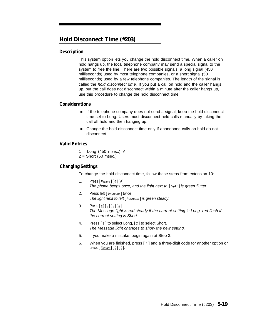# <span id="page-62-0"></span>**Hold Disconnect Time (#203)**

# **Description**

This system option lets you change the hold disconnect time. When a caller on hold hangs up, the local telephone company may send a special signal to the system to free the line. There are two possible signals: a long signal (450) milliseconds) used by most telephone companies, or a short signal (50 milliseconds) used by a few telephone companies. The length of the signal is called the hold disconnect time. If you put a call on hold and the caller hangs up, but the call does not disconnect within a minute after the caller hangs up, use this procedure to change the hold disconnect time.

# **Considerations**

- If the telephone company does not send a signal, keep the hold disconnect time set to Long. Users must disconnect held calls manually by taking the call off hold and then hanging up.
- Change the hold disconnect time only if abandoned calls on hold do not disconnect.

# **Valid Entries**

1 = Long (450 msec.)  $\checkmark$  $2 =$  Short (50 msec.)

# **Changing Settings**

To change the hold disconnect time, follow these steps from extension 10:

- 1. Press  $[$  Feature  $]$   $[$   $\emptyset$   $]$   $[$   $\emptyset$   $]$ . The phone beeps once, and the light next to  $\lceil S_{\text{Dkr}} \rceil$  is green flutter.
- 2. Press left [ *Intercom* ] twice. The light next to left [ Intercom] is green steady.
- 3. Press  $\lceil \frac{1}{2} \rceil \lceil \frac{2}{2} \rceil \lceil \frac{1}{2} \rceil$ . The Message light is red steady if the current setting is Long, red flash if the current setting is Short.
- 4. Press  $\lceil \frac{1}{2} \rceil$  to select Long,  $\lceil \frac{2}{2} \rceil$  to select Short. The Message light changes to show the new setting.
- 5. If you make a mistake, begin again at Step 3.
- 6. When you are finished, press  $\lceil \frac{1}{2} \rceil$  and a three-digit code for another option or press  $[$  Feature  $]$   $[$   $Q$   $]$   $[$   $Q$   $]$ .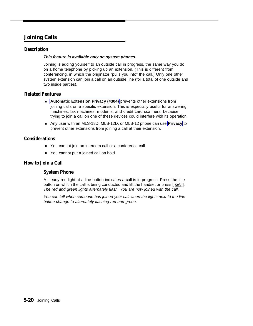# <span id="page-63-1"></span><span id="page-63-0"></span>**Joining Calls**

# **Description**

#### **This feature is available only on system phones.**

Joining is adding yourself to an outside call in progress, the same way you do on a home telephone by picking up an extension. (This is different from conferencing, in which the originator "pulls you into" the call.) Only one other system extension can join a call on an outside line (for a total of one outside and two inside parties).

# **Related Features**

- **Automatic Extension Privacy (#304)** prevents other extensions from joining calls on a specific extension. This is especially useful for answering machines, fax machines, modems, and credit card scanners, because trying to join a call on one of these devices could interfere with its operation.
- Any user with an MLS-18D, MLS-12D, or MLS-12 phone can use **Privacy** to prevent other extensions from joining a call at their extension.

# **Considerations**

- You cannot join an intercom call or a conference call.
- You cannot put a joined call on hold.

# **How to Join a Call**

# **System Phone**

A steady red light at a line button indicates a call is in progress. Press the line button on which the call is being conducted and lift the handset or press [ Spkr]. The red and green lights alternately flash. You are now joined with the call.

You can tell when someone has joined your call when the lights next to the line button change to alternately flashing red and green.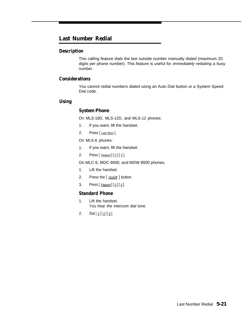# <span id="page-64-0"></span>**Last Number Redial**

# **Description**

This calling feature dials the last outside number manually dialed (maximum 20 digits per phone number). This feature is useful for *immediately* redialing a busy number.

# **Considerations**

You cannot redial numbers dialed using an Auto Dial button or a System Speed Dial code.

# **Using**

# **System Phone**

On MLS-18D, MLS-12D, and MLS-12 phones:

- 1. If you want, lift the handset.
- 2. Press [Last Num].

On MLS-6 phones:

- 1. If you want, lift the handset.
- 2. Press  $[$  Feature  $]$  $[$   $Q$  $]$  $[$   $\overline{5}$  $]$ .

On MLC-6, MDC 9000, and MDW 9000 phones:

- 1. Lift the handset.
- 2. Press the [  $On/Off$  ] button.
- 3. Press  $[$  Feature] $[$  0] $[$  5].

# **Standard Phone**

- 1. Lift the handset. You hear the intercom dial tone.
- 2. Dial  $[\frac{\#}{2}] [\frac{0}{5}]$ .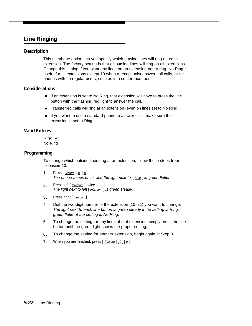# <span id="page-65-2"></span><span id="page-65-1"></span><span id="page-65-0"></span>**Line Ringing**

# **Description**

This telephone option lets you specify which outside lines will ring on each extension. The factory setting is that all outside lines will ring on all extensions. Change this setting if you want any lines on an extension not to ring. No Ring is useful for all extensions except 10 when a receptionist answers all calls, or for phones with no regular users, such as in a conference room.

# **Considerations**

- If an extension is set to No Ring, that extension will have to press the line button with the flashing red light to answer the call.
- Transferred calls will ring at an extension (even on lines set to No Ring).
- If you want to use a standard phone to answer calls, make sure the extension is set to Ring.

# **Valid Entries**

Ring  $\boldsymbol{\nu}$ No Ring

# **Programming**

To change which outside lines ring at an extension, follow these steps from extension 10:

- 1. Press  $[$  Feature  $[$   $[$   $\emptyset$   $]$   $[$   $\emptyset$   $]$ . The phone beeps once, and the light next to  $[$  Spkr  $]$  is green flutter.
- 2. Press left [ *Intercom* ] twice. The light next to left  $[$  Intercom  $]$  is green steady.
- 3. Press right [ *Intercom* ].
- 4. Dial the two-digit number of the extension (10–21) you want to change. The light next to each line button is green steady if the setting is Ring, green flutter if the setting is No Ring.
- 5. To change the setting for any lines at that extension, simply press the line button until the green light shows the proper setting.
- 6. To change the setting for another extension, begin again at Step 3.
- 7. When you are finished, press  $[$  Feature  $]$   $[$   $Q$   $]$   $[$   $Q$   $]$ .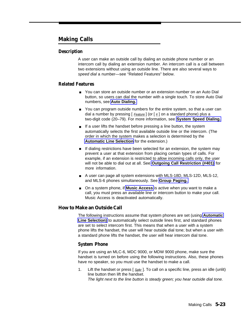# <span id="page-66-0"></span>**Making Calls**

# **Description**

A user can make an outside call by dialing an outside phone number or an intercom call by dialing an extension number. An intercom call is a call between two extensions without using an outside line. There are also several ways to speed dial a number—see "Related Features" below.

# **Related Features**

- You can store an outside number or an extension number on an Auto Dial button, so users can dial the number with a single touch. To store Auto Dial numbers, see **[Auto Dialing.](#page-47-1)**
- You can program outside numbers for the entire system, so that a user can dial a number by pressing  $\left[$  Feature  $\right]$  (or  $\left[$   $\frac{H}{H}\right]$  on a standard phone) plus a two-digit code (20–79). For more information, see **[System Speed Dialing.](#page-82-2)**
- If a user lifts the handset before pressing a line button, the system automatically selects the first available outside line or the intercom. (The order in which the system makes a selection is determined by the **[Automatic Line Selection](#page-50-6)** for the extension.)
- If dialing restrictions have been selected for an extension, the system may prevent a user at that extension from placing certain types of calls. For example, if an extension is restricted to allow incoming calls only, the user will not be able to dial out at all. See **[Outgoing Call Restriction \(#401\)](#page-73-2)** for more information.
- A user can page all system extensions with MLS-18D, MLS-12D, MLS-12, and MLS-6 phones simultaneously. See **[Group Paging.](#page-59-2)**
- On a system phone, if **Music Access** is active when you want to make a call, you must press an available line or intercom button to make your call. Music Access is deactivated automatically.

# **How to Make an Outside Call**

The following instructions assume that system phones are set (using **[Automatic](#page-50-6) [Line Selection\)](#page-50-6)** to automatically select outside lines first, and standard phones are set to select intercom first. This means that when a user with a system phone lifts the handset, the user will hear outside dial tone; but when a user with a standard phone lifts the handset, the user will hear intercom dial tone.

# **System Phone**

If you are using an MLC-6, MDC 9000, or MDW 9000 phone, make sure the handset is turned on before using the following instructions. Also, these phones have no speaker, so you must use the handset to make a call.

1. Lift the handset or press  $\lceil \frac{S_{D}k}{r} \rceil$ . To call on a specific line, press an idle (unlit) line button then lift the handset. The light next to the line button is steady green; you hear outside dial tone.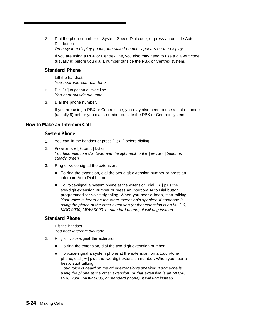2. Dial the phone number or System Speed Dial code, or press an outside Auto Dial button.

On a system display phone, the dialed number appears on the display.

If you are using a PBX or Centrex line, you also may need to use a dial-out code (usually 9) before you dial a number outside the PBX or Centrex system.

# **Standard Phone**

- 1. Lift the handset. You hear intercom dial tone.
- 2. Dial  $\lceil \frac{9}{2} \rceil$  to get an outside line. You hear outside dial tone.
- 3. Dial the phone number.

If you are using a PBX or Centrex line, you may also need to use a dial-out code (usually 9) before you dial a number outside the PBX or Centrex system.

# **How to Make an Intercom Call**

# **System Phone**

- 1. You can lift the handset or press  $\lceil S_{\text{Dk}r} \rceil$  before dialing.
- 2. Press an idle [ *Intercom* ] button. You hear intercom dial tone, and the light next to the  $\lceil$  Intercom  $\rceil$  button is steady green.
- 3. Ring or voice-signal the extension:
	- To ring the extension, dial the two-digit extension number or press an intercom Auto Dial button.
	- To voice-signal a system phone at the extension, dial  $[ \star ]$  plus the two-digit extension number or press an intercom Auto Dial button programmed for voice signaling. When you hear a beep, start talking. Your voice is heard on the other extension's speaker. If someone is using the phone at the other extension (or that extension is an MLC-6, MDC 9000, MDW 9000, or standard phone), it will ring instead.

# **Standard Phone**

- 1. Lift the handset. You hear intercom dial tone.
- 2. Ring or voice-signal the extension:
	- To ring the extension, dial the two-digit extension number.
	- To voice-signal a system phone at the extension, on a touch-tone phone, dial  $\lceil \pm \rceil$  plus the two-digit extension number. When you hear a beep, start talking.

Your voice is heard on the other extension's speaker. If someone is using the phone at the other extension (or that extension is an MLC-6, MDC 9000, MDW 9000, or standard phone), it will ring instead.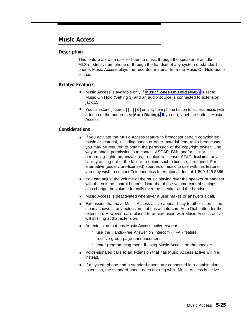# <span id="page-68-4"></span><span id="page-68-3"></span><span id="page-68-2"></span><span id="page-68-1"></span><span id="page-68-0"></span>**Music Access**

# **Description**

This feature allows a user to listen to music through the speaker of an idle MLS-model system phone or through the handset of any system or standard phone. Music Access plays the recorded material from the Music On Hold audio source.

# **Related Features**

- Music Access is available only if **[Music/Tones On Hold \(#602\)](#page-70-2)** is set to Music On Hold (Setting 3) and an audio source is connected to extension jack 15. ■
- You can store  $\left[\frac{Intercom}{1} \right] \left[\frac{5}{2}\right]$  on a system phone button to access music with a touch of the button (see **[Auto Dialing\).](#page-47-1)** If you do, label the button "Music Access." ■

# **Considerations**

- If you activate the Music Access feature to broadcast certain copyrighted music or material, including songs or other material from radio broadcasts, you may be required to obtain the permission of the copyright owner. One way to obtain permission is to contact ASCAP, BMI, and/or similar performing rights organizations, to obtain a license. AT&T disclaims any liability arising out of the failure to obtain such a license, if required. For alternative (usually pre-licensed) sources of music to use with this feature, you may wish to contact Telephonetics International, Inc. at 1-800-446-5366.
- You can adjust the volume of the music playing over the speaker or handset with the volume control buttons. Note that these volume control settings also change the volume for calls over the speaker and the handset.
- Music Access is deactivated whenever a user makes or answers a call.
- Extensions that have Music Access active appear busy to other users—red steady shows at any extension that has an intercom Auto Dial button for the extension. However, calls placed to an extension with Music Access active will still ring at that extension.
- An extension that has Music Access active cannot:
	- use the Hands-Free Answer on Intercom (HFAI) feature.
	- receive group page announcements.
	- enter programming mode if using Music Access on the speaker.
- Voice-signaled calls to an extension that has Music Access active will ring instead.
- If a system phone and a standard phone are connected in a combination extension, the standard phone does not ring while Music Access is active.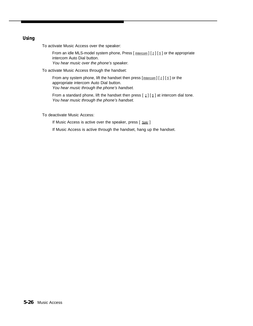# **Using**

To activate Music Access over the speaker:

From an idle MLS-model system phone, Press  $[$  *Intercom*  $][1][5]$  or the appropriate intercom Auto Dial button. You hear music over the phone's speaker.

To activate Music Access through the handset:

From any system phone, lift the handset then press  $[$  *Intercom*]  $[1]$   $[5]$  or the appropriate intercom Auto Dial button. You hear music through the phone's handset.

From a standard phone, lift the handset then press  $\left[\begin{array}{c} 1 \end{array}\right]$  at intercom dial tone. You hear music through the phone's handset.

To deactivate Music Access:

If Music Access is active over the speaker, press [ Spkr]

If Music Access is active through the handset, hang up the handset.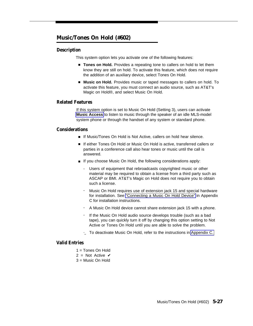# <span id="page-70-2"></span><span id="page-70-1"></span><span id="page-70-0"></span>**Music/Tones On Hold (#602)**

# **Description**

This system option lets you activate one of the following features:

- **Tones on Hold.** Provides a repeating tone to callers on hold to let them know they are still on hold. To activate this feature, which does not require the addition of an auxiliary device, select Tones On Hold.
- **Music on Hold.** Provides music or taped messages to callers on hold. To activate this feature, you must connect an audio source, such as AT&T's Magic on Hold®, and select Music On Hold.

#### **Related Features**

If this system option is set to Music On Hold (Setting 3), users can activate **[Music Access](#page-68-4)** to listen to music through the speaker of an idle MLS-model system phone or through the handset of any system or standard phone.

#### **Considerations**

- If Music/Tones On Hold is Not Active, callers on hold hear silence.
- If either Tones On Hold or Music On Hold is active, transferred callers or parties in a conference call also hear tones or music until the call is answered.
- If you choose Music On Hold, the following considerations apply:
	- Users of equipment that rebroadcasts copyrighted music or other material may be required to obtain a license from a third party such as ASCAP or BMI. AT&T's Magic on Hold does not require you to obtain such a license.
	- Music On Hold requires use of extension jack 15 and special hardware for installation. See ["Connecting a Music On Hold Device"](#page-119-0) in Appendix C for installation instructions.
	- A Music On Hold device cannot share extension jack 15 with a phone.
	- If the Music On Hold audio source develops trouble (such as a bad tape), you can quickly turn it off by changing this option setting to Not Active or Tones On Hold until you are able to solve the problem.
	- -\_ To deactivate Music On Hold, refer to the instructions in [Appendix C.](#page-104-0)

# **Valid Entries**

- 1 = Tones On Hold
- 2 = Not Active  $\boldsymbol{\nu}$
- 3 = Music On Hold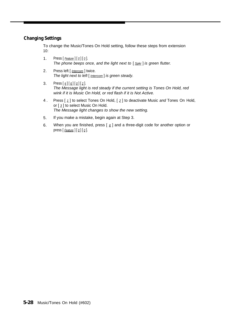# **Changing Settings**

To change the Music/Tones On Hold setting, follow these steps from extension 10:

- 1. Press  $[$  Feature  $]$  $[$   $Q$  $]$  $[$   $Q$  $]$ . The phone beeps once, and the light next to  $[$  Spkr  $]$  is green flutter.
- 2. Press left [ *Intercom* ] twice. The light next to left  $[$  *Intercom*  $]$  is green steady.
- 3. Press  $\left[\frac{\#}{6}\right]\left[\frac{0}{2}\right]\left[2\right]$ . The Message light is red steady if the current setting is Tones On Hold, red wink if it is Music On Hold, or red flash if it is Not Active.
- 4 . Press  $\lceil 1 \rceil$  to select Tones On Hold,  $\lceil 2 \rceil$  to deactivate Music and Tones On Hold, or [ 3 ] to select Music On Hold. The Message light changes to show the new setting.
- 5. If you make a mistake, begin again at Step 3.
- 6. When you are finished, press  $[$   $\#$ ] and a three-digit code for another option or press  $[$  Feature  $]$   $[$   $\emptyset$   $]$   $[$   $\emptyset$   $]$ .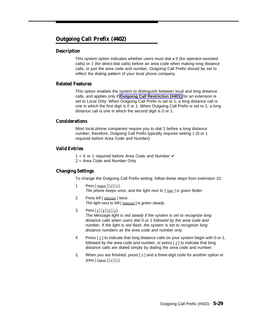#### <span id="page-72-0"></span>**Outgoing Call Prefix (#402)**

#### **Description**

This system option indicates whether users must dial a 0 (for operator-assisted calls) or 1 (for direct-dial calls) before an area code when making long distance calls, or just the area code and number. Outgoing Call Prefix should be set to reflect the dialing pattern of your local phone company.

#### **Related Features**

This option enables the system to distinguish between local and long distance calls, and applies only if **[Outgoing Call Restriction \(#401\)](#page-73-0)** for an extension is set to Local Only. When Outgoing Call Prefix is set to 1, a long distance call is one in which the first digit is 0 or 1. When Outgoing Call Prefix is set to 2, a long distance call is one in which the second digit is 0 or 1.

#### **Considerations**

Most local phone companies require you to dial 1 before a long distance number; therefore, Outgoing Call Prefix typically requires setting 1 (0 or 1 required before Area Code and Number)

#### **Valid Entries**

1 = 0 or 1 required before Area Code and Number  $\checkmark$ 

2 = Area Code and Number Only

#### **Changing Settings**

To change the Outgoing Call Prefix setting, follow these steps from extension 10:

- 1. Press  $[Feature][0][0]$ . The phone beeps once, and the light next to  $\lceil \frac{\text{Sokr}}{\text{Sokr}} \rceil$  is green flutter.
- 2. Press left [ *Intercom* ] twice. The light next to left  $[$  Intercom  $]$  is green steady.
- 3. Press  $\lceil \frac{4}{4} \rceil \lceil \frac{9}{12} \rceil$ . The Message light is red steady if the system is set to recognize long distance calls when users dial 0 or 1 followed by the area code and number. If the light is red flash, the system is set to recognize long distance numbers as the area code and number only.
- 4. Press [ 1 ] to indicate that long distance calls on your system begin with 0 or 1, followed by the area code and number, or press  $\lceil 2 \rceil$  to indicate that long distance calls are dialed simply by dialing the area code and number.
- 5. When you are finished, press [ # ] and a three-digit code for another option or press  $[$  Feature  $]$   $[$   $Q$   $]$   $[$   $Q$   $]$ .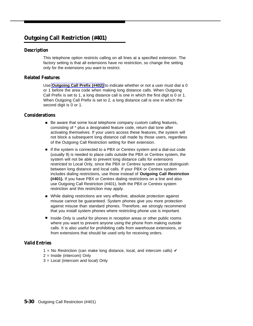#### <span id="page-73-1"></span><span id="page-73-0"></span>**Outgoing Call Restriction (#401)**

#### **Description**

This telephone option restricts calling on all lines at a specified extension. The factory setting is that all extensions have no restriction, so change the setting only for the extensions you want to restrict.

#### **Related Features**

Use **[Outgoing Call Prefix \(#402\)](#page-72-0)** to indicate whether or not a user must dial a 0 or 1 before the area code when making long distance calls. When Outgoing Call Prefix is set to 1, a long distance call is one in which the first digit is 0 or 1. When Outgoing Call Prefix is set to 2, a long distance call is one in which the second digit is 0 or 1.

#### **Considerations**

- Be aware that some local telephone company custom calling features, consisting of \* plus a designated feature code, return dial tone after activating themselves. If your users access these features, the system will not block a subsequent long distance call made by those users, regardless of the Outgoing Call Restriction setting for their extension.
- If the system is connected to a PBX or Centrex system and a dial-out code (usually 9) is needed to place calls outside the PBX or Centrex system, the system will not be able to prevent long distance calls for extensions restricted to Local Only, since the PBX or Centrex system cannot distinguish between long distance and local calls. If your PBX or Centrex system includes dialing restrictions, use those instead of **Outgoing Call Restriction (#401).** If you have PBX or Centrex dialing restrictions on a line and also use Outgoing Call Restriction (#401), both the PBX or Centrex system restriction and this restriction may apply.
- While dialing restrictions are very effective, absolute protection against misuse cannot be guaranteed. System phones give you more protection against misuse than standard phones. Therefore, we strongly recommend that you install system phones where restricting phone use is important.
- Inside Only is useful for phones in reception areas or other public rooms where you want to prevent anyone using the phone from making outside calls. It is also useful for prohibiting calls from warehouse extensions, or from extensions that should be used only for receiving orders.

#### **Valid Entries**

- 1 = No Restriction (can make long distance, local, and intercom calls)  $\checkmark$
- 2 = Inside (intercom) Only
- 3 = Local (intercom and local) Only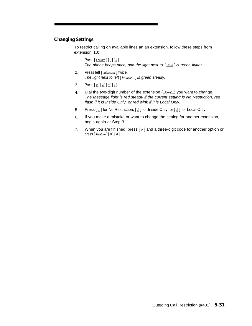#### **Changing Settings**

To restrict calling on available lines an an extension, follow these steps from extension 10:

- 1. Press  $[$  Feature  $]$  $[$   $Q$  $]$  $[$   $Q$  $]$ . The phone beeps once, and the light next to  $[$  Spkr $]$  is green flutter.
- 2. Press left [ Intercom ] twice. The light next to left [ Intercom] is green steady.
- 3. Press  $\left[\,\frac{\#}{4}\right]\left[\,\frac{q}{2}\right]\left[\,\frac{q}{1}\right]$ .
- 4. Dial the two-digit number of the extension (10–21) you want to change. The Message light is red steady if the current setting is No Restriction, red flash if it is Inside Only, or red wink if it is Local Only.
- 5. Press  $\left[\frac{1}{2}\right]$  for No Restriction,  $\left[\frac{2}{2}\right]$  for Inside Only, or  $\left[\frac{3}{2}\right]$  for Local Only.
- 6. If you make a mistake or want to change the setting for another extension, begin again at Step 3.
- 7. When you are finished, press  $[$   $\#$ ] and a three-digit code for another option or press  $[$  Feature  $]$  $[$   $Q$  $]$  $[$   $Q$  $]$ .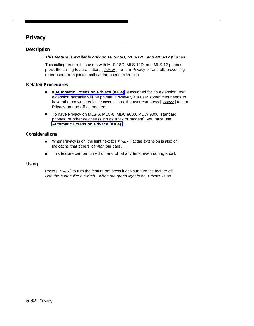#### **Privacy**

#### **Description**

#### **This feature is available only on MLS-18D, MLS-12D, and MLS-12 phones.**

This calling feature lets users with MLS-18D, MLS-12D, and MLS-12 phones press the calling feature button, [ Privacy ], to turn Privacy on and off, preventing other users from joining calls at the user's extension.

#### **Related Procedures**

- If [Automatic Extension Privacy \(#304\)](#page-49-0) is assigned for an extension, that extension normally will be private. However, if a user sometimes needs to have other co-workers join conversations, the user can press  $\lceil$  *Privacy*  $\rceil$  to turn Privacy on and off as needed.
- To have Privacy on MLS-6, MLC-6, MDC 9000, MDW 9000, standard phones, or other devices (such as a fax or modem), you must use **[Automatic Extension Privacy \(#304\).](#page-49-0)**

#### **Considerations**

- When Privacy is on, the light next to [ *Privacy* ] at the extension is also on, indicating that others cannot join calls.
- This feature can be turned on and off at any time, even during a call.

#### **Using**

Press [ Privacy ] to turn the feature on; press it again to turn the feature off. Use the button like a switch—when the green light is on, Privacy is on.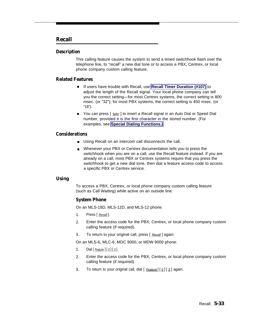#### <span id="page-76-0"></span>**Recall**

#### **Description**

This calling feature causes the system to send a timed switchhook flash over the telephone line, to "recall" a new dial tone or to access a PBX, Centrex, or local phone company custom calling feature.

#### **Related Features**

- If users have trouble with Recall, use [Recall Timer Duration \(#107\)](#page-78-0) to adjust the length of the Recall signal. Your local phone company can tell you the correct setting—for most Centrex systems, the correct setting is 800 msec. (or "32"); for most PBX systems, the correct setting is 450 msec. (or "18").
- You can press [ <u>Spkr</u> ] to insert a Recall signal in an Auto Dial or Speed Dial number, provided it is the first character in the stored number. (For examples, see **[Special Dialing Functions.\)](#page-79-0)**

#### **Considerations**

- Using Recall on an intercom call disconnects the call.
- Whenever your PBX or Centrex documentation tells you to press the switchhook when you are on a call, use the Recall feature instead. If you are already on a call, most PBX or Centrex systems require that you press the switchhook to get a new dial tone, then dial a feature access code to access a specific PBX or Centrex service.

#### **Using**

To access a PBX, Centrex, or local phone company custom calling feature (such as Call Waiting) while active on an outside line:

#### **System Phone**

On an MLS-18D, MLS-12D, and MLS-12 phone:

- 1. Press [ Recall].
- 2. Enter the access code for the PBX, Centrex, or local phone company custom calling feature (if required).
- 3. To return to your original call, press [ Recall ] again.

On an MLS-6, MLC-6, MDC 9000, or MDW 9000 phone:

- 1. Dial  $[$  Feature  $] [ 0 ] [ 3 ]$ .
- 2. Enter the access code for the PBX, Centrex, or local phone company custom calling feature (if required).
- 3. To return to your original call, dial  $[Feature][0][3]$  again.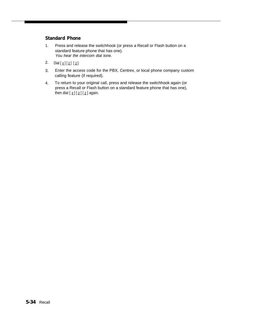#### **Standard Phone**

- 1. Press and release the switchhook (or press a Recall or Flash button on a standard feature phone that has one). You hear the intercom dial tone.
- 2. Dial  $\left[\frac{1}{2}\right]$   $\left[\frac{0}{2}\right]$   $\left[\frac{3}{2}\right]$ .
- 3. Enter the access code for the PBX, Centrex, or local phone company custom calling feature (if required).
- 4. To return to your original call, press and release the switchhook again (or press a Recall or Flash button on a standard feature phone that has one), then dial  $\left[\begin{array}{c} \# \\ \end{array}\right] \left[\begin{array}{c} 0 \\ \end{array}\right]$  again.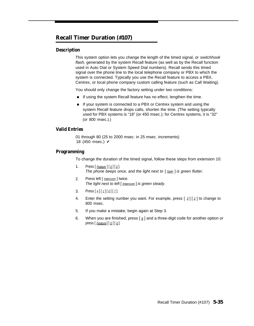#### <span id="page-78-1"></span><span id="page-78-0"></span>**Recall Timer Duration (#107)**

#### **Description**

This system option lets you change the length of the timed signal, or switchhook flash, generated by the system Recall feature (as well as by the Recall function used in Auto Dial or System Speed Dial numbers). Recall sends this timed signal over the phone line to the local telephone company or PBX to which the system is connected. Typically you use the Recall feature to access a PBX, Centrex, or local phone company custom calling feature (such as Call Waiting).

You should only change the factory setting under two conditions:

- If using the system Recall feature has no effect, lengthen the time.
- If your system is connected to a PBX or Centrex system and using the system Recall feature drops calls, shorten the time. (The setting typically used for PBX systems is "18" (or 450 msec.); for Centrex systems, it is "32" (or 800 msec.).)

#### **Valid Entries**

01 through 80 (25 to 2000 msec. in 25 msec. increments) 18 (450 msec.)  $\checkmark$ 

#### **Programming**

To change the duration of the timed signal, follow these steps from extension 10:

- 1. Press  $[$  Feature  $]$   $[$   $\emptyset$   $]$   $[$   $\emptyset$   $]$ . The phone beeps once, and the light next to  $\lceil S_{\text{pkr}} \rceil$  is green flutter.
- 2. Press left [ Intercom ] twice. The light next to left  $[$  Intercom  $]$  is green steady.
- 3. Press  $\left[\frac{1}{2}\right] \left[\frac{1}{2}\right] \left[\frac{1}{2}\right]$ .
- 4. Enter the setting number you want. For example, press  $\lceil 3 \rceil \lceil 2 \rceil$  to change to 800 msec.
- 5. If you make a mistake, begin again at Step 3.
- 6. When you are finished, press [#] and a three-digit code for another option or press  $[$  Feature  $[$   $[$   $\mathcal{Q}$   $]$   $[$   $\mathcal{Q}$   $]$ .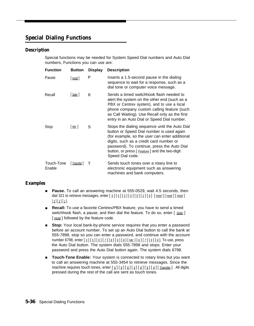#### <span id="page-79-1"></span><span id="page-79-0"></span>**Special Dialing Functions**

#### **Description**

Special functions may be needed for System Speed Dial numbers and Auto Dial numbers, Functions you can use are:

| <b>Function</b>      | <b>Button</b> | <b>Display</b> | <b>Description</b>                                                                                                                                                                                                                                                                                           |
|----------------------|---------------|----------------|--------------------------------------------------------------------------------------------------------------------------------------------------------------------------------------------------------------------------------------------------------------------------------------------------------------|
| Pause                | $[$ Hold $]$  | Р              | Inserts a 1.5-second pause in the dialing<br>sequence to wait for a response, such as a<br>dial tone or computer voice message.                                                                                                                                                                              |
| Recall               | $ $ Spkr $ $  | R              | Sends a timed switchhook flash needed to<br>alert the system on the other end (such as a<br>PBX or Centrex system), and to use a local<br>phone company custom calling feature (such<br>as Call Waiting). Use Recall only as the first<br>entry in an Auto Dial or Speed Dial number.                        |
| Stop                 | Mic           | S              | Stops the dialing sequence until the Auto Dial<br>button or Speed Dial number is used again<br>(for example, so the user can enter additional<br>digits, such as a credit card number or<br>password). To continue, press the Auto Dial<br>button, or press [ Feature] and the two-digit<br>Speed Dial code. |
| Touch-Tone<br>Enable | Transfer      | Т              | Sends touch tones over a rotary line to<br>electronic equipment such as answering<br>machines and bank computers.                                                                                                                                                                                            |

#### **Examples**

- **Pause.** To call an answering machine at 555-0529, wait 4.5 seconds, then dial 321 to retrieve messages, enter  $\lceil 5 \rceil \lceil 5 \rceil \lceil 6 \rceil \lceil 6 \rceil \lceil 2 \rceil \lceil 9 \rceil$  [Hold ] [Hold ] [Hold ]  $[3] [2] [1].$
- **Recall:** To use a favorite Centrex/PBX feature, you have to send a timed switchhook flash, a pause, and then dial the feature. To do so, enter  $[$  Spkr  $]$  $[$  Hold  $]$  followed by the feature code.
- **Stop:** Your local bank-by-phone service requires that you enter a password before an account number. To set up an Auto Dial button to call the bank at 555-7898, stop so you can enter a password, and continue with the account number 6798, enter  $\lceil 5 \rceil \lceil 5 \rceil \lceil 2 \rceil \lceil 8 \rceil \lceil 9 \rceil \lceil 8 \rceil$  [*b*]  $\lceil 7 \rceil \lceil 9 \rceil \lceil 8 \rceil$ . To use, press the Auto Dial button. The system dials 555-7898 and stops. Enter your password and press the Auto Dial button again. The system dials 6798.
- **Touch-Tone Enable:** Your system is connected to rotary lines but you want to call an answering machine at 555-3454 to retrieve messages. Since the machine requires touch tones, enter  $\lceil 5 \rceil \lceil 5 \rceil \lceil 5 \rceil \lceil 3 \rceil \lceil 4 \rceil \lceil 5 \rceil \lceil 4 \rceil$  Transfer ]. All digits pressed during the rest of the call are sent as touch tones.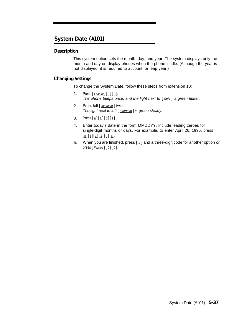#### <span id="page-80-0"></span>**System Date (#101)**

#### **Description**

This system option sets the month, day, and year. The system displays only the month and day on display phones when the phone is idle. (Although the year is not displayed, it is required to account for leap year.)

#### **Changing Settings**

To change the System Date, follow these steps from extension 10:

- 1. Press  $[$  Feature] $[$   $Q$ ] $[$   $Q$ ]. The phone beeps once, and the light next to  $\lceil S_{\text{Dkr}} \rceil$  is green flutter.
- 2. Press left [ *Intercom* ] twice. The light next to left [ Intercom ] is green steady.
- 3. Press  $\left[\frac{\#}{\frac{1}{2}}\right]\left[\frac{0}{\frac{0}{2}}\right]\left[\frac{1}{1}\right]$ .
- 4. Enter today's date in the form MMDDYY. Include leading zeroes for single-digit months or days. For example, to enter April 26, 1995, press  $[\begin{array}{c|c} 0 \end{array}][\begin{array}{c|c} 4 \end{array}][\begin{array}{c|c} 2 \end{array}][\begin{array}{c|c} 6 \end{array}][\begin{array}{c|c} 9 \end{array}][\begin{array}{c|c} 5 \end{array}].$
- 5. When you are finished, press  $\lceil \frac{1}{2} \rceil$  and a three-digit code for another option or press  $[$  Feature] $[$   $[$   $]$  $[$   $]$  $[$   $]$  $[$   $]$ .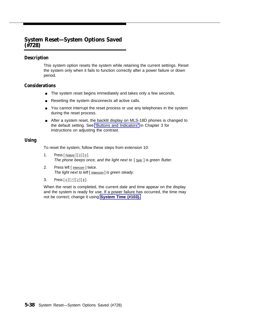#### **System Reset—System Options Saved (#728)**

#### **Description**

This system option resets the system while retaining the current settings. Reset the system only when it fails to function correctly after a power failure or down period.

#### **Considerations**

- The system reset begins immediately and takes only a few seconds.
- Resetting the system disconnects all active calls.
- You cannot interrupt the reset process or use any telephones in the system during the reset process.
- After a system reset, the backlit display on MLS-18D phones is changed to the default setting. See ["Buttons and Indicators"](#page-20-0) in Chapter 3 for instructions on adjusting the contrast.

#### **Using**

To reset the system, follow these steps from extension 10:

- 1. Press  $[$  Feature  $]$   $[$   $\emptyset$   $]$   $[$   $\emptyset$   $]$ . The phone beeps once, and the light next to  $[$   $_{Spkr}$ ] is green flutter.
- 2. Press left [ *Intercom* ] twice. The light next to left  $[$  Intercom  $]$  is green steady.
- 3. Press  $[\,\,\#] [\,7] [\,2] [\,8].$

When the reset is completed, the current date and time appear on the display and the system is ready for use. If a power failure has occurred, the time may not be correct; change it using **[System Time \(#103\).](#page-84-0)**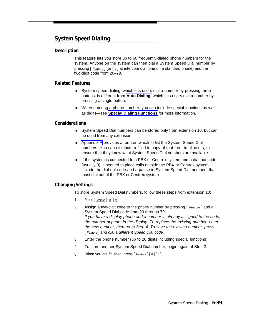#### <span id="page-82-0"></span>**System Speed Dialing**

#### **Description**

This feature lets you store up to 60 frequently-dialed phone numbers for the system. Anyone on the system can then dial a System Speed Dial number by pressing [ Feature ] (or [ # ] at intercom dial tone on a standard phone) and the two-digit code from 20–79.

#### **Related Features**

- System speed dialing, which lets users dial a number by pressing three buttons, is different from **[Auto Dialing,](#page-47-0)** which lets users dial a number by pressing a single button.
- When entering a phone number, you can include special functions as well as digits—see **[Special Dialing Functions](#page-79-1)** for more information.

#### **Considerations**

- System Speed Dial numbers can be stored only from extension 10, but can be used from any extension.
- [Appendix A](#page-99-0) provides a form on which to list the System Speed Dial numbers. You can distribute a filled-in copy of that form to all users, to ensure that they know what System Speed Dial numbers are available.
- If the system is connected to a PBX or Centrex system and a dial-out code (usually 9) is needed to place calls outside the PBX or Centrex system, include the dial-out code and a pause in System Speed Dial numbers that must dial out of the PBX or Centrex system.

#### **Changing Settings**

To store System Speed Dial numbers, follow these steps from extension 10:

- 1. Press  $[$  Feature  $]$   $[$   $Q$   $]$   $[$   $Q$   $]$ .
- 2. Assign a two-digit code to the phone number by pressing [ Feature ] and a System Speed Dial code from 20 through 79. If you have a display phone and a number is already assigned to the code, the number appears in the display. To replace the existing number, enter the new number, then go to Step 4. To save the existing number, press [ Feature ] and dial a different Speed Dial code.
- 3. Enter the phone number (up to 20 digits including special functions).
- 4. To store another System Speed Dial number, begin again at Step 2.
- 5. When you are finished, press  $\lceil$  Feature  $\lceil \lceil \frac{0}{2} \rceil$ .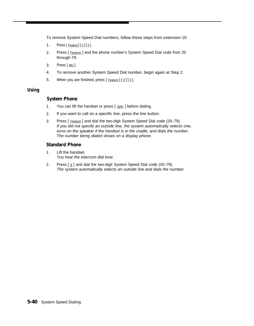To remove System Speed Dial numbers, follow these steps from extension 10:

- 1. Press  $[Feature] [0][0]$ .
- 2. Press [ Feature ] and the phone number's System Speed Dial code from 20 through 79.
- 3. Press [ Mic ].
- 4. To remove another System Speed Dial number, begin again at Step 2.
- 5. When you are finished, press  $[$  Feature  $]$   $[$   $Q$   $]$   $[$   $Q$   $]$ .

#### **Using**

#### **System Phone**

- 1. You can lift the handset or press [ Spkr ] before dialing.
- 2. If you want to call on a specific line, press the line button.
- 3. Press [ Feature ] and dial the two-digit System Speed Dial code (20-79). If you did not specify an outside line, the system automatically selects one, turns on the speaker if the handset is in the cradle, and dials the number. The number being dialed shows on a display phone.

#### **Standard Phone**

- 1. Lift the handset. You hear the intercom dial tone.
- 2. Press  $\left[\frac{1}{2}\right]$  and dial the two-digit System Speed Dial code (20-79). The system automatically selects an outside line and dials the number.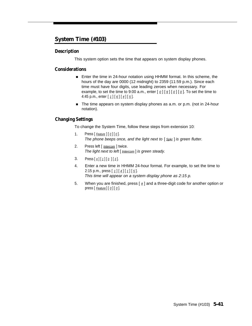#### <span id="page-84-0"></span>**System Time (#103)**

#### **Description**

This system option sets the time that appears on system display phones.

#### **Considerations**

- Enter the time in 24-hour notation using HHMM format. In this scheme, the hours of the day are 0000 (12 midnight) to 2359 (11:59 p.m.). Since each time must have four digits, use leading zeroes when necessary. For example, to set the time to 9:00 a.m., enter  $[\,\varrho\,] [\,\varrho\,] [\,\varrho\,] [\,\varrho]$ . To set the time to 4:45 p.m., enter  $[1] [\underline{6}] [\underline{4}] [\underline{5}]$ .
- The time appears on system display phones as a.m. or p.m. (not in 24-hour notation).

#### <span id="page-84-2"></span><span id="page-84-1"></span>**Changing Settings**

To change the System Time, follow these steps from extension 10:

- 1. Press  $[$  Feature  $]$   $[$   $\emptyset$   $]$   $[$   $\emptyset$   $]$ . The phone beeps once, and the light next to  $\lceil S_{\text{Dk}r} \rceil$  is green flutter.
- 2. Press left [ *Intercom* ] twice. The light next to left  $[$  Intercom  $]$  is green steady.
- 3. Press  $\left[\,\underline{\textbf{t}}\,\right] \left[\,\underline{\textbf{t}}\,\right] \left[\,\underline{\textbf{0}}\,\right] \left[\,\underline{\textbf{3}}\,\right]$ .
- 4. Enter a new time in HHMM 24-hour format. For example, to set the time to 2:15 p.m., press  $[1][4][1][5]$ . This time will appear on a system display phone as 2:15 p.
- 5. When you are finished, press  $[\,\,\,\# \,]$  and a three-digit code for another option or press  $[$  Feature  $]$   $[$   $Q$   $]$   $[$   $Q$   $]$ .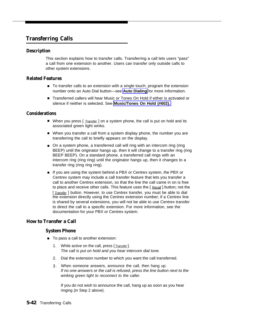#### **Transferring Calls**

#### **Description**

This section explains how to transfer calls. Transferring a call lets users "pass" a call from one extension to another. Users can transfer only outside calls to other system extensions.

#### **Related Features**

- To transfer calls to an extension with a single touch, program the extension number onto an Auto Dial button—see **[Auto Dialing](#page-47-1)** for more information.
- Transferred callers will hear Music or Tones On Hold if either is activated or silence if neither is selected. See **[Music/Tones On Hold \(#602\).](#page-70-0)**

#### **Considerations**

- When you press [ *Transfer* ] on a system phone, the call is put on hold and its associated green light winks.
- When you transfer a call from a system display phone, the number you are transferring the call to briefly appears on the display.
- On a system phone, a transferred call will ring with an intercom ring (ring BEEP) until the originator hangs up, then it will change to a transfer ring (ring BEEP BEEP). On a standard phone, a transferred call rings with an intercom ring (ring ring) until the originator hangs up, then it changes to a transfer ring (ring ring ring).
- If you are using the system behind a PBX or Centrex system, the PBX or Centrex system may include a call transfer feature that lets you transfer a call to another Centrex extension, so that the line the call came in on is free to place and receive other calls. This feature uses the  $[Recall]$  button; not the [*Transfer* ] button. However, to use Centrex transfer, you must be able to dial the extension directly using the Centrex extension number; if a Centrex line is shared by several extensions, you will not be able to use Centrex transfer to direct the call to a specific extension. For more information, see the documentation for your PBX or Centrex system.

#### **How to Transfer a Call**

#### **System Phone**

- To pass a call to another extension:
	- 1. While active on the call, press [*Transfer*]. The call is put on hold and you hear intercom dial tone.
	- 2. Dial the extension number to which you want the call transferred.
	- 3. When someone answers, announce the call, then hang up. If no one answers or the call is refused, press the line button next to the winking green light to reconnect to the caller.

If you do not wish to announce the call, hang up as soon as you hear ringing (in Step 2 above).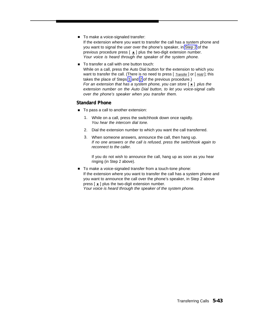- To make a voice-signaled transfer:
	- If the extension where you want to transfer the call has a system phone and you want to signal the user over the phone's speaker, in [Step 2](#page-84-1) of the previous procedure press  $\left[\right. \star \right]$  plus the two-digit extension number. Your voice is heard through the speaker of the system phone.
- To transfer a call with one button touch: While on a call, press the Auto Dial button for the extension to which you want to transfer the call. (There is no need to press  $[$  *Transfer*  $]$  or  $[$  *Hold* $]$ ; this takes the place of Steps [1](#page-84-2) and [2](#page-84-1) of the previous procedure.) For an extension that has a system phone, you can store  $[\pm]$  plus the extension number on the Auto Dial button, to let you voice-signal calls over the phone's speaker when you transfer them.

#### **Standard Phone**

- To pass a call to another extension:
	- 1. While on a call, press the switchhook down once rapidly. You hear the intercom dial tone.
	- 2. Dial the extension number to which you want the call transferred.
	- 3. When someone answers, announce the call, then hang up. If no one answers or the call is refused, press the switchhook again to reconnect to the caller.

If you do not wish to announce the call, hang up as soon as you hear ringing (in Step 2 above).

■ To make a voice-signaled transfer from a touch-tone phone: If the extension where you want to transfer the call has a system phone and you want to announce the call over the phone's speaker, in Step 2 above press  $\lceil \star \rceil$  plus the two-digit extension number. Your voice is heard through the speaker of the system phone.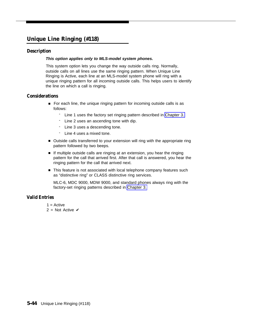#### **Unique Line Ringing (#118)**

#### **Description**

#### **This option applies only to MLS-model system phones.**

This system option lets you change the way outside calls ring. Normally, outside calls on all lines use the same ringing pattern. When Unique Line Ringing is Active, each line at an MLS-model system phone will ring with a unique ringing pattern for all incoming outside calls. This helps users to identify the line on which a call is ringing.

#### **Considerations**

- For each line, the unique ringing pattern for incoming outside calls is as follows:
	- Line 1 uses the factory set ringing pattern described in [Chapter 3.](#page-18-0)
	- Line 2 uses an ascending tone with dip.
	- Line 3 uses a descending tone.
	- Line 4 uses a mixed tone.
- Outside calls transferred to your extension will ring with the appropriate ring pattern followed by two beeps.
- If multiple outside calls are ringing at an extension, you hear the ringing pattern for the call that arrived first. After that call is answered, you hear the ringing pattern for the call that arrived next.
- This feature is not associated with local telephone company features such as "distinctive ring" or CLASS distinctive ring services.

MLC-6, MDC 9000, MDW 9000, and standard phones always ring with the factory-set ringing patterns described in [Chapter 3.](#page-18-0)

#### **Valid Entries**

- $1 =$  Active
- 2 = Not Active  $\checkmark$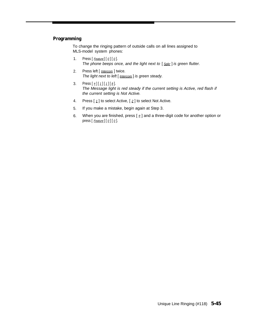#### **Programming**

To change the ringing pattern of outside calls on all lines assigned to MLS-model system phones:

- 1. Press  $[$  Feature] $[$  0] $[$  0]. The phone beeps once, and the light next to  $[$  Spkr  $]$  is green flutter.
- 2. Press left [ *Intercom* ] twice. The light next to left [ **Intercom** ] is green steady.
- 3. Press  $[\,\,\#][\,\,1\,] [\,\,1\,] [\,\,8\,].$ The Message light is red steady if the current setting is Active, red flash if the current setting is Not Active.
- 4. Press  $\left[\begin{array}{c} 1 \end{array}\right]$  to select Active,  $\left[\begin{array}{c} 2 \end{array}\right]$  to select Not Active.
- 5. If you make a mistake, begin again at Step 3.
- 6. When you are finished, press  $[\,\,\# \,]$  and a three-digit code for another option or press  $[$  Feature] $[$   $\emptyset$  $]$  $[$   $\emptyset$  $]$ .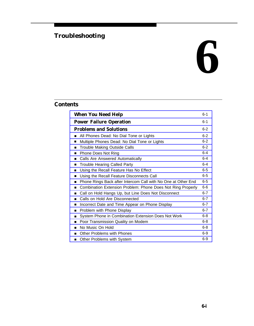### **Troubleshooting**

# **6**

#### **Contents**

| <b>When You Need Help</b><br>$6 - 1$                               |         |  |  |
|--------------------------------------------------------------------|---------|--|--|
| <b>Power Failure Operation</b>                                     | 6-1     |  |  |
| <b>Problems and Solutions</b>                                      | $6 - 2$ |  |  |
| All Phones Dead: No Dial Tone or Lights<br>■                       | $6 - 2$ |  |  |
| Multiple Phones Dead: No Dial Tone or Lights<br>■                  | $6 - 2$ |  |  |
| Trouble Making Outside Calls<br>▬                                  | $6 - 2$ |  |  |
| Phone Does Not Ring<br>п                                           | $6 - 4$ |  |  |
| Calls Are Answered Automatically<br>▪                              | $6 - 4$ |  |  |
| <b>Trouble Hearing Called Party</b><br>▪                           | $6 - 4$ |  |  |
| Using the Recall Feature Has No Effect<br>■                        | $6-5$   |  |  |
| Using the Recall Feature Disconnects Call<br>п                     | $6-5$   |  |  |
| Phone Rings Back after Intercom Call with No One at Other End<br>▪ | $6-5$   |  |  |
| Combination Extension Problem: Phone Does Not Ring Properly<br>■   | $6-6$   |  |  |
| Call on Hold Hangs Up, but Line Does Not Disconnect<br>■           | $6 - 7$ |  |  |
| Calls on Hold Are Disconnected<br>■                                | $6 - 7$ |  |  |
| Incorrect Date and Time Appear on Phone Display<br>п               | $6 - 7$ |  |  |
| Problem with Phone Display<br>■                                    | $6 - 7$ |  |  |
| System Phone in Combination Extension Does Not Work<br>▪           | $6 - 8$ |  |  |
| Poor Transmission Quality on Modem<br>п                            | $6 - 8$ |  |  |
| No Music On Hold<br>■                                              | $6 - 8$ |  |  |
| Other Problems with Phones<br>■                                    | $6 - 9$ |  |  |
| Other Problems with System<br>■                                    | $6-9$   |  |  |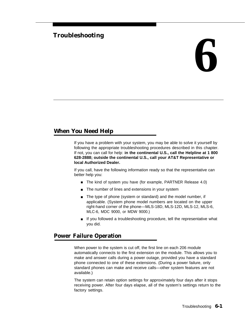# **Troubleshooting 6**

#### <span id="page-90-0"></span>**When You Need Help**

If you have a problem with your system, you may be able to solve it yourself by following the appropriate troubleshooting procedures described in this chapter. If not, you can call for help: **in the continental U.S., call the Helpline at 1 800 628-2888; outside the continental U.S., call your AT&T Representative or local Authorized Dealer.**

<span id="page-90-1"></span>If you call, have the following information ready so that the representative can better help you:

- The kind of system you have (for example, PARTNER Release 4.0)
- The number of lines and extensions in your system
- The type of phone (system or standard) and the model number, if applicable. (System phone model numbers are located on the upper right-hand corner of the phone—MLS-18D, MLS-12D, MLS-12, MLS-6, MLC-6, MDC 9000, or MDW 9000.)
- If you followed a troubleshooting procedure, tell the representative what you did.

#### **Power Failure Operation**

When power to the system is cut off, the first line on each 206 module automatically connects to the first extension on the module. This allows you to make and answer calls during a power outage, provided you have a standard phone connected to one of these extensions. (During a power failure, only standard phones can make and receive calls—other system features are not available.)

The system can retain option settings for approximately four days after it stops receiving power. After four days elapse, all of the system's settings return to the factory settings.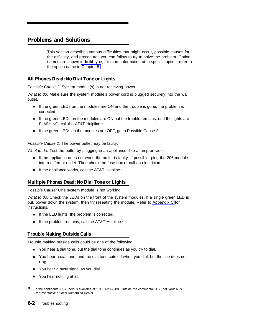#### <span id="page-91-0"></span>**Problems and Solutions**

This section describes various difficulties that might occur, possible causes for the difficulty, and procedures you can follow to try to solve the problem. Option names are shown in **bold** type; for more information on a specific option, refer to the option name in [Chapter 5.](#page-42-0)

#### <span id="page-91-1"></span>**All Phones Dead: No Dial Tone or Lights**

Possible Cause 1: System module(s) is not receiving power.

What to do: Make sure the system module's power cord is plugged securely into the wall outlet.

- If the green LEDs on the modules are ON and the trouble is gone, the problem is corrected.
- If the green LEDs on the modules are ON but the trouble remains, or if the lights are FLASHING, call the AT&T Helpline.\*
- If the green LEDs on the modules are OFF, go to Possible Cause 2. ■

Possible Cause 2: The power outlet may be faulty.

What to do: Test the outlet by plugging in an appliance, like a lamp or radio.

- If the appliance does not work, the outlet is faulty. If possible, plug the 206 module into a different outlet. Then check the fuse box or call an electrician.
- <span id="page-91-2"></span>If the appliance works, call the AT&T Helpline.\* ■

#### **Multiple Phones Dead: No Dial Tone or Lights**

Possible Cause: One system module is not working.

What to do: Check the LEDs on the front of the system modules. If a single green LED is out, power down the system, then try reseating the module. Refer to [Appendix C](#page-104-0) for instructions.

- If the LED lights, the problem is corrected.
- If the problem remains, call the AT&T Helpline.\* ■

#### **Trouble Making Outside Calls**

Trouble making outside calls could be one of the following:

- You hear a dial tone, but the dial tone continues as you try to dial.
- You hear a dial tone, and the dial tone cuts off when you dial, but the line does not ring.
- You hear a busy signal as you dial.
- You hear nothing at all.

<sup>✽</sup> In the continental U.S., help is available at 1 800 628-2888. Outside the continental U.S., call your AT&T Representative or local Authorized Dealer.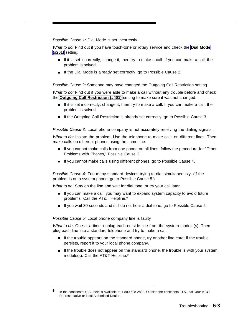Possible Cause 1: Dial Mode is set incorrectly.

What to do: Find out if you have touch-tone or rotary service and check the **[Dial Mode](#page-55-0) [\(#201\)](#page-55-0)** setting.

- If it is set incorrectly, change it, then try to make a call. If you can make a call, the problem is solved.
- If the Dial Mode is already set correctly, go to Possible Cause 2.

Possible Cause 2: Someone may have changed the Outgoing Call Restriction setting.

What to do: Find out if you were able to make a call without any trouble before and check the **[Outgoing Call Restriction \(#401\)](#page-73-1)** setting to make sure it was not changed.

- If it is set incorrectly, change it, then try to make a call. If you can make a call, the problem is solved.
- If the Outgoing Call Restriction is already set correctly, go to Possible Cause 3.

Possible Cause 3: Local phone company is not accurately receiving the dialing signals.

What to do: Isolate the problem. Use the telephone to make calls on different lines. Then, make calls on different phones using the same line.

- If you cannot make calls from one phone on all lines, follow the procedure for "Other Problems with Phones," Possible Cause 2.
- If you cannot make calls using different phones, go to Possible Cause 4.

Possible Cause 4: Too many standard devices trying to dial simultaneously. (If the problem is on a system phone, go to Possible Cause 5.)

What to do: Stay on the line and wait for dial tone, or try your call later.

- If you can make a call, you may want to expand system capacity to avoid future problems. Call the AT&T Helpline.\*
- If you wait 30 seconds and still do not hear a dial tone, go to Possible Cause 5.

Possible Cause 5: Local phone company line is faulty

What to do: One at a time, unplug each outside line from the system module(s). Then plug each line into a standard telephone and try to make a call.

- If the trouble appears on the standard phone, try another line cord; if the trouble persists, report it to your local phone company.
- If the trouble does not appear on the standard phone, the trouble is with your system module(s). Call the AT&T Helpline.\*

<sup>✽</sup> In the continental U.S., help is available at 1 800 628-2888. Outside the continental U.S., call your AT&T Representative or local Authorized Dealer.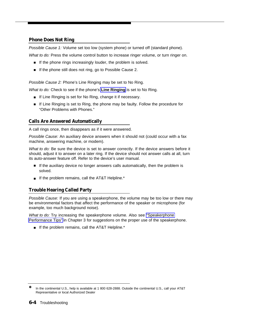#### <span id="page-93-0"></span>**Phone Does Not Ring**

Possible Cause 1: Volume set too low (system phone) or turned off (standard phone).

What to do: Press the volume control button to increase ringer volume, or turn ringer on.

- If the phone rings increasingly louder, the problem is solved.
- If the phone still does not ring, go to Possible Cause 2.

Possible Cause 2: Phone's Line Ringing may be set to No Ring.

What to do: Check to see if the phone's **[Line Ringing](#page-65-0)** is set to No Ring.

- If Line Ringing is set for No Ring, change it if necessary.
- If Line Ringing is set to Ring, the phone may be faulty. Follow the procedure for "Other Problems with Phones."

#### <span id="page-93-1"></span>**Calls Are Answered Automatically**

A call rings once, then disappears as if it were answered.

Possible Cause: An auxiliary device answers when it should not (could occur with a fax machine, answering machine, or modem).

What to do: Be sure the device is set to answer correctly. If the device answers before it should, adjust it to answer on a later ring. If the device should not answer calls at all, turn its auto-answer feature off. Refer to the device's user manual.

- <span id="page-93-2"></span>■ If the auxiliary device no longer answers calls automatically, then the problem is solved.
- If the problem remains, call the AT&T Helpline.<sup>\*</sup>

#### **Trouble Hearing Called Party**

Possible Cause: If you are using a speakerphone, the volume may be too low or there may be environmental factors that affect the performance of the speaker or microphone (for example, too much background noise).

What to do: Try increasing the speakerphone volume. Also see ["Speakerphone](#page-25-0)" [Performance Tips"](#page-25-0) in Chapter 3 for suggestions on the proper use of the speakerphone.

■ If the problem remains, call the AT&T Helpline.<sup>\*</sup>

<sup>✽</sup> In the continental U.S., help is available at 1 800 628-2888. Outside the continental U.S., call your AT&T Representative or local Authorized Dealer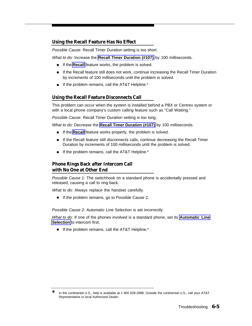#### <span id="page-94-0"></span>**Using the Recall Feature Has No Effect**

Possible Cause: Recall Timer Duration setting is too short.

What to do: Increase the **[Recall Timer Duration \(#107\)](#page-78-1)** by 100 milliseconds.

- If the **Recall** feature works, the problem is solved.
- If the Recall feature still does not work, continue increasing the Recall Timer Duration by increments of 100 milliseconds until the problem is solved.
- If the problem remains, call the AT&T Helpline.\*

#### <span id="page-94-1"></span>**Using the Recall Feature Disconnects Call**

This problem can occur when the system is installed behind a PBX or Centrex system or with a local phone company's custom calling feature such as "Call Waiting."

Possible Cause: Recall Timer Duration setting is too long.

What to do: Decrease the **[Recall Timer Duration \(#107\)](#page-78-1)** by 100 milliseconds.

- If the **Recall** feature works properly, the problem is solved.
- If the Recall feature still disconnects calls, continue decreasing the Recall Timer Duration by increments of 100 milliseconds until the problem is solved.
- If the problem remains, call the AT&T Helpline.\*

#### <span id="page-94-2"></span>**Phone Rings Back after Intercom Call with No One at Other End**

Possible Cause 1: The switchhook on a standard phone is accidentally pressed and released, causing a call to ring back.

What to do: Always replace the handset carefully.

■ If the problem remains, go to Possible Cause 2.

Possible Cause 2: Automatic Line Selection is set incorrectly.

What to do: If one of the phones involved is a standard phone, set its **[Automatic Line](#page-50-0) [Selection](#page-50-0)** to intercom first.

■ If the problem remains, call the AT&T Helpline.\*

<sup>✽</sup> In the continental U.S., help is available at 1 800 628-2888. Outside the continental U.S., call your AT&T Representative or local Authorized Dealer.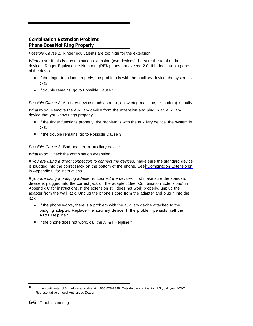#### <span id="page-95-0"></span>**Combination Extension Problem: Phone Does Not Ring Properly**

Possible Cause 1: Ringer equivalents are too high for the extension.

What to do: If this is a combination extension (two devices), be sure the total of the devices' Ringer Equivalence Numbers (REN) does not exceed 2.0. If it does, unplug one of the devices.

- If the ringer functions properly, the problem is with the auxiliary device; the system is okay.
- If trouble remains, go to Possible Cause 2. ■

Possible Cause 2: Auxiliary device (such as a fax, answering machine, or modem) is faulty.

What to do: Remove the auxiliary device from the extension and plug in an auxiliary device that you know rings properly.

- If the ringer functions properly, the problem is with the auxiliary device; the system is okay.
- If the trouble remains, go to Possible Cause 3.

<span id="page-95-1"></span>Possible Cause 3: Bad adapter or auxiliary device.

What to do: Check the combination extension:

If you are using a direct connection to connect the devices, make sure the standard device is plugged into the correct jack on the bottom of the phone. See ["Combination Extensions"](#page-109-0) in Appendix C for instructions.

If you are using a bridging adapter to connect the devices, first make sure the standard device is plugged into the correct jack on the adapter. See ["Combination Extensions"](#page-109-0) in Appendix C for instructions. If the extension still does not work properly, unplug the adapter from the wall jack. Unplug the phone's cord from the adapter and plug it into the jack.

- If the phone works, there is a problem with the auxiliary device attached to the bridging adapter. Replace the auxiliary device. If the problem persists, call the AT&T Helpline.\*
- If the phone does not work, call the AT&T Helpline.\*

<sup>✽</sup> In the continental U.S., help is available at 1 800 628-2888. Outside the continental U.S., call your AT&T Representative or local Authorized Dealer.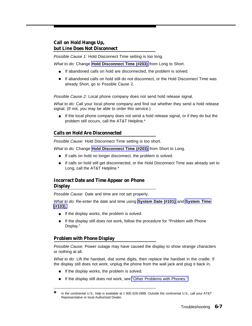#### <span id="page-96-0"></span>**Call on Hold Hangs Up, but Line Does Not Disconnect**

Possible Cause 1: Hold Disconnect Time setting is too long.

What to do: Change **[Hold Disconnect Time \(#203\)](#page-62-0)** from Long to Short.

- If abandoned calls on hold are disconnected, the problem is solved.
- If abandoned calls on hold still do not disconnect, or the Hold Disconnect Time was already Short, go to Possible Cause 2.

Possible Cause 2: Local phone company does not send hold release signal.

What to do: Call your local phone company and find out whether they send a hold release signal. (If not, you may be able to order this service.)

■ If the local phone company does not send a hold release signal, or if they do but the problem still occurs, call the AT&T Helpline.\*

#### <span id="page-96-1"></span>**Calls on Hold Are Disconnected**

Possible Cause: Hold Disconnect Time setting is too short.

What to do: Change **[Hold Disconnect Time \(#203\)](#page-62-0)** from Short to Long.

- If calls on hold no longer disconnect, the problem is solved.
- <span id="page-96-2"></span>■ If calls on hold still get disconnected, or the Hold Disconnect Time was already set to Long, call the AT&T Helpline.\*

#### **Incorrect Date and Time Appear on Phone Display**

Possible Cause: Date and time are not set properly.

What to do: Re-enter the date and time using **[System Date \(#101\)](#page-80-0)** and **[System Time](#page-84-0) [\(#103\).](#page-84-0)**

- If the display works, the problem is solved.
- If the display still does not work, follow the procedure for "Problem with Phone Display."

#### **Problem with Phone Display**

Possible Cause: Power outage may have caused the display to show strange characters or nothing at all.

What to do: Lift the handset, dial some digits, then replace the handset in the cradle. If the display still does not work, unplug the phone from the wall jack and plug it back in.

- If the display works, the problem is solved.
- If the display still does not work, see ["Other Problems with Phones."](#page-98-2)

<sup>✽</sup> In the continental U.S., help is available at 1 800 628-2888. Outside the continental U.S., call your AT&T Representative or local Authorized Dealer.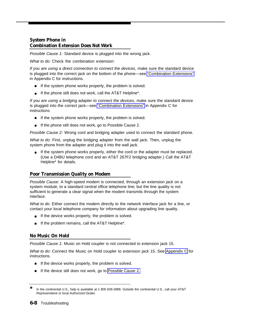#### <span id="page-97-0"></span>**System Phone in Combination Extension Does Not Work**

Possible Cause 1: Standard device is plugged into the wrong jack.

What to do: Check the combination extension:

If you are using a direct connection to connect the devices, make sure the standard device is plugged into the correct jack on the bottom of the phone—see ["Combination Extensions"](#page-109-1) in Appendix C for instructions.

- If the system phone works properly, the problem is solved.
- If the phone still does not work, call the AT&T Helpline\*.

If you are using a bridging adapter to connect the devices, make sure the standard device is plugged into the correct jack—see ["Combination Extensions"](#page-109-1) in Appendix C for instructions.

- If the system phone works properly, the problem is solved.
- If the phone still does not work, go to Possible Cause 2.

Possible Cause 2: Wrong cord and bridging adapter used to connect the standard phone.

What to do: First, unplug the bridging adapter from the wall jack. Then, unplug the system phone from the adapter and plug it into the wall jack.

■ If the system phone works properly, either the cord or the adapter must be replaced. (Use a D4BU telephone cord and an AT&T 267F2 bridging adapter.) Call the AT&T Helpline\* for details.

#### <span id="page-97-1"></span>**Poor Transmission Quality on Modem**

Possible Cause: A high-speed modem is connected, through an extension jack on a system module, to a standard central office telephone line; but the line quality is not sufficient to generate a clear signal when the modem transmits through the system interface.

What to do: Either connect the modem directly to the network interface jack for a line, or contact your local telephone company for information about upgrading line quality.

- If the device works properly, the problem is solved.
- If the problem remains, call the AT&T Helpline\*.

#### **No Music On Hold**

Possible Cause 1: Music on Hold coupler is not connected to extension jack 15.

What to do: Connect the Music on Hold coupler to extension jack 15. See [Appendix C](#page-104-1) for instructions.

- If the device works properly, the problem is solved.
- If the device still does not work, go to [Possible Cause 2.](#page-98-3)

<sup>✽</sup> In the continental U.S., help is available at 1 800 628-2888. Outside the continental U.S., call your AT&T Representative or local Authorized Dealer.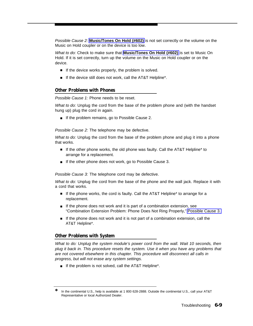<span id="page-98-3"></span>Possible Cause 2: **[Music/Tones On Hold \(#602\)](#page-70-1)** is not set correctly or the volume on the Music on Hold coupler or on the device is too low.

What to do: Check to make sure that **[Music/Tones On Hold \(#602\)](#page-70-1)** is set to Music On Hold. If it is set correctly, turn up the volume on the Music on Hold coupler or on the device.

- If the device works properly, the problem is solved.
- If the device still does not work, call the AT&T Helpline\*.

#### <span id="page-98-2"></span><span id="page-98-0"></span>**Other Problems with Phones**

Possible Cause 1: Phone needs to be reset.

What to do: Unplug the cord from the base of the problem phone and (with the handset hung up) plug the cord in again.

■ If the problem remains, go to Possible Cause 2.

Possible Cause 2: The telephone may be defective.

What to do: Unplug the cord from the base of the problem phone and plug it into a phone that works.

- If the other phone works, the old phone was faulty. Call the AT&T Helpline\* to arrange for a replacement.
- <span id="page-98-1"></span>■ If the other phone does not work, go to Possible Cause 3.

Possible Cause 3: The telephone cord may be defective.

What to do: Unplug the cord from the base of the phone and the wall jack. Replace it with a cord that works.

- If the phone works, the cord is faulty. Call the AT&T Helpline\* to arrange for a replacement.
- If the phone does not work and it is part of a combination extension, see "Combination Extension Problem: Phone Does Not Ring Properly," [Possible Cause 3.](#page-95-1)
- If the phone does not work and it is not part of a combination extension, call the AT&T Helpline\*.

#### **Other Problems with System**

What to do: Unplug the system module's power cord from the wall. Wait 10 seconds, then plug it back in. This procedure resets the system. Use it when you have any problems that are not covered elsewhere in this chapter. This procedure will disconnect all calls in progress, but will not erase any system settings.

■ If the problem is not solved, call the AT&T Helpline\*.

In the continental U.S., help is available at 1 800 628-2888. Outside the continental U.S., call your AT&T Representative or local Authorized Dealer.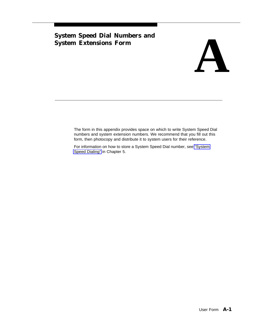## <span id="page-99-0"></span>**System Speed Dial Numbers and**



The form in this appendix provides space on which to write System Speed Dial numbers and system extension numbers. We recommend that you fill out this form, then photocopy and distribute it to system users for their reference.

For information on how to store a System Speed Dial number, see ["System](#page-82-0) [Speed Dialing"](#page-82-0) in Chapter 5.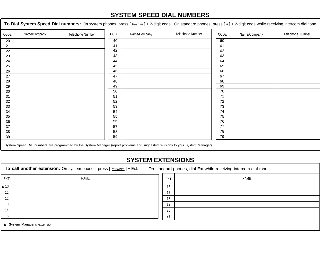### **SYSTEM SPEED DIAL NUMBERS**

To Dial System Speed Dial numbers: On system phones, press [ Feature ] + 2-digit code On standard phones, press [  $\#$  ] + 2-digit code while receiving intercom dial tone.

| CODE | Name/Company | Telephone Number                                                                                                                       | CODE | Name/Company | Telephone Number | CODE | Name/Company | Telephone Number |
|------|--------------|----------------------------------------------------------------------------------------------------------------------------------------|------|--------------|------------------|------|--------------|------------------|
| 20   |              |                                                                                                                                        | 40   |              |                  | 60   |              |                  |
| 21   |              |                                                                                                                                        | 41   |              |                  | 61   |              |                  |
| 22   |              |                                                                                                                                        | 42   |              |                  | 62   |              |                  |
| 23   |              |                                                                                                                                        | 43   |              |                  | 63   |              |                  |
| 24   |              |                                                                                                                                        | 44   |              |                  | 64   |              |                  |
| 25   |              |                                                                                                                                        | 45   |              |                  | 65   |              |                  |
| 26   |              |                                                                                                                                        | 46   |              |                  | 66   |              |                  |
| 27   |              |                                                                                                                                        | 47   |              |                  | 67   |              |                  |
| 28   |              |                                                                                                                                        | 48   |              |                  | 68   |              |                  |
| 29   |              |                                                                                                                                        | 49   |              |                  | 69   |              |                  |
| 30   |              |                                                                                                                                        | 50   |              |                  | 70   |              |                  |
| 31   |              |                                                                                                                                        | 51   |              |                  | 71   |              |                  |
| 32   |              |                                                                                                                                        | 52   |              |                  | 72   |              |                  |
| 33   |              |                                                                                                                                        | 53   |              |                  | 73   |              |                  |
| 34   |              |                                                                                                                                        | 54   |              |                  | 74   |              |                  |
| 35   |              |                                                                                                                                        | 55   |              |                  | 75   |              |                  |
| 36   |              |                                                                                                                                        | 56   |              |                  | 76   |              |                  |
| 37   |              |                                                                                                                                        | 57   |              |                  | 77   |              |                  |
| 38   |              |                                                                                                                                        | 58   |              |                  | 78   |              |                  |
| 39   |              |                                                                                                                                        | 59   |              |                  | 79   |              |                  |
|      |              | Outline Outsid Did according the proportional builty Outline Measure (provided mobilized and according to the Outline Outline Measured |      |              |                  |      |              |                  |

System Speed Dial numbers are programmed by the System Manager (report problems and suggested revisions to your System Manager).

#### **SYSTEM EXTENSIONS**

To call another extension: On system phones, press [ *Intercom* ] + Ext. On standard phones, dial Ext while receiving intercom dial tone.

| NAME<br>EXT                 | NAME<br>EXT |  |  |  |  |
|-----------------------------|-------------|--|--|--|--|
| $\triangle$ 10              | 16          |  |  |  |  |
| 11                          | 17          |  |  |  |  |
| 12                          | 18          |  |  |  |  |
| 13                          | 19          |  |  |  |  |
| 14                          | 20          |  |  |  |  |
| 15                          | 21          |  |  |  |  |
| System Manager's extension. |             |  |  |  |  |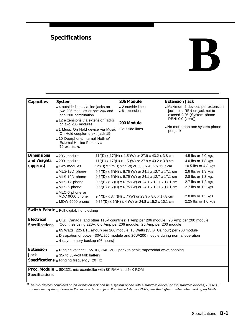## <span id="page-101-0"></span>**Specifications**

| <b>Capacities</b>                          | <b>System</b>                                                                                                                                                                                                                |  | 206 Module                                                                                                                | <b>Extension Jack</b>                                                                          |                     |  |
|--------------------------------------------|------------------------------------------------------------------------------------------------------------------------------------------------------------------------------------------------------------------------------|--|---------------------------------------------------------------------------------------------------------------------------|------------------------------------------------------------------------------------------------|---------------------|--|
|                                            | 4 outside lines via line jacks on<br>two 206 modules or one 206 and<br>one 200 combination<br>12 extensions via extension jacks<br>on two 206 modules<br>1 Music On Hold device via Music<br>On Hold coupler to ext. jack 15 |  | $\Box$ 2 outside lines<br>$\blacksquare$ 6 extensions                                                                     | Maximum 2 devices per extension<br>jack, total REN on jack not to<br>exceed 2.0* (System phone |                     |  |
|                                            |                                                                                                                                                                                                                              |  | 200 Module<br>2 outside lines                                                                                             | REN: 0.0 (zero))<br>No more than one system phone<br>per jack                                  |                     |  |
|                                            |                                                                                                                                                                                                                              |  |                                                                                                                           |                                                                                                |                     |  |
|                                            | - 10 Doorphone/Internal Hotline/<br>External Hotline Phone via<br>10 ext. jacks                                                                                                                                              |  |                                                                                                                           |                                                                                                |                     |  |
| <b>Dimensions</b>                          | $-206$ module                                                                                                                                                                                                                |  | 11"(D) x 17"(H) x 1.5"(W) or 27.9 x 43.2 x 3.8 cm                                                                         |                                                                                                | 4.5 lbs or 2.0 kgs  |  |
| and Weights                                | $200$ module                                                                                                                                                                                                                 |  | 11"(D) x 17"(H) x 1.5"(W) or 27.9 x 43.2 x 3.8 cm                                                                         |                                                                                                | 4.0 lbs or 1.8 kgs  |  |
| (approx.)                                  | ■ Two modules                                                                                                                                                                                                                |  | 12"(D) x 17"(H) x 5"(W) or 30.0 x 43.2 x 12.7 cm                                                                          |                                                                                                | 10.5 lbs or 4.8 kgs |  |
|                                            | MLS-18D phone                                                                                                                                                                                                                |  | 9.5"(D) x 5"(H) x 6.75"(W) or 24.1 x 12.7 x 17.1 cm                                                                       |                                                                                                | 2.8 lbs or 1.3 kgs  |  |
|                                            | MLS-12D phone                                                                                                                                                                                                                |  | $9.5^{\circ}$ (D) x 5 <sup><math>\circ</math></sup> (H) x 6.75 <sup><math>\circ</math></sup> (W) or 24.1 x 12.7 x 17.1 cm |                                                                                                | 2.8 lbs or 1.3 kgs  |  |
|                                            | MLS-12 phone                                                                                                                                                                                                                 |  | 9.5"(D) x 5"(H) x 6.75"(W) or 24.1 x 12.7 x 17.1 cm                                                                       |                                                                                                | 2.7 lbs or 1.2 kgs  |  |
|                                            | MLS-6 phone                                                                                                                                                                                                                  |  | 9.5"(D) x 5"(H) x 6.75"(W) or 24.1 x 12.7 x 17.1 cm                                                                       |                                                                                                | 2.7 lbs or 1.2 kgs  |  |
|                                            | MLC-6 phone or                                                                                                                                                                                                               |  |                                                                                                                           |                                                                                                |                     |  |
|                                            | MDC 9000 phone                                                                                                                                                                                                               |  | $9.4^{\circ}$ (D) x 3.4 <sup><math>\circ</math></sup> (H) x 7 <sup><math>\circ</math></sup> (W) or 23.9 x 8.6 x 17.8 cm   |                                                                                                | 2.8 lbs or 1.3 kgs  |  |
|                                            | MDW 9000 phone                                                                                                                                                                                                               |  | 9.75"(D) x 6"(H) x 4"(W) or 24.8 x 15.2 x 10.1 cm                                                                         |                                                                                                | 2.25 lbs or 1.0 kgs |  |
|                                            | Switch Fabric . Full digital, nonblocking                                                                                                                                                                                    |  |                                                                                                                           |                                                                                                |                     |  |
| <b>Electrical</b><br><b>Specifications</b> | L.S., Canada, and other 110V countries: 1 Amp per 206 module; .25 Amp per 200 module<br>Countries using 220V: 0.6 Amp per 206 module; .25 Amp per 200 module                                                                 |  |                                                                                                                           |                                                                                                |                     |  |
|                                            | ■ 65 Watts (225 BTUs/hour) per 206 module; 10 Watts (35 BTUs/hour) per 200 module                                                                                                                                            |  |                                                                                                                           |                                                                                                |                     |  |
|                                            | Dissipation of power: 30W/206 module and 20W/200 module during normal operation                                                                                                                                              |  |                                                                                                                           |                                                                                                |                     |  |
|                                            | - 4-day memory backup (96 hours)                                                                                                                                                                                             |  |                                                                                                                           |                                                                                                |                     |  |
| <b>Extension</b>                           |                                                                                                                                                                                                                              |  | Ringing voltage: +5VDC, -140 VDC peak to peak; trapezoidal wave shaping                                                   |                                                                                                |                     |  |
| Jack                                       | 35- to 38-Volt talk battery                                                                                                                                                                                                  |  |                                                                                                                           |                                                                                                |                     |  |
|                                            | Specifications - Ringing frequency: 20 Hz                                                                                                                                                                                    |  |                                                                                                                           |                                                                                                |                     |  |
|                                            | <b>Proc. Module</b> . 80C321 microcontroller with 8K RAM and 64K ROM                                                                                                                                                         |  |                                                                                                                           |                                                                                                |                     |  |
| <b>Specifications</b>                      |                                                                                                                                                                                                                              |  |                                                                                                                           |                                                                                                |                     |  |

►<br>\*The two devices combined on an extension jack can be a system phone with a standard device, or two standard devices; DO NOT connect two system phones to the same extension jack. If a device lists two RENs, use the higher number when adding up RENs.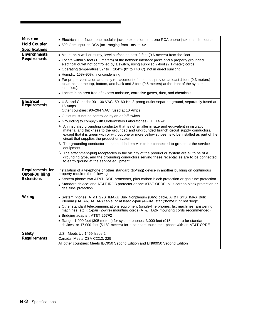| <b>Music</b> on<br><b>Hold Coupler</b><br><b>Specifications</b>        | - Electrical interfaces: one modular jack to extension port; one RCA phono jack to audio source<br>■ 600 Ohm input on RCA jack ranging from 1mV to 4V                                                                                                                                                                                                                                                                                                                                                                                                                                                                                                                                                                                                                                                                                                                                                                                                                                       |
|------------------------------------------------------------------------|---------------------------------------------------------------------------------------------------------------------------------------------------------------------------------------------------------------------------------------------------------------------------------------------------------------------------------------------------------------------------------------------------------------------------------------------------------------------------------------------------------------------------------------------------------------------------------------------------------------------------------------------------------------------------------------------------------------------------------------------------------------------------------------------------------------------------------------------------------------------------------------------------------------------------------------------------------------------------------------------|
| <b>Environmental</b><br><b>Requirements</b>                            | - Mount on a wall or sturdy, level surface at least 2 feet (0.6 meters) from the floor.<br>• Locate within 5 feet (1.5 meters) of the network interface jacks and a properly grounded<br>electrical outlet not controlled by a switch, using supplied 7-foot (2.1-meter) cords<br>• Operating temperature 32° to + 104°F (0° to +40°C), not in direct sunlight<br>- Humidity 15%-90%, noncondensing<br>• For proper ventilation and easy replacement of modules, provide at least 1 foot (0.3 meters)<br>clearance at the top, bottom, and back and 2 feet (0.6 meters) at the front of the system<br>module(s).<br>• Locate in an area free of excess moisture, corrosive gases, dust, and chemicals                                                                                                                                                                                                                                                                                       |
| <b>Electrical</b><br><b>Requirements</b>                               | U.S. and Canada: 90-130 VAC, 50-60 Hz, 3-prong outlet separate ground, separately fused at<br>15 Amps<br>Other countries: 90-264 VAC, fused at 10 Amps<br>• Outlet must not be controlled by an on/off switch<br>Grounding to comply with Underwriters Laboratories (UL) 1459:<br>A. An insulated grounding conductor that is not smaller in size and equivalent in insulation<br>material and thickness to the grounded and ungrounded branch circuit supply conductors,<br>except that it is green with or without one or more yellow stripes, is to be installed as part of the<br>circuit that supplies the product or system.<br>B. The grounding conductor mentioned in item A is to be connected to ground at the service<br>equipment.<br>C. The attachment-plug receptacles in the vicinity of the product or system are all to be of a<br>grounding type, and the grounding conductors serving these receptacles are to be connected<br>to earth ground at the service equipment. |
| <b>Requirements for</b><br><b>Out-of-Building</b><br><b>Extensions</b> | Installation of a telephone or other standard (tip/ring) device in another building on continuous<br>property requires the following:<br>System phone: two AT&T IROB protectors, plus carbon block protection or gas tube protection<br>Standard device: one AT&T IROB protector or one AT&T OPRE, plus carbon block protection or<br>gas tube protection                                                                                                                                                                                                                                                                                                                                                                                                                                                                                                                                                                                                                                   |
| <b>Wiring</b>                                                          | - System phones: AT&T SYSTIMAX® Bulk Nonplenum (DIW) cable, AT&T SYSTIMAX Bulk<br>Plenum (HALAR/HALAR) cable, or at least 2-pair (4-wire) star ("home run" not "loop")<br>- Other standard telecommunications equipment (single-line phones, fax machines, answering<br>machines, etc.): 1-pair (2-wire) mounting cords (AT&T D2R mounting cords recommended)<br>Bridging adapter: AT&T 267F2<br>Range: 1,000 feet (305 meters) for system phones; 3,000 feet (915 meters) for standard<br>devices; or 17,000 feet (5,182 meters) for a standard touch-tone phone with an AT&T OPRE                                                                                                                                                                                                                                                                                                                                                                                                         |
| <b>Safety</b><br><b>Requirements</b>                                   | U.S.: Meets UL 1459 Issue 2<br>Canada: Meets CSA C22.2, 225<br>All other countries: Meets IEC950 Second Edition and EN60950 Second Edition                                                                                                                                                                                                                                                                                                                                                                                                                                                                                                                                                                                                                                                                                                                                                                                                                                                  |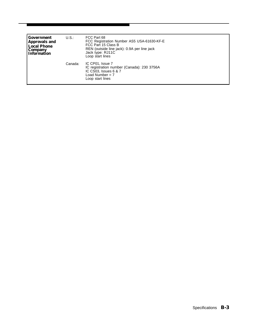| Government<br><b>Approvals and</b><br><b>Local Phone</b><br><b>Company</b><br><b>Information</b> | U.S     | FCC Part 68<br>FCC Registration Number AS5 USA-61630-KF-E<br>FCC Part 15 Class B<br>REN (outside line jack): 0.9A per line jack<br>Jack type: RJ11C<br>Loop start lines |
|--------------------------------------------------------------------------------------------------|---------|-------------------------------------------------------------------------------------------------------------------------------------------------------------------------|
|                                                                                                  | Canada: | IC CP01, Issue 7<br>IC registration number (Canada): 230 3756A<br>IC CS03, Issues 6 & 7<br>Load Number = $7$<br>Loop start lines                                        |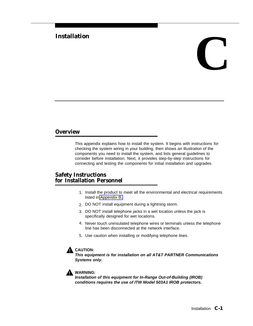# <span id="page-104-1"></span><span id="page-104-0"></span>Installation<br> **C**

#### **Overview**

This appendix explains how to install the system. It begins with instructions for checking the system wiring in your building, then shows an illustration of the components you need to install the system, and lists general guidelines to consider before installation. Next, it provides step-by-step instructions for connecting and testing the components for initial installation and upgrades.

#### **Safety Instructions for Installation Personnel**

- 1. Install the product to meet all the environmental and electrical requirements listed in [Appendix B.](#page-101-0)
- 2. DO NOT install equipment during a lightning storm.
- 3. DO NOT install telephone jacks in a wet location unless the jack is specifically designed for wet locations.
- 4. Never touch uninsulated telephone wires or terminals unless the telephone line has been disconnected at the network interface.
- 5. Use caution when installing or modifying telephone lines.

#### **CAUTION:**

**This equipment is for installation on all AT&T PARTNER Communications Systems only.**



#### **WARNING:**

**Installation of this equipment for In-Range Out-of-Building (IROB) conditions requires the use of ITW Model 503A1 IROB protectors.**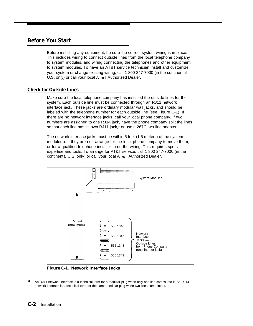#### **Before You Start**

Before installing any equipment, be sure the correct system wiring is in place. This includes wiring to connect outside lines from the local telephone company to system modules, and wiring connecting the telephones and other equipment to system modules. To have an AT&T service technician install and customize your system or change existing wiring, call 1 800 247-7000 (in the continental U.S. only) or call your local AT&T Authorized Dealer.

#### **Check for Outside Lines**

Make sure the local telephone company has installed the outside lines for the system. Each outside line must be connected through an RJ11 network interface jack. These jacks are ordinary modular wall jacks, and should be labeled with the telephone number for each outside line (see Figure C-1). If there are no network interface jacks, call your local phone company. If two numbers are assigned to one RJ14 jack, have the phone company split the lines so that each line has its own RJ11 jack,\* or use a 267C two-line adapter.

The network interface jacks must be within 5 feet (1.5 meters) of the system module(s). If they are not, arrange for the local phone company to move them, or for a qualified telephone installer to do the wiring. This requires special expertise and tools. To arrange for AT&T service, call 1 800 247-7000 (in the continental U.S. only) or call your local AT&T Authorized Dealer.



**Figure C-1. Network Interface Jacks**

<sup>✽</sup> An RJ11 network interface is a technical term for a modular plug when only one line comes into it. An RJ14 network interface is a technical term for the same modular plug when two lines come into it.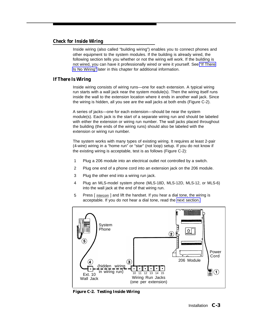#### **Check for Inside Wiring**

Inside wiring (also called "building wiring") enables you to connect phones and other equipment to the system modules. If the building is already wired, the following section tells you whether or not the wiring will work. If the building is not wired, you can have it professionally wired or wire it yourself. See ["If There](#page-107-0) [Is No Wiring"](#page-107-0) later in this chapter for additional information.

#### **If There Is Wiring**

Inside wiring consists of wiring runs—one for each extension. A typical wiring run starts with a wall jack near the system module(s). Then the wiring itself runs inside the wall to the extension location where it ends in another wall jack. Since the wiring is hidden, all you see are the wall jacks at both ends (Figure C-2).

A series of jacks—one for each extension—should be near the system module(s). Each jack is the start of a separate wiring run and should be labeled with either the extension or wiring run number. The wall jacks placed throughout the building (the ends of the wiring runs) should also be labeled with the extension or wiring run number.

The system works with many types of existing wiring. It requires at least 2-pair (4-wire) wiring in a "home run" or "star" (not loop) setup. If you do not know if the existing wiring is acceptable, test is as follows (Figure C-2):

- 1 Plug a 206 module into an electrical outlet not controlled by a switch.
- 2 Plug one end of a phone cord into an extension jack on the 206 module.
- 3 Plug the other end into a wiring run jack.
- 4 Plug an MLS-model system phone (MLS-18D, MLS-12D, MLS-12, or MLS-6) into the wall jack at the end of that wiring run.
- 5 Press [ *Intercom* ] and lift the handset. If you hear a dial tone, the wiring is acceptable. If you do not hear a dial tone, read the [next section.](#page-107-1)



**Figure C-2. Testing Inside Wiring**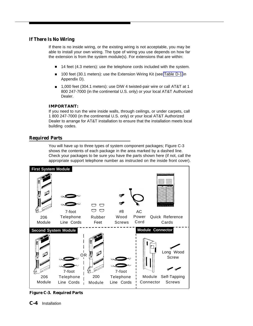#### <span id="page-107-1"></span><span id="page-107-0"></span>**If There Is No Wiring**

If there is no inside wiring, or the existing wiring is not acceptable, you may be able to install your own wiring. The type of wiring you use depends on how far the extension is from the system module(s). For extensions that are within:

- 14 feet (4.3 meters): use the telephone cords included with the system.
- 100 feet (30.1 meters): use the Extension Wiring Kit (see [Table D-1](#page-126-0) in Appendix D).
- 1,000 feet (304.1 meters): use DIW 4 twisted-pair wire or call AT&T at 1 800 247-7000 (in the continental U.S. only) or your local AT&T Authorized Dealer.

#### **IMPORTANT:**

If you need to run the wire inside walls, through ceilings, or under carpets, call 1 800 247-7000 (in the continental U.S. only) or your local AT&T Authorized Dealer to arrange for AT&T installation to ensure that the installation meets local building codes.

#### **Required Parts**

You will have up to three types of system component packages; Figure C-3 shows the contents of each package in the area marked by a dashed line. Check your packages to be sure you have the parts shown here (if not, call the appropriate support telephone number as instructed on the inside front cover).



**Figure C-3. Required Parts**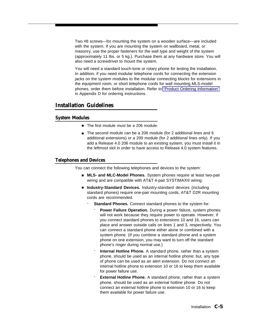<span id="page-108-1"></span><span id="page-108-0"></span>Two #8 screws—for mounting the system on a wooden surface—are included with the system. If you are mounting the system on wallboard, metal, or masonry, use the proper fasteners for the wall type and weight of the system (approximately 11 lbs. or 5 kg.). Purchase them at any hardware store. You will also need a screwdriver to mount the system.

You will need a standard touch-tone or rotary phone for testing the installation. In addition, if you need modular telephone cords for connecting the extension jacks on the system modules to the modular connecting blocks for extensions in the equipment room, or short telephone cords for wall mounting MLS-model phones, order them before installation. Refer to ["Product Ordering Information"](#page-125-0) in Appendix D for ordering instructions.

#### **Installation Guidelines**

#### **System Modules**

- The first module *must* be a 206 module.
- The second module can be a 206 module (for 2 additional lines and 6 additional extensions) or a 200 module (for 2 additional lines only). If you add a Release 4.0 206 module to an existing system, you must install it in the leftmost slot in order to have access to Release 4.0 system features.

#### **Telephones and Devices**

You can connect the following telephones and devices to the system:

- **MLS- and MLC-Model Phones.** System phones require at least two-pair wiring and are compatible with AT&T 4-pair SYSTIMAX<sup>®</sup> wiring.
- **Industry-Standard Devices.** Industry-standard devices (including standard phones) require one-pair mounting cords; AT&T D2R mounting cords are recommended.
	- Standard Phones. Connect standard phones to the system for:
		- Power Failure Operation. During a power failure, system phones will not work because they require power to operate. However, if you connect standard phones to extensions 10 and 16, users can place and answer outside calls on lines 1 and 3, respectively. You can connect a standard phone either alone or combined with a system phone. (If you combine a standard phone and a system phone on one extension, you may want to turn off the standard phone's ringer during normal use.)
		- Internal Hotline Phone. A standard phone, rather than a system phone, should be used as an internal hotline phone; but, any type of phone can be used as an alert extension. Do not connect an internal hotline phone to extension 10 or 16 to keep them available for power failure use.
		- **External Hotline Phone.** A standard phone, rather than a system phone, should be used as an external hotline phone. Do not connect an external hotline phone to extension 10 or 16 to keep them available for power failure use.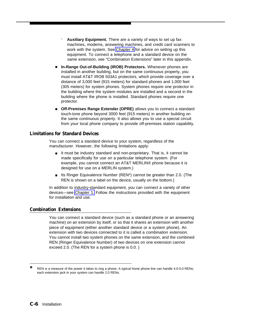- <span id="page-109-3"></span><span id="page-109-2"></span><span id="page-109-1"></span>- **Auxiliary Equipment.** There are a variety of ways to set up fax machines, modems, answering machines, and credit card scanners to work with the system. See [Chapter 4](#page-29-0) for advice on setting up this equipment. To connect a telephone and a standard device on the same extension, see "Combination Extensions" later in this appendix.
- In-Range Out-of-Building (IROB) Protectors. Whenever phones are installed in another building, but on the same continuous property, you must install AT&T IROB 503A1 protectors, which provide coverage over a distance of 3,000 feet (915 meters) for standard phones and 1,000 feet (305 meters) for system phones. System phones require one protector in the building where the system modules are installed and a second in the building where the phone is installed. Standard phones require one protector.
- **Off-Premises Range Extender (OPRE)** allows you to connect a standard touch-tone phone beyond 3000 feet (915 meters) in another building on the same continuous property. It also allows you to use a special circuit from your local phone company to provide off-premises station capability.

#### **Limitations for Standard Devices**

You can connect a standard device to your system, regardless of the manufacturer. However, the following limitations apply:

- <span id="page-109-0"></span>■ It must be industry standard and non-proprietary. That is, it cannot be made specifically for use on a particular telephone system. (For example, you cannot connect an AT&T MERLIN® phone because it is designed for use on a MERLIN system.)
- Its Ringer Equivalence Number (REN\*) cannot be greater than 2.0. (The REN is shown on a label on the device, usually on the bottom.)

In addition to industry-standard equipment, you can connect a variety of other devices—see [Chapter 1.](#page-7-0) Follow the instructions provided with the equipment for installation and use.

#### **Combination Extensions**

You can connect a standard device (such as a standard phone or an answering machine) on an extension by itself, or so that it shares an extension with another piece of equipment (either another standard device or a system phone). An extension with two devices connected to it is called a combination extension. You cannot install two system phones on the same extension, and the combined REN (Ringer Equivalence Number) of two devices on one extension cannot exceed 2.0. (The REN for a system phone is 0.0. )

REN is a measure of the power it takes to ring a phone. A typical home phone line can handle 4.0-5.0 RENs; each extension jack in your system can handle 2.0 RENs.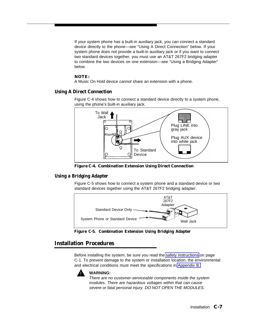<span id="page-110-2"></span><span id="page-110-1"></span><span id="page-110-0"></span>If your system phone has a built-in auxiliary jack, you can connect a standard device directly to the phone—see "Using A Direct Connection" below. If your system phone does not provide a built-in auxiliary jack or if you want to connect two standard devices together, you must use an AT&T 267F2 bridging adapter to combine the two devices on one extension—see "Using a Bridging Adapter" below.

#### **NOTE:**

A Music On Hold device cannot share an extension with a phone.

#### **Using A Direct Connection**

Figure C-4 shows how to connect a standard device directly to a system phone, using the phone's built-in auxiliary jack.



**Figure C-4. Combination Extension Using Direct Connection**

#### **Using a Bridging Adapter**

Figure C-5 shows how to connect a system phone and a standard device or two standard devices together using the AT&T 267F2 bridging adapter.



**Figure C-5. Combination Extension Using Bridging Adapter**

#### **Installation Procedures**

Before installing the system, be sure you read the [safety instructions](#page-104-0) on page C-1. To prevent damage to the system or installation location, the environmental and electrical conditions must meet the specifications in [Appendix B.](#page-101-0)



#### **WARNING:**

There are no customer-serviceable components inside the system modules. There are hazardous voltages within that can cause severe or fatal personal injury. DO NOT OPEN THE MODULES.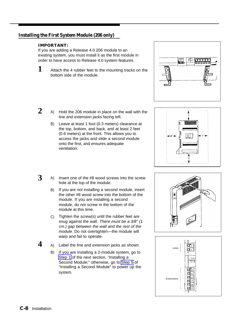#### <span id="page-111-3"></span><span id="page-111-2"></span>**Installing the First System Module (206 only)**

#### **IMPORTANT:**

If you are adding a Release 4.0 206 module to an existing system, you must install it as the first module in order to have access to Release 4.0 system features.



<span id="page-111-1"></span>**3**

**4**

Attach the 4 rubber feet to the mounting tracks on the bottom side of the module.



- <span id="page-111-0"></span>**2** A) Hold the 206 module in place on the wall with the line and extension jacks facing left.
	- B) Leave at least 1 foot (0.3 meters) clearance at the top, bottom, and back, and at least 2 feet (0.6 meters) at the front. This allows you to access the jacks and slide a second module onto the first, and ensures adequate ventilation.



- A) Insert one of the #8 wood screws into the screw hole at the top of the module.
	- B) If you are not installing a second module, insert the other #8 wood screw into the bottom of the module. If you are installing a second module, do not screw in the bottom of the module at this time.
	- C) Tighten the screw(s) until the rubber feet are snug against the wall. There must be a 3/8" (1 cm.) gap between the wall and the rest of the module. Do not overtighten—the module will warp and fail to operate.
	- A) Label the line and extension jacks as shown.
	- B) If you are installing a 2-module system, go to [Step 1](#page-112-0) of the next section, "Installing a Second Module;" otherwise, go to [Step 5](#page-112-1) of "Installing a Second Module" to power up the system.



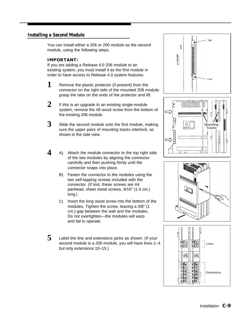#### <span id="page-112-5"></span><span id="page-112-4"></span>**Installing a Second Module**

You can install either a 206 or 200 module as the second module, using the following steps.

#### **IMPORTANT:**

If you are adding a Release 4.0 206 module to an existing system, you must install it as the first module in order to have access to Release 4.0 system features.

- <span id="page-112-2"></span><span id="page-112-0"></span>**1** Remove the plastic protector (if present) from the connector on the right side of the mounted 206 module: grasp the tabs on the ends of the protector and lift.
- **2** If this is an upgrade to an existing single-module system, remove the #8 wood screw from the bottom of the existing 206 module.
- <span id="page-112-3"></span>**3** Slide the second module onto the first module, making sure the upper pairs of mounting tracks interlock, as shown in the side view.
- <span id="page-112-1"></span>**4** A) Attach the module connector to the top right side of the two modules by aligning the connector carefully and then pushing firmly until the connector snaps into place.
	- B) Fasten the connector to the modules using the two self-tapping screws included with the connector. (If lost, these screws are #4 panhead, sheet metal screws, 9/16" (1.4 cm.) long.)
	- C) Insert the long wood screw into the bottom of the modules. Tighten the screw, leaving a 3/8" (1 cm.) gap between the wall and the modules. Do not overtighten—the modules will warp and fail to operate.
- **5** Label the line and extensions jacks as shown. (If your second module is a 200 module, you will have lines 1–4 but only extensions 10–15.)







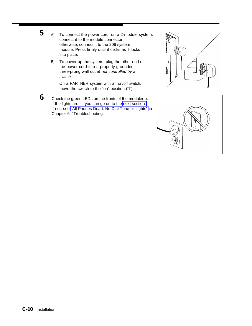- <span id="page-113-1"></span><span id="page-113-0"></span>**5** A) To connect the power cord: on a 2-module system, connect it to the module connector; otherwise, connect it to the 206 system module. Press firmly until it clicks as it locks into place.
	- B) To power up the system, plug the other end of the power cord into a properly grounded three-prong wall outlet not controlled by a switch.

On a PARTNER system with an on/off switch, move the switch to the "on" position ("I").

**6** Check the green LEDs on the fronts of the module(s). If the lights are lit, you can go on to the [next section.](#page-114-0) If not, see ["All Phones Dead: No Dial Tone or Lights"](#page-91-0) in Chapter 6, "Troubleshooting."



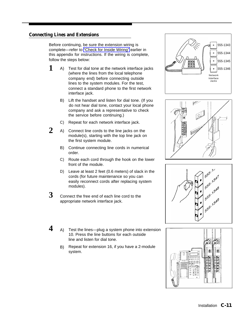#### <span id="page-114-1"></span><span id="page-114-0"></span>**Connecting Lines and Extensions**

Before continuing, be sure the extension wiring is complete—refer to ["Check for Inside Wiring"](#page-106-0) earlier in this appendix for instructions. If the wiring is complete, follow the steps below:

- **1** A) Test for dial tone at the network interface jacks (where the lines from the local telephone company end) before connecting outside lines to the system modules. For the test, connect a standard phone to the first network interface jack.
	- B) Lift the handset and listen for dial tone. (If you do not hear dial tone, contact your local phone company and ask a representative to check the service before continuing.)
	- C) Repeat for each network interface jack.
- **2** A) Connect line cords to the line jacks on the module(s), starting with the top line jack on the first system module.
	- B) Continue connecting line cords in numerical order.
	- C) Route each cord through the hook on the lower front of the module.
	- D) Leave at least 2 feet (0.6 meters) of slack in the cords (for future maintenance so you can easily reconnect cords after replacing system modules).
- **3** Connect the free end of each line cord to the appropriate network interface jack.
- **4** A) Test the lines—plug a system phone into extension 10. Press the line buttons for each outside line and listen for dial tone.
	- B) Repeat for extension 16, if you have a 2-module system.







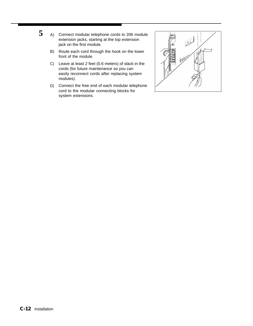- <span id="page-115-1"></span><span id="page-115-0"></span>**5** A) Connect modular telephone cords to 206 module extension jacks, starting at the top extension jack on the first module.
	- B) Route each cord through the hook on the lower front of the module.
	- C) Leave at least 2 feet (0.6 meters) of slack in the cords (for future maintenance so you can easily reconnect cords after replacing system modules).
	- D) Connect the free end of each modular telephone cord to the modular connecting blocks for system extensions.

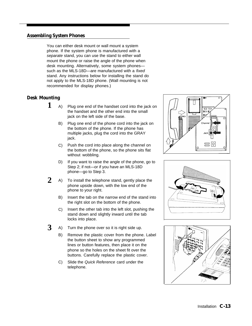#### <span id="page-116-6"></span><span id="page-116-5"></span><span id="page-116-4"></span>**Assembling System Phones**

You can either desk mount or wall mount a system phone. If the system phone is manufactured with a separate stand, you can use the stand to either wall mount the phone or raise the angle of the phone when desk mounting. Alternatively, some system phones such as the MLS-18D—are manufactured with a *fixed* stand. Any instructions below for installing the stand do not apply to the MLS-18D phone. (Wall mounting is not recommended for display phones.)

#### <span id="page-116-2"></span><span id="page-116-0"></span>**Desk Mounting**

- **1** A) Plug one end of the handset cord into the jack on the handset and the other end into the small jack on the left side of the base.
	- B) Plug one end of the phone cord into the jack on the bottom of the phone. If the phone has multiple jacks, plug the cord into the GRAY jack.
	- C) Push the cord into place along the channel on the bottom of the phone, so the phone sits flat without wobbling.
	- D) If you want to raise the angle of the phone, go to Step 2; if not—or if you have an MLS-18D phone—go to Step 3.
- <span id="page-116-3"></span><span id="page-116-1"></span>**2** A) To install the telephone stand, gently place the phone upside down, with the low end of the phone to your right.
	- B) Insert the tab on the narrow end of the stand into the right slot on the bottom of the phone.
	- C) Insert the other tab into the left slot, pushing the stand down and slightly inward until the tab locks into place.
- **3** A) Turn the phone over so it is right side up.
	- B) Remove the plastic cover from the phone. Label the button sheet to show any programmed lines or button features, then place it on the phone so the holes on the sheet fit over the buttons. Carefully replace the plastic cover.
	- C) Slide the Quick Reference card under the telephone.





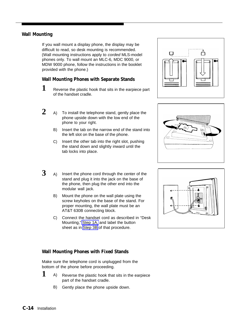#### <span id="page-117-0"></span>**Wall Mounting**

If you wall mount a display phone, the display may be difficult to read, so desk mounting is recommended. (Wall mounting instructions apply to corded MLS-model phones only. To wall mount an MLC-6, MDC 9000, or MDW 9000 phone, follow the instructions in the booklet provided with the phone.)

#### **Wall Mounting Phones with Separate Stands**

- **1** Reverse the plastic hook that sits in the earpiece part of the handset cradle.
- **2** A) To install the telephone stand, gently place the phone upside down with the low end of the phone to your right.
	- B) Insert the tab on the narrow end of the stand into the left slot on the base of the phone.
	- C) Insert the other tab into the right slot, pushing the stand down and slightly inward until the tab locks into place.
- $3$  A) Insert the phone cord through the center of the stand and plug it into the jack on the base of the phone, then plug the other end into the modular wall jack.
	- B) Mount the phone on the wall plate using the screw keyholes on the base of the stand. For proper mounting, the wall plate must be an AT&T 630B connecting block.
	- C) Connect the handset cord as described in "Desk Mounting," [Step 1A,](#page-116-0) and label the button sheet as in [Step 3B](#page-116-1) of that procedure.

#### **Wall Mounting Phones with Fixed Stands**

Make sure the telephone cord is unplugged from the bottom of the phone before proceeding.

- **1** A) Reverse the plastic hook that sits in the earpiece part of the handset cradle.
	- B) Gently place the phone upside down.





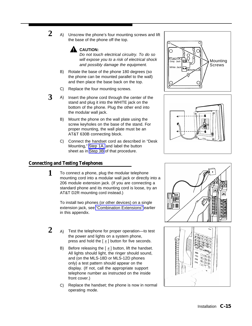<span id="page-118-0"></span>**2** A) Unscrew the phone's four mounting screws and lift the base of the phone off the top.



Do not touch electrical circuitry. To do so will expose you to a risk of electrical shock and possibly damage the equipment.

- B) Rotate the base of the phone 180 degrees (so the phone can be mounted parallel to the wall) and then place the base back on the top.
- C) Replace the four mounting screws.
- **3** A) A) Insert the phone cord through the center of the stand and plug it into the WHITE jack on the bottom of the phone. Plug the other end into the modular wall jack.
	- B) Mount the phone on the wall plate using the screw keyholes on the base of the stand. For proper mounting, the wall plate must be an AT&T 630B connecting block.
	- C) Connect the handset cord as described in "Desk Mounting," [Step 1A,](#page-116-2) and label the button sheet as in [Step 3B](#page-116-3) of that procedure.

#### **Connecting and Testing Telephones**

**1** To connect a phone, plug the modular telephone mounting cord into a modular wall jack or directly into a 206 module extension jack. (If you are connecting a standard phone and its mounting cord is loose, try an AT&T D2R mounting cord instead.)

> To install two phones (or other devices) on a single extension jack, see ["Combination Extensions"](#page-109-0) earlier in this appendix.

- 2 A) Test the telephone for proper operation—to test the power and lights on a system phone, press and hold the  $\lceil \frac{1}{2} \rceil$  button for five seconds.
	- B) Before releasing the  $[$   $\#$  ] button, lift the handset. All lights should light, the ringer should sound, and (on the MLS-18D or MLS-12D phones only) a test pattern should appear on the display. (If not, call the appropriate support telephone number as instructed on the inside front cover.)
	- C) Replace the handset; the phone is now in normal operating mode.







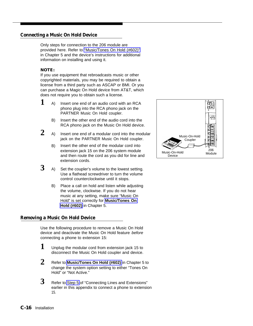#### <span id="page-119-0"></span>**Connecting a Music On Hold Device**

Only steps for connection to the 206 module are provided here. Refer to ["Music/Tones On Hold \(#602\)"](#page-70-0) in Chapter 5 and the device's instructions for additional information on installing and using it.

#### **NOTE:**

If you use equipment that rebroadcasts music or other copyrighted materials, you may be required to obtain a license from a third party such as ASCAP or BMI. Or you can purchase a Magic On Hold device from AT&T, which does not require you to obtain such a license.

- $1$  A) Insert one end of an audio cord with an RCA phono plug into the RCA phono jack on the PARTNER Music On Hold coupler.
	- B) Insert the other end of the audio cord into the RCA phono jack on the Music On Hold device.
- **2** A) Insert one end of a modular cord into the modular jack on the PARTNER Music On Hold coupler.
	- B) Insert the other end of the modular cord into extension jack 15 on the 206 system module and then route the cord as you did for line and extension cords.
- $3$  A) Set the coupler's volume to the lowest setting. Use a flathead screwdriver to turn the volume control counterclockwise until it stops.
	- B) Place a call on hold and listen while adjusting the volume, clockwise. If you do not hear music at any setting, make sure "Music On Hold" is set correctly for **[Music/Tones On](#page-70-0) [Hold \(#602\)](#page-70-0)** in Chapter 5.

#### **Removing a Music On Hold Device**

Use the following procedure to remove a Music On Hold device and deactivate the Music On Hold feature before connecting a phone to extension 15:

- **1** Unplug the modular cord from extension jack 15 to disconnect the Music On Hold coupler and device.
- **2** Refer to **[Music/Tones On Hold \(#602\)](#page-70-0)** in Chapter 5 to change the system option setting to either "Tones On Hold" or "Not Active."
- **3** Refer to [Step 5](#page-115-0) of "Connecting Lines and Extensions" earlier in this appendix to connect a phone to extension 15.

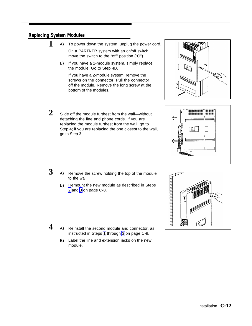#### <span id="page-120-0"></span>**Replacing System Modules**

- **1** A) To power down the system, unplug the power cord. On a PARTNER system with an on/off switch, move the switch to the "off" position ("O").
	- B) If you have a 1-module system, simply replace the module. Go to Step 4B.

If you have a 2-module system, remove the screws on the connector. Pull the connector off the module. Remove the long screw at the bottom of the modules.

- **2** Slide off the module furthest from the wall—without detaching the line and phone cords. If you are replacing the module furthest from the wall, go to Step 4; if you are replacing the one closest to the wall, go to Step 3.
- **3** A) Remove the screw holding the top of the module to the wall.
	- B) Remount the new module as described in Steps [2](#page-111-0) and [3](#page-111-1) on page C-8.
- **4** A) Reinstall the second module and connector, as instructed in Steps [1](#page-112-2) through [3](#page-112-3) on page C-9.
	- B) Label the line and extension jacks on the new module.





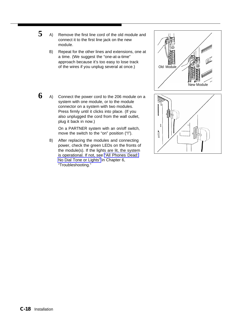- **5** A) Remove the first line cord of the old module and connect it to the first line jack on the new module.
	- B) Repeat for the other lines and extensions, one at a time. (We suggest the "one-at-a-time" approach because it's too easy to lose track of the wires if you unplug several at once.)



**6** A) Connect the power cord to the 206 module on a system with one module, or to the module connector on a system with two modules. Press firmly until it clicks into place. (If you also unplugged the cord from the wall outlet, plug it back in now.)

> On a PARTNER system with an on/off switch, move the switch to the "on" position ("I").

B) After replacing the modules and connecting power, check the green LEDs on the fronts of the module(s). If the lights are lit, the system is operational. If not, see ["All Phones Dead:](#page-91-0) [No Dial Tone or Lights"](#page-91-0) in Chapter 6, "Troubleshooting."

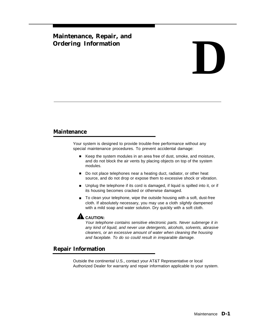### <span id="page-122-1"></span><span id="page-122-0"></span>**Maintenance, Repair, and**

# Maintenance, Repair, and<br>Ordering Information<br>**D**

#### **Maintenance**

Your system is designed to provide trouble-free performance without any special maintenance procedures. To prevent accidental damage:

- Keep the system modules in an area free of dust, smoke, and moisture, and do not block the air vents by placing objects on top of the system modules.
- Do not place telephones near a heating duct, radiator, or other heat source, and do not drop or expose them to excessive shock or vibration.
- Unplug the telephone if its cord is damaged, if liquid is spilled into it, or if its housing becomes cracked or otherwise damaged.
- To clean your telephone, wipe the outside housing with a soft, dust-free cloth. If absolutely necessary, you may use a cloth slightly dampened with a mild soap and water solution. Dry quickly with a soft cloth.



Your telephone contains sensitive electronic parts. Never submerge it in any kind of liquid, and never use detergents, alcohols, solvents, abrasive cleaners, or an excessive amount of water when cleaning the housing and faceplate. To do so could result in irreparable damage.

#### **Repair Information**

Outside the continental U.S., contact your AT&T Representative or local Authorized Dealer for warranty and repair information applicable to your system.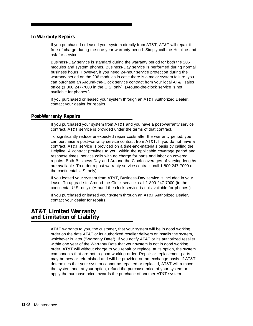#### <span id="page-123-0"></span>**In Warranty Repairs**

If you purchased or leased your system directly from AT&T, AT&T will repair it free of charge during the one-year warranty period. Simply call the Helpline and ask for service.

Business-Day service is standard during the warranty period for both the 206 modules and system phones. Business-Day service is performed during normal business hours. However, if you need 24-hour service protection during the warranty period on the 206 modules in case there is a major system failure, you can purchase an Around-the-Clock service contract from your local AT&T sales office (1 800 247-7000 in the U.S. only). (Around-the-clock service is not available for phones.)

If you purchased or leased your system through an AT&T Authorized Dealer, contact your dealer for repairs.

#### **Post-Warranty Repairs**

If you purchased your system from AT&T and you have a post-warranty service contract, AT&T service is provided under the terms of that contract.

To significantly reduce unexpected repair costs after the warranty period, you can purchase a post-warranty service contract from AT&T. If you do not have a contract, AT&T service is provided on a time-and-materials basis by calling the Helpline. A contract provides to you, within the applicable coverage period and response times, service calls with no charge for parts and labor on covered repairs. Both Business-Day and Around-the-Clock coverages of varying lengths are available. To order a post-warranty service contract, call 1 800 247-7000 (in the continental U.S. only).

If you leased your system from AT&T, Business-Day service is included in your lease. To upgrade to Around-the-Clock service, call 1 800 247-7000 (in the continental U.S. only). (Around-the-clock service is not available for phones.)

If you purchased or leased your system through an AT&T Authorized Dealer, contact your dealer for repairs.

#### **AT&T Limited Warranty and Limitation of Liability**

AT&T warrants to you, the customer, that your system will be in good working order on the date AT&T or its authorized reseller delivers or installs the system, whichever is later ("Warranty Date"), If you notify AT&T or its authorized reseller within one year of the Warranty Date that your system is not in good working order, AT&T will without charge to you repair or replace, at its option, the system components that are not in good working order. Repair or replacement parts may be new or refurbished and will be provided on an exchange basis. If AT&T determines that your system cannot be repaired or replaced, AT&T will remove the system and, at your option, refund the purchase price of your system or apply the purchase price towards the purchase of another AT&T system.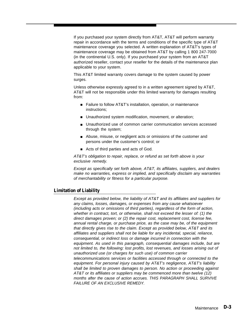If you purchased your system directly from AT&T, AT&T will perform warranty repair in accordance with the terms and conditions of the specific type of AT&T maintenance coverage you selected. A written explanation of AT&T's types of maintenance coverage may be obtained from AT&T by calling 1 800 247-7000 (in the continental U.S. only). If you purchased your system from an AT&T authorized reseller, contact your reseller for the details of the maintenance plan applicable to your system.

This AT&T limited warranty covers damage to the system caused by power surges.

Unless otherwise expressly agreed to in a written agreement signed by AT&T, AT&T will not be responsible under this limited warranty for damages resulting from:

- Failure to follow AT&T's installation, operation, or maintenance instructions;
- Unauthorized system modification, movement, or alteration;
- Unauthorized use of common carrier communication services accessed through the system;
- Abuse, misuse, or negligent acts or omissions of the customer and persons under the customer's control; or
- Acts of third parties and acts of God.

AT&T's obligation to repair, replace, or refund as set forth above is your exclusive remedy.

Except as specifically set forth above, AT&T, its affiliates, suppliers, and dealers make no warranties, express or implied, and specifically disclaim any warranties of merchantability or fitness for a particular purpose.

#### **Limitation of Liability**

Except as provided below, the liability of AT&T and its affiliates and suppliers for any claims, losses, damages, or expenses from any cause whatsoever (including acts or omissions of third parties), regardless of the form of action, whether in contract, tort, or otherwise, shall not exceed the lesser of: (1) the direct damages proven; or (2) the repair cost, replacement cost, license fee, annual rental charge, or purchase price, as the case may be, of the equipment that directly gives rise to the claim. Except as provided below, AT&T and its affiliates and suppliers shall not be liable for any incidental, special, reliance, consequential, or indirect loss or damage incurred in connection with the equipment. As used in this paragraph, consequential damages include, but are not limited to, the following: lost profits, lost revenues, and losses arising out of unauthorized use (or charges for such use) of common carrier telecommunications services or facilities accessed through or connected to the equipment. For personal injury caused by AT&T's negligence, AT&T's liability shall be limited to proven damages to person. No action or proceeding against AT&T or its affiliates or suppliers may be commenced more than twelve (12) months after the cause of action accrues. THIS PARAGRAPH SHALL SURVIVE FAILURE OF AN EXCLUSIVE REMEDY.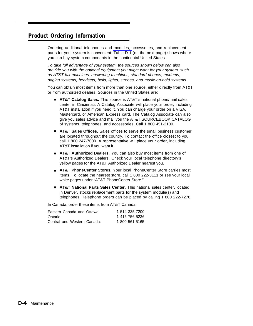#### <span id="page-125-1"></span><span id="page-125-0"></span>**Product Ordering Information**

Ordering additional telephones and modules, accessories, and replacement parts for your system is convenient. [Table D-1](#page-126-0) (on the next page) shows where you can buy system components in the continental United States.

To take full advantage of your system, the sources shown below can also provide you with the optional equipment you might want for your system, such as AT&T fax machines, answering machines, standard phones, modems, paging systems, headsets, bells, lights, strobes, and music-on-hold systems.

You can obtain most items from more than one source, either directly from AT&T or from authorized dealers. Sources in the United States are:

- **AT&T Catalog Sales.** This source is AT&T's national phone/mail sales center in Cincinnati. A Catalog Associate will place your order, including AT&T installation if you need it. You can charge your order on a VISA, Mastercard, or American Express card. The Catalog Associate can also give you sales advice and mail you the AT&T SOURCEBOOK CATALOG of systems, telephones, and accessories. Call 1 800 451-2100.
- **AT&T Sales Offices.** Sales offices to serve the small business customer are located throughout the country. To contact the office closest to you, call 1 800 247-7000. A representative will place your order, including AT&T installation if you want it.
- **AT&T Authorized Dealers.** You can also buy most items from one of AT&T's Authorized Dealers. Check your local telephone directory's yellow pages for the AT&T Authorized Dealer nearest you.
- **AT&T PhoneCenter Stores.** Your local PhoneCenter Store carries most items. To locate the nearest store, call 1 800 222-3111 or see your local white pages under "AT&T PhoneCenter Store."
- **AT&T National Parts Sales Center.** This national sales center, located in Denver, stocks replacement parts for the system module(s) and telephones. Telephone orders can be placed by calling 1 800 222-7278.

In Canada, order these items from AT&T Canada:

| Eastern Canada and Ottawa:  | 1 514 335-7200 |
|-----------------------------|----------------|
| Ontario:                    | 1 416 756-5236 |
| Central and Western Canada: | 1 800 561-5165 |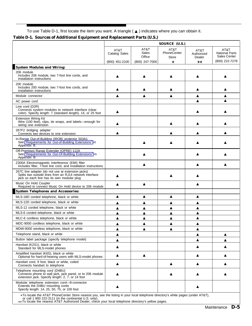To use Table D-1, first locate the item you want. A triangle ( ▲ ) indicates where you can obtain it.

#### <span id="page-126-3"></span><span id="page-126-2"></span><span id="page-126-1"></span>**Table D-1. Sources of Additional Equipment and Replacement Parts (U.S.)**

<span id="page-126-0"></span>

| Table D'1. Dources of Additional Equipment and Replacement I alts (0.0.)                                                                                                                                                                       | SOURCE (U.S.)         |                         |                                     |                                     |                                               |
|------------------------------------------------------------------------------------------------------------------------------------------------------------------------------------------------------------------------------------------------|-----------------------|-------------------------|-------------------------------------|-------------------------------------|-----------------------------------------------|
|                                                                                                                                                                                                                                                | AT&T<br>Catalog Sales | AT&T<br>Sales<br>Office | AT&T<br>PhoneCenter<br><b>Store</b> | AT&T<br>Authorized<br>Dealer        | AT&T<br><b>National Parts</b><br>Sales Center |
|                                                                                                                                                                                                                                                | (800) 451-2100        | (800) 247-7000          | $\star$                             | $***$                               | (800) 222-7278                                |
| <b>System Modules and Wiring:</b>                                                                                                                                                                                                              |                       |                         |                                     |                                     |                                               |
| 206 module<br>Includes 206 module, two 7-foot line cords, and<br>installation instructions                                                                                                                                                     |                       |                         |                                     |                                     |                                               |
| 200 module<br>Includes 200 module, two 7-foot line cords, and<br>installation instructions                                                                                                                                                     |                       |                         | ▲                                   |                                     |                                               |
| Module connector                                                                                                                                                                                                                               | ▲                     | ▲                       | ▲                                   | ▲                                   | ▲                                             |
| AC power cord                                                                                                                                                                                                                                  |                       |                         |                                     |                                     |                                               |
| Line cord (D2R)<br>Connects system modules to network interface (clear<br>color). Specify length: 7 (standard length), 14, or 25 foot                                                                                                          |                       |                         |                                     |                                     |                                               |
| <b>Extension Wiring Kit</b><br>Wire (100 feet), clips, tie wraps, and labels-enough for<br>wiring one extension                                                                                                                                | ▲                     |                         | ▲                                   |                                     |                                               |
| 267F2 bridging adapter<br>Connects two devices to one extension                                                                                                                                                                                | ▲                     |                         |                                     |                                     |                                               |
| In-Range Out-of-Building (IROB) protector 503A1<br>See "Requirements for Out-of-Building Extensions" in<br>Appendix B.                                                                                                                         |                       |                         |                                     |                                     |                                               |
| Off-Premises Range Extender (OPRE) 112A<br>See "Requirements for Out-Of-Building Extensions" in<br>Appendix B                                                                                                                                  |                       |                         |                                     |                                     |                                               |
| Z300A Electromagnetic Interference (EMI) filter<br>Includes filter, 7-foot line cord, and installation instructions                                                                                                                            |                       |                         |                                     |                                     |                                               |
| 267C line adapter (do not use at extension jacks)<br>Splits two outside lines from an RJ14 network interface<br>jack so each line has its own modular plug                                                                                     |                       |                         |                                     |                                     |                                               |
| Music On Hold Coupler<br>Required to connect Music On Hold device to 206 module                                                                                                                                                                | ▲                     | ▲                       |                                     |                                     |                                               |
| <b>System Telephones and Accessories:</b>                                                                                                                                                                                                      |                       |                         |                                     |                                     |                                               |
| MLS-18D corded telephone, black or white                                                                                                                                                                                                       | ▲                     | ▲                       | ▲                                   | ▲                                   |                                               |
| MLS-12D corded telephone, black or white                                                                                                                                                                                                       | ▲                     | ▲                       | ▲                                   | ▲                                   |                                               |
| MLS-12 corded telephone, black or white                                                                                                                                                                                                        | ▲                     | ▲                       | ▲                                   | ▲                                   |                                               |
| MLS-6 corded telephone, black or white                                                                                                                                                                                                         | ▲                     | ▲                       | ▲                                   | ▲                                   |                                               |
| MLC-6 cordless telephone, black or white                                                                                                                                                                                                       | ▲                     | ▲                       | ▲                                   | ▲                                   |                                               |
| MDC-9000 cordless telephone, black or white                                                                                                                                                                                                    | ▲                     | ▲                       | ▴                                   | ▲                                   |                                               |
| MDW-9000 wireless telephone, black or white                                                                                                                                                                                                    | ▲                     | ▲                       | ▲                                   | ▲                                   |                                               |
| Telephone stand, black or white                                                                                                                                                                                                                | ▲                     |                         |                                     | ▲                                   | ▲                                             |
| Button label package (specify telephone model)                                                                                                                                                                                                 | ▲                     |                         |                                     | ▲                                   | ▲                                             |
| Handset (K2S1), black or white<br>Standard for MLS-model phones                                                                                                                                                                                | ▲                     |                         |                                     |                                     |                                               |
| Amplified handset (K6S), black or white<br>Optional for hard-of-hearing users with MLS-model phones                                                                                                                                            | ▲                     | ▲                       |                                     | ▲                                   | ▲                                             |
| Handset cord, 9 foot, black or white, coiled<br>Connects handset to telephone                                                                                                                                                                  | ▲                     |                         | ▲                                   | ▲                                   |                                               |
| Telephone mounting cord (D4BU)<br>Connects phone to wall jack, jack panel, or to 206 module<br>extension jack. Specify length: 2, 7, or 14 foot                                                                                                |                       |                         |                                     |                                     |                                               |
| Modular telephone extension cord-8-connector<br>Extends the D4BU mounting cords<br>Specify length: 14, 25, 50, 75, or 100 foot<br>LTo locate the ATRT DheneCenter Ctere necreet you, and the listing in your local telephone directory's white | ▲                     |                         |                                     | $\cos \theta$ (under $\Lambda$ TOT) |                                               |

\* To locate the AT&T PhoneCenter Store nearest you, see the listing in your local telephone directory's white pages (under AT&T),

or call 1 800 222-3111 (in the continental U.S. only). \*\* To locate the nearest AT&T Authorized Dealer, check your local telephone directory's yellow pages.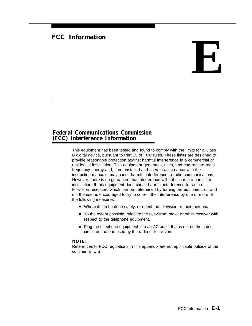#### <span id="page-127-0"></span>**FCC Information**

## **E**

#### **Federal Communications Commission (FCC) Interference Information**

This equipment has been tested and found to comply with the limits for a Class B digital device, pursuant to Part 15 of FCC rules. These limits are designed to provide reasonable protection against harmful interference in a commercial or residential installation. This equipment generates, uses, and can radiate radio frequency energy and, if not installed and used in accordance with the instruction manuals, may cause harmful interference to radio communications. However, there is no guarantee that interference will not occur in a particular installation. If this equipment does cause harmful interference to radio or television reception, which can be determined by turning the equipment on and off, the user is encouraged to try to correct the interference by one or more of the following measures:

- Where it can be done safely, re-orient the television or radio antenna.
- To the extent possible, relocate the television, radio, or other receiver with respect to the telephone equipment.
- Plug the telephone equipment into an AC outlet that is not on the same circuit as the one used by the radio or television.

#### **NOTE:**

References to FCC regulations in this appendix are not applicable outside of the continental U.S.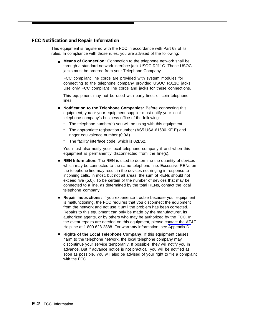#### <span id="page-128-0"></span>**FCC Notification and Repair Information**

This equipment is registered with the FCC in accordance with Part 68 of its rules. In compliance with those rules, you are advised of the following:

■ Means of Connection: Connection to the telephone network shall be through a standard network interface jack USOC RJ11C. These USOC jacks must be ordered from your Telephone Company.

FCC compliant line cords are provided with system modules for connecting to the telephone company provided USOC RJ11C jacks. Use only FCC compliant line cords and jacks for these connections.

This equipment may not be used with party lines or coin telephone lines.

- **Notification to the Telephone Companies:** Before connecting this equipment, you or your equipment supplier must notify your local telephone company's business office of the following:
	- The telephone number(s) you will be using with this equipment.
	- The appropriate registration number (AS5 USA-61630-KF-E) and ringer equivalence number (0.9A).
	- The facility interface code, which is 02LS2.

You must also notify your local telephone company if and when this equipment is permanently disconnected from the line(s).

- **REN Information:** The REN is used to determine the quantity of devices which may be connected to the same telephone line. Excessive RENs on the telephone line may result in the devices not ringing in response to incoming calls. In most, but not all areas, the sum of RENs should not exceed five (5.0). To be certain of the number of devices that may be connected to a line, as determined by the total RENs, contact the local telephone company.
- Repair Instructions: If you experience trouble because your equipment is malfunctioning, the FCC requires that you disconnect the equipment from the network and not use it until the problem has been corrected. Repairs to this equipment can only be made by the manufacturer, its authorized agents, or by others who may be authorized by the FCC. In the event repairs are needed on this equipment, please contact the AT&T Helpline at 1 800 628-2888. For warranty information, see [Appendix D.](#page-122-0)
- Rights of the Local Telephone Company: If this equipment causes harm to the telephone network, the local telephone company may discontinue your service temporarily. If possible, they will notify you in advance. But if advance notice is not practical, you will be notified as soon as possible. You will also be advised of your right to file a complaint with the FCC.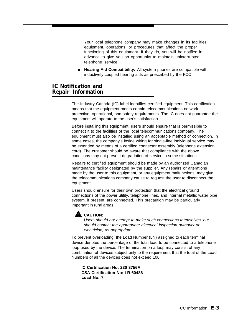<span id="page-129-0"></span>Your local telephone company may make changes in its facilities, equipment, operations, or procedures that affect the proper functioning of this equipment. If they do, you will be notified in advance to give you an opportunity to maintain uninterrupted telephone service.

■ **Hearing Aid Compatibility:** All system phones are compatible with inductively coupled hearing aids as prescribed by the FCC.

#### **IC Notification and Repair Information**

The Industry Canada (IC) label identifies certified equipment. This certification means that the equipment meets certain telecommunications network protective, operational, and safety requirements. The IC does not guarantee the equipment will operate to the user's satisfaction.

Before installing this equipment, users should ensure that is permissible to connect it to the facilities of the local telecommunications company. The equipment must also be installed using an acceptable method of connection. In some cases, the company's inside wiring for single-line individual service may be extended by means of a certified connector assembly (telephone extension cord). The customer should be aware that compliance with the above conditions may not prevent degradation of service in some situations.

Repairs to certified equipment should be made by an authorized Canadian maintenance facility designated by the supplier. Any repairs or alterations made by the user to this equipment, or any equipment malfunctions, may give the telecommunications company cause to request the user to disconnect the equipment.

Users should ensure for their own protection that the electrical ground connections of the power utility, telephone lines, and internal metallic water pipe system, if present, are connected. This precaution may be particularly important in rural areas.



Users should not attempt to make such connections themselves, but should contact the appropriate electrical inspection authority or electrician, as appropriate.

To prevent overloading, the Load Number (LN) assigned to each terminal device denotes the percentage of the total load to be connected to a telephone loop used by the device. The termination on a loop may consist of any combination of devices subject only to the requirement that the total of the Load Numbers of all the devices does not exceed 100.

**IC Certification No: 230 3756A CSA Certification No: LR 60486 Load No: 7**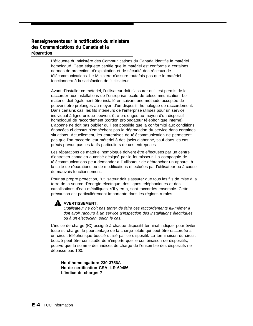#### **Renseignements sur la notification du ministére des Communications du Canada et la réparation**

L'étiquette du ministére des Communications du Canada identifie le matériel homologué. Cette étiquette certifie que le matériel est conforme à certaines normes de protection, d'exploitation et de sécurité des réseaux de télécommunications. Le Ministére n'assure toutefois pas que le matériel fonctionnera à la satisfaction de l'utilisateur.

Avant d'installer ce méteriel, l'utilisateur doit s'assurer qu'il est permis de le raccorder aux installations de l'entreprise locale de télécommunication. Le matériel doit également être installé en suivant une méthode acceptée de peuvent etre prolonges au moyen d'un dispositif homologue de raccordement. Dans certains cas, les fils intérieurs de l'enterprise utilisés pour un service individual à ligne unique peuvent être prolongés au moyen d'un dispositif homologué de raccordement (cordon prolongateur téléphonique interne). L'abonné ne doit pas oublier qu'il est possible que la conformité aux conditions énoncées ci-dessus n'empêchent pas la dégradation du service dans certaines situations. Actuellement, les entreprises de télécommunication ne permettent pas que l'on raccorde leur méteriel à des jacks d'abonné, sauf dans les cas précis prévus pas les tarifs particuliers de ces entreprises.

Les réparations de matériel homologué doivent être effectuées par un centre d'entretien canadien autorisé désigné par le foumisseur. La compagnie de télécommunications peut demander à l'utilisateur de débrancher un appareil à la suite de réparations ou de modifications effectuées par l'utilisateur ou à cause de mauvais fonctionnement.

Pour sa propre protection, l'utilisateur doit s'assurer que tous les fils de mise à la terre de la source d'énergie électrique, des lignes téléphoniques et des canalisations d'eau métalliques, s'il y en a, sont raccordés ensemble. Cette précaution est particuliérement importante dans les régions rurales.

#### **AVERTISSEMENT:**

L'utilisateur ne doit pas tenter de faire ces raccordements lui-même; il doit avoir racours à un service d'inspection des installations électriques, ou à un electrician, selon le cas.

L'indice de charge (IC) assigné à chaque dispositif terminal indique, pour éviter toute surcharge, le pourcentage de la charge totale qui peut être raccordée a un circuit téléphonique boucié utilisé par ce dispositif. La terminaison du circuit boucié peut être constituêe de n'importe quellie combinaison de dispositifs, pourvu que la somme des indices de charge de l'ensemble des dispositifs ne dépasse pas 100.

**No d'homolagation: 230 3756A No de certification CSA: LR 60486 L'indice de charge: 7**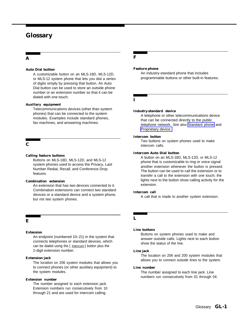#### **Glossary**

#### **A F**

#### <span id="page-131-1"></span>**Auto Dial button**

A customizable button on an MLS-18D, MLS-12D, or MLS-12 system phone that lets you dial a series of digits simply by pressing that button. An Auto Dial button can be used to store an outside phone number or an extension number so that it can be dialed with one touch.

#### **Auxiliary equipment**

<span id="page-131-0"></span>Telecommunications devices (other than system phones) that can be connected to the system modules. Examples include standard phones, fax machines, and answering machines.

#### **C**

#### **Calling feature buttons**

Buttons on MLS-18D, MLS-12D, and MLS-12 system phones used to access the Privacy, Last Number Redial, Recall, and Conference Drop features.

#### **Combination extension**

An extension that has two devices connected to it. Combination extensions can connect two standard devices or a standard device and a system phone, but not two system phones.

#### **E**

#### **Extension**

An endpoint (numbered 10–21) in the system that connects telephones or standard devices, which can be dialed using the  $[$  *Intercom*  $]$  button plus the 2-digit extension number.

#### **Extension jack**

The locatlon on 206 system modules that allows you to connect phones (or other auxiliary equipment) to the system modules.

#### **Extension number**

The number assigned to each extension jack. Extension numbers run consecutively from 10 through 21 and are used for intercom calling.

#### **Feature phone**

An industry-standard phone that includes programmable buttons or other built-in features.

#### **I**

#### **Industry-standard device**

A telephone or other telecommunications device that can be connected directly to the public telephone network. See also [Standard phone](#page-132-0) and [Proprietary device.](#page-132-1)

#### **Intercom button**

Two buttons on system phones used to make intercom calls.

#### **Intercom Auto Dial button**

A button on an MLS-18D, MLS-12D, or MLS-12 phone that is customizable to ring or voice signal another extension whenever the button is pressed. The button can be used to call the extension or to transfer a call to the extension with one touch; the lights next to the button show calling activity for the extension.

#### **Intercom call**

A call that is made to another system extension.

#### **L**

#### **Line buttons**

Buttons on system phones used to make and answer outside calls. Lights next to each button show the status of the line.

#### **Line jack**

The location on 206 and 200 system modules that allows you to connect outside lines to the system.

#### **Line number**

The number assigned to each line jack. Line numbers run consecutively from 01 through 04.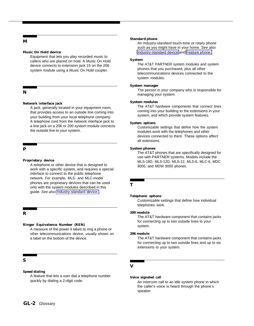<span id="page-132-0"></span>**M**

#### **Music On Hold device**

Equipment that lets you play recorded music to callers who are placed on hold. A Music On Hold device connects to extension jack 15 on the 206 system module using a Music On Hold coupler.

#### **N**

#### **Network interface jack**

A jack, generally located in your equipment room, that provides access to an outside line coming into your building from your local telephone company. A telephone cord from the network interface jack to a line jack on a 206 or 200 system module connects the outside line to your system.

#### **P**

#### <span id="page-132-1"></span>**Proprietary device**

A telephone or other device that is designed to work with a specific system, and requires a special interface to connect to the public telephone network. For example, MLS- and MLC-model phones are proprietary devices that can be used only with the system modules described in this guide. See also [Industry-standard device.](#page-131-0)

#### **R**

#### **Ringer Equivalence Number (REN)**

A measure of the power it takes to ring a phone or other telecommunications device, usually shown on a label on the bottom of the device.

#### **S**

#### **Speed dialing**

A feature that lets a user dial a telephone number quickly by dialing a 2-digit code.

#### **Standard phone**

An industry-standard touch-tone or rotary phone such as you might have in your home. See also [Industry-standard device](#page-131-0) and [Feature phone.](#page-131-1)

#### **System**

The AT&T PARTNER system modules and system phones that you purchased, plus all other telecommunications devices connected to the system modules.

#### **System manager**

The person in your company who is responsible for managing your system.

#### **System modules**

The AT&T hardware components that connect lines coming into your building to the extensions in your system, and which provide system features.

#### **System options**

Customizable settings that define how the system modules work with the telephones and other devices connected to them. These options affect all extensions.

#### **System phones**

The AT&T phones that are specifically designed for use with PARTNER systems. Models include the MLS-18D, MLS-12D, MLS-12, MLS-6, MLC-6, MDC 9000, and MDW 9000 phones.

#### **T**

#### **Telephone options**

Customizable settings that define how individual telephones work.

#### **200 module**

The AT&T hardware component that contains jacks for connecting up to two outside lines to your system.

#### **206 module**

The AT&T hardware component that contains jacks for connecting up to two outside lines and up to six extensions to your system.

#### **V**

#### **Voice signaled call**

An intercom call to an idle system phone in which the caller's voice is heard through the phone's speaker.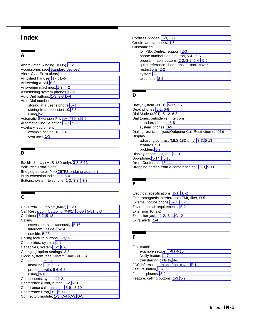#### **A**

<span id="page-133-0"></span>Abbreviated Ringing (#305), [5-2](#page-45-0) Accessories (see [Standard devices\)](#page-135-0) Alerts (see Extra alerts) Amplified handset, [1-4,](#page-12-0) [D-5](#page-126-1) Answering a call, [5-3](#page-46-0) Answering machines, [1-3,](#page-11-0) [4-2](#page-31-0) Assembling system phones[, C-13](#page-116-4) Auto Dial buttons, [1-3,](#page-11-0) [3-3,](#page-21-0) [5-4](#page-47-0) Auto Dial numbers storing at a user's phone[, 5-4](#page-47-0) storing from extension 10, [5-5](#page-48-0) using, [5-5](#page-48-0) Automatic Extension Privacy (#304), [5-6](#page-49-0) Automatic Line Selection, [5-7](#page-50-0) [- 5-8](#page-51-0) Auxiliary equipment example setups, [4-1 -](#page-30-0) [4-11](#page-40-0) overview, [1-3](#page-11-0)

#### <span id="page-133-1"></span>**B**

<span id="page-133-2"></span>Backlit display (MLS-18D only), [3-3,](#page-21-0) [5-13](#page-56-0) Bells (see Extra alerts) Bridging adapter (see [267F2 bridging adapter\)](#page-136-0) Busy extension indication, [5-4](#page-47-0) Buttons, system telephone, [1-3,](#page-11-0) [3-2 -](#page-20-0) [3-3](#page-21-0)

#### **C**

Call Prefix, Outgoing (#402), [5-29](#page-72-0) Call Restriction, Outgoing (#401), [5-30 -](#page-73-0) [5-31,](#page-74-0) [6-3](#page-92-0) Call timer, [3-2,](#page-20-0) [5-13](#page-56-0) Calling extensions simultaneously, [5-16](#page-59-0) intercom (inside), [5-24](#page-67-0) outside, [5-23](#page-66-0) Calling feature buttons, [1-3,](#page-11-0) [3-2](#page-20-0) Capabilities, system, [1-1](#page-9-0) Capacities, system[, 1-2,](#page-10-0) [B-1](#page-101-1) Changing option settings, [2-3](#page-17-0) Clock, system (see [System Time \(#103\)\)](#page-136-1) Combination extension installing, [C-6 -](#page-109-1) [C-7](#page-110-0) problems with[, 6-6,](#page-95-0) [6-8](#page-97-0) using, [3-10](#page-28-0) Components, system, [1-2](#page-10-0) Conference (Conf) button, [3-2,](#page-20-0) [5-10](#page-53-0) Conference call, making a, [5-9 -](#page-52-0) [5-10](#page-53-0) Conference Drop, [3-2,](#page-20-0) [5-11](#page-54-0) Connector, module, [1-3,](#page-11-0) [C-4,](#page-107-0) [C-9,](#page-112-4) [D-5](#page-126-1)

**Index** Cordless phones, [1-3,](#page-11-0) [3-3](#page-21-0) Credit card scanners, [4-5](#page-34-0) **Customizing** for PBX/Centrex support, [2-3](#page-17-0) phone numbers on a button[, 5-4 -](#page-47-0) [5-5](#page-48-0) programmable buttons, [2-2,](#page-16-0) [3-2,](#page-20-0) [5-4 -](#page-47-0) [5-5](#page-48-0) quick reference charts, [Inside back cover](#page-137-0) restrictions, [2-2](#page-16-0) system, [2-1](#page-15-0) telephone, [2-2](#page-16-0)

#### **D**

Date, System (#101), [5-37,](#page-80-0) [6-7](#page-96-0) Dead phones[, 6-2,](#page-91-1) [6-8](#page-97-0) Dial Mode (#201), [5-12,](#page-55-0) [6-3](#page-92-0) Dial tones, outside vs. intercom standard phones, [3-8](#page-26-0) system phones, [3-5](#page-23-0) Dialing restriction (see [Outgoing Call Restriction \(#401\)\)](#page-134-0) Display adjusting contrast (MLS-18D only), [3-3,](#page-21-0) [5-13](#page-56-0) features[, 5-13](#page-56-0) problem, [6-7](#page-96-0) Display phone, [1-3,](#page-11-0) [3-2,](#page-20-0) [5-13](#page-56-0) Doorphone, [5-14 -](#page-57-0) [5-15](#page-58-0) Drop, Conference, [5-11](#page-54-0) Dropping parties from a conference call, [5-9,](#page-52-0) [5-11](#page-54-0)

#### **E**

Electrical specifications, [B-1 -](#page-101-1) [B-2](#page-102-1) Electromagnetic Interference (EMI) filter[, D-5](#page-126-1) External hotline phone, [5-14](#page-57-0) [- 5-15](#page-58-0) Environmental requirements, [B-2](#page-102-1) Extension 10, [2-2](#page-16-0) Extension jacks, [1-2,](#page-10-0) [B-1,](#page-101-1) [C-12](#page-115-1) Extra alerts, [1-4](#page-12-0)

#### **F**

Fax machines example setups, [4-6 -](#page-35-0) [4-10](#page-39-0) Notify feature, [4-7](#page-36-0) transferring calls to, [4-6](#page-35-0) FCC information, [Inside front cover,](#page-1-0) [E-1](#page-127-0) Feature button, [3-2](#page-20-0) Feature phones, [3-9](#page-27-0) Feature, calling buttons, [1-3,](#page-11-0) [3-2](#page-20-0)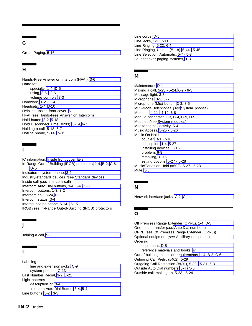#### **G**

Group Paging, [5-16](#page-59-1)

#### **H**

Hands-Free Answer on Intercom (HFAI), [3-6](#page-24-0) Handset specialty, [1-4,](#page-12-1) [D-5](#page-126-2) using, [3-5](#page-23-1) [- 3-6](#page-24-0) volume controls, [3-3](#page-21-1) Hardware, [1-2 -](#page-10-1) [1-4](#page-12-1) Headsets, [1-4,](#page-12-1) [3-10](#page-28-1) Helpline, [Inside front cover,](#page-1-1) [6-1](#page-90-0) HFAI (see Hands-Free Answer on Intercom) Hold button, [3-2,](#page-20-1) [5-18](#page-61-0) Hold Disconnect Time (#203), [5-19,](#page-62-0) [6-7](#page-96-1) Holding a call, [5-18,](#page-61-0) [6-7](#page-96-1) Hotline phone, [5-14 -](#page-57-1) [5-15](#page-58-1)

#### **I**

<span id="page-134-0"></span>IC information, [Inside front cover,](#page-1-1) [E-3](#page-129-0) In-Range Out-of-Building (IROB) protectors, [1-4,](#page-12-1) [B-2,](#page-102-2) [C-6,](#page-109-2) [D-5](#page-126-2) Indicators, system phone, [3-2](#page-20-1) Industry-standard devices (see [Standard devices\)](#page-135-2) Inside call (see Intercom call) Intercom Auto Dial buttons, [3-4,](#page-22-0) [5-4 -](#page-47-1) [5-5](#page-48-1) Intercom buttons, [1-3,](#page-11-1) [3-2](#page-20-1) Intercom call, [5-24,](#page-67-1) [6-5](#page-94-0) Intercom status, [3-4](#page-22-0) Internal hotline phone, [5-14 -](#page-57-1) [5-15](#page-58-1) IROB (see In-Range Out-of-Building (IROB) protectors

#### **J**

Joining a call, [5-20](#page-63-0)

#### **L**

Labeling line and extension jacks, [C-9](#page-112-5) system phones, [C-13](#page-116-5) Last Number Redial, [3-2,](#page-20-1) [5-21](#page-64-0) Light patterns description of, [3-4](#page-22-0) Intercom Auto Dial Button, [3-4,](#page-22-0) [5-4](#page-47-1) Line buttons, [3-2 -](#page-20-1) [3-3](#page-21-1)

Line cords, [D-5](#page-126-2) Line jacks, [1-2,](#page-10-1) [C-11](#page-114-1) Line Ringing, [5-22,](#page-65-0) [6-4](#page-93-0) Line Ringing, Unique (#118), [5-44 -](#page-87-0) [5-45](#page-88-0) Line Selection, Automatic, [5-7 -](#page-50-1) [5-8](#page-51-1) Loudspeaker paging systems, [1-3](#page-11-1)

#### **M**

Maintenance, [D-1](#page-122-1) Making a call, [5-23 -](#page-66-1) [5-24,](#page-67-1) [6-2](#page-91-2) [- 6-3](#page-92-1) Message light[, 3-3](#page-21-1) Microphone, [3-3,](#page-21-1) [3-5](#page-23-1) Microphone (Mic) button, [3-3,](#page-21-1) [3-5](#page-23-1) MLS-model telephones (see [System phones\)](#page-136-2) Modems, [4-11 -](#page-40-1) [4-12,](#page-41-0) [6-8](#page-97-1) Module connector, [1-3,](#page-11-1) [C-4,](#page-107-1) [C-9,](#page-112-5) [D-5](#page-126-2) Modules (see [System modules\)](#page-135-1) Monitoring call activity, [5-4](#page-47-1) Music Access, [5-25 -](#page-68-0) [5-26](#page-69-0) Music On Hold coupler, [B-1,](#page-101-2) [C-16](#page-119-0) description, [1-4,](#page-12-1) [5-27](#page-70-1) installing devices, [C-16](#page-119-0) problem, [6-8](#page-97-1) removing, [C-16](#page-119-0) setting options, [5-27 -](#page-70-1) [5-28](#page-71-0) Music/Tones on Hold (#602), [5-27 -](#page-70-1) [5-28](#page-71-0) Mute, [3-6](#page-24-0)

#### **N**

Network interface jacks, [C-2,](#page-105-0) [C-11](#page-114-1)

#### **O**

Off Premises Range Extender (OPRE), [1-4,](#page-12-1) [D-5](#page-126-2) One-touch transfer (see [Auto Dial numbers\)](#page-133-0) OPRE (see Off Premises Range Extender (OPRE)) Optional equipment (see [Auxiliary equipment\)](#page-133-1) **Ordering** equipment, [D-5](#page-126-2) reference materials and books, [iv](#page-5-0) Out-of-building extension requirements, [1-4,](#page-12-1) [B-2,](#page-102-2) [C-6](#page-109-2) Outgoing Call Prefix (#402), [5-29](#page-72-1) Outgoing Call Restriction (#401), [5-30 -](#page-73-1) [5-31,](#page-74-1) [6-3](#page-92-1) Outside Auto Dial numbers[, 5-4 -](#page-47-1) [5-5](#page-48-1) Outside call, making an, [5-23 -](#page-66-1) [5-24](#page-67-1)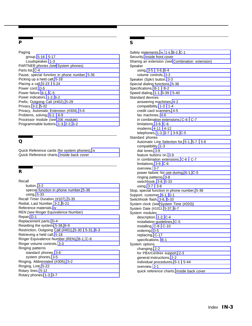#### **P**

<span id="page-135-2"></span><span id="page-135-0"></span>Paging group, [5-16 -](#page-59-1) [5-17](#page-60-0) Loudspeaker, [1-3](#page-11-1) PARTNER phones (see [System phones\)](#page-136-2) Parts list, [C-4](#page-107-1) Pause, special function in phone number, [5-36](#page-79-0) Picking up a held call, [5-18](#page-61-0) Placing a call, [5-23 -](#page-66-1) [5-24](#page-67-1) Power cord, [D-5](#page-126-2) Power failure, [6-1,](#page-90-0) [C-5](#page-108-0) Power indicators, [1-2,](#page-10-1) [6-2](#page-91-2) Prefix, Outgoing Call (#402), [5-29](#page-72-1) Privacy, [3-2,](#page-20-1) [5-32](#page-75-0) Privacy, Automatic Extension (#304), [5-6](#page-49-1) Problems, solving, [6-1 -](#page-90-0) [6-9](#page-98-0) Processor module (see [206 module\)](#page-136-3) Programmable buttons[, 1-3,](#page-11-1) [2-2,](#page-16-1) [3-2](#page-20-1)

#### <span id="page-135-3"></span>**Q**

Quick Reference cards (for system phones), [iv](#page-5-0) Quick Reference charts, [Inside back cover](#page-137-2)

#### <span id="page-135-1"></span>**R**

Recall button, [3-2](#page-20-1) special function in phone number, [5-36](#page-79-0) using, [5-33](#page-76-0) Recall Timer Duration (#107), [5-35](#page-78-0) Redial, Last Number, [3-2,](#page-20-1) [5-21](#page-64-0) Reference materials, [iv](#page-5-0) REN (see Ringer Equivalence Number) Repair, [D-1](#page-122-1) Replacement parts, [D-4](#page-125-1) Resetting the system[, 5-38,](#page-81-0) [6-9](#page-98-0) Restriction, Outgoing Call (#401), [5-30 -](#page-73-1) [5-31,](#page-74-1) [6-3](#page-92-1) Retrieving a held call, [5-18](#page-61-0) Ringer Equivalence Number (REN)[, B-1,](#page-101-2) [C-6](#page-109-2) Ringer volume controls, [3-3](#page-21-1) Ringing patterns standard phones, [3-8](#page-26-1) system phones, [3-5](#page-23-1) Ringing, Abbreviated (#305), [5-2](#page-45-1) Ringing, Line, [5-22](#page-65-0) Rotary lines, [5-12](#page-55-1) Rotary phones, [1-3,](#page-11-1) [3-7](#page-25-0)

#### **S**

Safety statements, [iv,](#page-5-0) [1-ii,](#page-8-0) [B-2,](#page-102-2) [C-1](#page-104-1) Security[, Inside front cover](#page-1-1) Sharing an extension (see [Combination extension\)](#page-133-2) Speaker using, [3-5](#page-23-1) [- 3-6,](#page-24-0) [6-4](#page-93-0) volume controls, [3-3](#page-21-1) Speaker (Spkr) button, [3-3](#page-21-1) Special dialing functions, [5-36](#page-79-0) Specifications, [B-1 -](#page-101-2) [B-2](#page-102-2) Speed dialing, [1-1,](#page-9-1) [5-39 -](#page-82-0) [5-40](#page-83-0) Standard devices answering machines, [4-2](#page-31-1) compatibility, [1-3 -](#page-11-1) [1-4](#page-12-1) credit card scanners[, 4-5](#page-34-1) fax machines, [4-6](#page-35-1) in combination extensions, [C-6 -](#page-109-2) [C-7](#page-110-1) limitations, [3-9,](#page-27-1) [C-6](#page-109-2) modems[, 4-11 -](#page-40-1) [4-12](#page-41-0) telephones, [1-3,](#page-11-1) [3-7 -](#page-25-0) [3-9,](#page-27-1) [C-5](#page-108-0) Standard phones Automatic Line Selection for, [5-1,](#page-44-0) [5-7 -](#page-50-1) [5-8](#page-51-1) compatibility, [1-3](#page-11-1) dial tones, [3-8](#page-26-1) feature buttons on, [3-9](#page-27-1) in combination extensions, [C-6](#page-109-2) [- C-7](#page-110-1) limitations, [3-9,](#page-27-1) [C-6](#page-109-2) overview, [3-7](#page-25-0) power failure, for use during, [6-1,](#page-90-0) [C-5](#page-108-0) ringing patterns, [3-8](#page-26-1) switchhook, [3-8,](#page-26-1) [5-33](#page-76-0) using, [3-7](#page-25-0) [- 3-8](#page-26-1) Stop, special function in phone number, [5-36](#page-79-0) Support, customer, [6-1,](#page-90-0) [D-1](#page-122-1) Switchhook flash, [3-8,](#page-26-1) [5-33](#page-76-0) System clock (see [System Time \(#203\)\)](#page-136-4) System Date (#101), [5-37,](#page-80-1) [6-7](#page-96-1) System modules description, [1-2,](#page-10-1) [C-4](#page-107-1) installation guidelines, [C-5](#page-108-0) installing, [C-8 -](#page-111-2) [C-10](#page-113-0) ordering, [D-5](#page-126-2) replacing, [C-17](#page-120-0) specifications, [B-1](#page-101-2) System options changing, [2-2](#page-16-1) for PBX/Centrex support, [2-3](#page-17-1) general instructions, [2-2](#page-16-1) individual procedures, [5-1](#page-44-0) [- 5-44](#page-87-0) overview, [2-1](#page-15-1) quick reference charts, [Inside back cover](#page-137-1)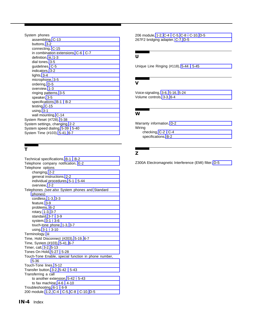<span id="page-136-3"></span><span id="page-136-2"></span><span id="page-136-0"></span>System phones assembling, [C-13](#page-116-6) buttons, [3-2](#page-20-2) connecting, [C-15](#page-118-0) in combination extensions[, C-6 -](#page-109-3) [C-7](#page-110-2) definition, [iii,](#page-4-0) [1-3](#page-11-2) dial tones, [3-5](#page-23-2) guidelines, [C-5](#page-108-1) indicators, [3-2](#page-20-2) lights, [3-4](#page-22-1) microphone, [3-5](#page-23-2) ordering, [D-5](#page-126-3) overview, [1-3](#page-11-2) ringing patterns, [3-5](#page-23-2) speaker, [3-5](#page-23-2) specifications, [B-1 -](#page-101-3) [B-2](#page-102-3) testing, [C-15](#page-118-0) using, [3-1](#page-19-0) wall mounting, [C-14](#page-117-0) System Reset (#728), [5-38](#page-81-1) System settings, changing, [2-2](#page-16-2) System speed dialing, [5-39 -](#page-82-1) [5-40](#page-83-1) System Time (#103), [5-41,](#page-84-0) [6-7](#page-96-2)

#### <span id="page-136-4"></span><span id="page-136-1"></span>**T**

Technical specifications, [B-1](#page-101-3) [- B-2](#page-102-3) Telephone company notification, [E-2](#page-128-0) Telephone options changing, [2-2](#page-16-2) general instructions, [2-2](#page-16-2) individual procedures, [5-1 -](#page-44-1) [5-44](#page-87-1) overview, [2-2](#page-16-2) Telephones (see also System phones and [Standard](#page-135-3) [phones\)](#page-135-3) cordless, [1-3,](#page-11-2) [3-3](#page-21-2) feature, [3-9](#page-27-2) problems, [6-2](#page-91-3) rotary, [1-3,](#page-11-2) [3-7](#page-25-1) standard, [3-7](#page-25-1) [- 3-9](#page-27-2) system, [3-1 -](#page-19-0) [3-6](#page-24-1) touch-tone phone, [1-3,](#page-11-2) [3-7](#page-25-1) using, [3-1](#page-19-0) [- 3-10](#page-28-2) Terminology, [iii](#page-4-0) Time, Hold Disconnect (#203), [5-19,](#page-62-1) [6-7](#page-96-2) Time, System (#103), [5-41,](#page-84-0) [6-7](#page-96-2) Timer, call, [3-2,](#page-20-2) [5-13](#page-56-1) Tones On Hold, [5-27 -](#page-70-2) [5-28](#page-71-1) Touch-Tone Enable, special function in phone number, [5-36](#page-79-1) Touch-Tone lines, [5-12](#page-55-2) Transfer button, [3-2,](#page-20-2) [5-42 -](#page-85-0) [5-43](#page-86-0) Transferring a call to another extension, [5-42](#page-85-0) [- 5-43](#page-86-0) to fax machine, [4-6](#page-35-2) [- 4-10](#page-39-1) Troubleshooting, [6-1 -](#page-90-1) [6-9](#page-98-1) 200 module, [1-2,](#page-10-2) [C-4 -](#page-107-2) [C-5,](#page-108-1) [C-8 -](#page-111-3) [C-10,](#page-113-1) [D-5](#page-126-3)

206 module, [1-2,](#page-10-2) [C-4](#page-107-2) [- C-5,](#page-108-1) [C-8 -](#page-111-3) [C-10,](#page-113-1) [D-5](#page-126-3) 267F2 bridging adapter, [C-7,](#page-110-2) [D-5](#page-126-3)

#### **U**

Unique Line Ringing (#118), [5-44 -](#page-87-1) [5-45](#page-88-1)

#### **V**

Voice-signaling, [3-6,](#page-24-1) [5-16,](#page-59-2) [5-24](#page-67-2) Volume controls, [3-3,](#page-21-2) [6-4](#page-93-1)

#### **W**

Warranty information, [D-2](#page-123-0) Wiring checking, [C-2 -](#page-105-1) [C-4](#page-107-2) specifications, [B-2](#page-102-3)

#### **Z**

Z300A Electromagnetic Interference (EMI) filter, [D-5](#page-126-3)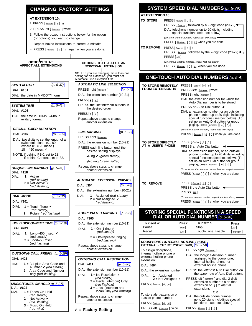<span id="page-137-2"></span><span id="page-137-1"></span><span id="page-137-0"></span>



- 2. PRESS left [ Intercom ] twice.
- 3. Follow the boxed instructions below for the option (or options) you want to change.

Repeat boxed instructions to correct a mistake.

4. PRESS [  $Feature$  ] [  $Q$  ] [  $Q$  ] again when you are done.

#### **OPTIONS THAT AFFECT ALL EXTENSIONS SYSTEM DATE** [\(p. 5-37\)](#page-80-2) DIAL **#101** DIAL the date in MMDDYY form **SYSTEM TIME** [\(p. 5-41\)](#page-84-1) DIAL **#103** DIAL the time in HHMM 24-hour military format **RECALL TIMER DURATION** DIAL **#107** [\(p. 5-35\)](#page-48-2) DIAL two digits to set the length of a switchook flash (01-80 (where  $01 = 25$  msec.)  $18 = 450$  msec.  $\sqrt{ }$ NOTE: If behind PBX, set to 18. If behind Centrex, set to 32. **UNIQUE LINE RINGING** [\(p. 5-44\)](#page-87-2) DIAL **#118**  $DIAI$  **1** = Active (red steady)  $2 = Not Active **V**$ (red flashing) **DIAL MODE** [\(p. 5-12\)](#page-55-3) DIAL **#201** DIAL  $1 =$  Touch-Tone  $\boldsymbol{v}$ (red steady)  $2 = Rotary (red' flasbing)$ **HOLD DISCONNECT TIME** [\(p. 5-19\)](#page-62-2) DIAL **#203** DIAL  $1 =$  Long–450 msec.  $\checkmark$ (red steady)  $2 =$ Short–50 msec. (red flashing) **OUTGOING CALL PREFIX** (p. [5-29\)](#page-72-2) DIAL **#402** DIAL **1** = 0/1 plus Area Code and Number  $\vee$  (red steady) **2** = Area Code and Number only (red flashing) **MUSIC/TONES ON HOLD** [\(p. 5-27\)](#page-70-3) DIAL **#602** DIAL **1** = Tones On Hold (red steady)  $2 = \text{Not Active } \checkmark$ (red flashing) **3** = Music On Hold (red wink)

#### **OPTIONS THAT AFFECT AN INDIVIDUAL EXTENSION** NOTE: If you are changing more than one **AUTOMATIC LINE SELECTION** PRESS right [*Intercom* ] [\(p. 5-7\)](#page-50-2) DIAL the extension number (10-21)  $PRESS[i_{\star}][\star]$ PRESS the line/intercom buttons in the desired order PRESS  $[\star] [\star]$ Repeat above steps to change another extension **LINE RINGING** [\(p. 5-22\)](#page-65-1) PRESS right [*Intercom* ] DIAL the extension number (10-21) PRESS each line button until the desired setting displays:  $\bullet$  Ring  $\checkmark$  (green steady) • No ring (green flutter) Repeat above steps to change another extension **AUTOMATIC EXTENSION PRIVACY** DIAL **#304** [\(p. 5-6\)](#page-49-2) DIAL the extension number (10-21) DIAL **1** = Assigned (red steady)  $2$  = Not Assigned  $\checkmark$ (red flashing) **ABBREVIATED RINGING** [\(p. 5-2\)](#page-45-2) DIAL **#305** DIAL the extension number (10-21) DIAL  $1 = 0n-1$  ring  $\vee$ (red steady) **2** = Off–repeated ringing (red flashing) Repeat above steps to change another extension **OUTGOING CALL RESTRICTION** DIAL **#401** [\(p. 5-30\)](#page-73-2) DIAL the extension number (10-21) DIAL **1** = No Restriction ✔ (red steady) **2** = Inside (intercom) Only (red flashing) **3** = Local (intercom and local) Only (red winking) Repeat above steps to change another extension ✔ **= Factory Setting**

#### **AT EXTENSION 10:**

 $PRESS$  [  $Feature$  ] [  $0$  ] [  $0$  ]

PRESS left [ <u>Intercom</u> ] twice PRESS [ Feature ] [ 0 ] [ 0 ]

|                                                                                                                      |  | <b>TO STORE</b>  | PRESS [Feature][0][0]                                                                                                              |
|----------------------------------------------------------------------------------------------------------------------|--|------------------|------------------------------------------------------------------------------------------------------------------------------------|
|                                                                                                                      |  |                  | PRESS [ $Feature$ ] followed by a 2-digit code (20-79) $\leftarrow$                                                                |
| s below for the option                                                                                               |  |                  | DIAL telephone number up to 20 digits including<br>special functions (see box below)                                               |
| nge.                                                                                                                 |  |                  | (To store another number, repeat last two steps)                                                                                   |
| correct a mistake.                                                                                                   |  |                  | PRESS $\lceil$ <i>Feature</i> $\lceil \cdot \rho \rceil \lceil \cdot \rho \rceil$ when you are done                                |
| n when you are done.                                                                                                 |  | <b>TO REMOVE</b> | $PRESS[$ [ Eeature ] $[0]$ $[0]$<br>PRESS [ Feature ] followed by the 2-digit code (20-79) ←<br>PRESS [Mic]                        |
| OPTIONS THAT AFFECT AN<br><b>INDIVIDUAL EXTENSION</b>                                                                |  |                  | (To remove another number, repeat last two steps) -<br>PRESS $[$ Feature $]$ $[$ $\varrho$ $]$ $[$ $\varrho$ $]$ when you are done |
| NOTE: If you are changing more than one<br>setting for an extension, you must set<br>Automatic Line Selection first. |  |                  | <b>ONE-TOUCH AUTO DIAL NUMBERS (p. 5-4)</b>                                                                                        |
|                                                                                                                      |  |                  |                                                                                                                                    |

| <b>TO STORE REMOTELY</b>                                                                  |                                                                                                                                                                                                                                                | PRESS $[$ <i>Feature</i> $]$ $[$ $\varrho$ $]$ $[$ $\varrho$ $]$                                                                                                                                                               |              |  |  |
|-------------------------------------------------------------------------------------------|------------------------------------------------------------------------------------------------------------------------------------------------------------------------------------------------------------------------------------------------|--------------------------------------------------------------------------------------------------------------------------------------------------------------------------------------------------------------------------------|--------------|--|--|
| <b>FROM EXTENSION 10</b>                                                                  |                                                                                                                                                                                                                                                | PRESS left [ <u>Intercom</u> ] twice                                                                                                                                                                                           |              |  |  |
|                                                                                           |                                                                                                                                                                                                                                                | PRESS right [Intercom]                                                                                                                                                                                                         |              |  |  |
|                                                                                           |                                                                                                                                                                                                                                                | DIAL the extension number for which the<br>Auto Dial number is to be stored                                                                                                                                                    |              |  |  |
|                                                                                           |                                                                                                                                                                                                                                                | PRESS an Auto Dial button $\leftarrow$                                                                                                                                                                                         |              |  |  |
|                                                                                           |                                                                                                                                                                                                                                                | DIAL an extension number, or an outside<br>phone number up to 20 digits including<br>special functions (see box below). (To<br>set up an Auto Dial button for group<br>paging, press $[$ <i>Intercom</i> $]$ $[ \pm ] [ z ]$ . |              |  |  |
|                                                                                           |                                                                                                                                                                                                                                                | (To store another number, repeat last two steps) -                                                                                                                                                                             |              |  |  |
|                                                                                           |                                                                                                                                                                                                                                                | PRESS [ Feature ] [ 0 ] [ 0 ] when you are done                                                                                                                                                                                |              |  |  |
| TO STORE DIRECTLY<br>AT A USER'S PHONE                                                    | $PRESS$ [ $Feature$ ] [ $0$ ] [ $0$ ]<br>PRESS an Auto Dial button                                                                                                                                                                             |                                                                                                                                                                                                                                |              |  |  |
|                                                                                           | DIAL an extension number, or an outside<br>phone number up to 20 digits including<br>special functions (see box below). (To<br>set up an Auto Dial button for group<br>paging, press $[$ <i>Intercom</i> $  \cdot \pm   \cdot \cdot  $         |                                                                                                                                                                                                                                |              |  |  |
|                                                                                           |                                                                                                                                                                                                                                                | (To store another number, repeat last two steps)                                                                                                                                                                               |              |  |  |
|                                                                                           |                                                                                                                                                                                                                                                | PRESS $[$ <i>Feature</i> $] [$ $\varrho] [$ $\varrho]$ when you are done                                                                                                                                                       |              |  |  |
| <b>TO REMOVE</b>                                                                          | PRESS [ Feature ] [ 0 ] [ 0 ]<br>PRESS the Auto Dial button $\triangleleft$<br>PRESS [ <u>Mic</u> ]<br>(To remove another number, repeat last two steps)<br>PRESS $[$ <i>Feature</i> $]$ $[$ $\varrho$ $]$ $[$ $\varrho$ $]$ when you are done |                                                                                                                                                                                                                                |              |  |  |
|                                                                                           |                                                                                                                                                                                                                                                |                                                                                                                                                                                                                                |              |  |  |
|                                                                                           |                                                                                                                                                                                                                                                |                                                                                                                                                                                                                                |              |  |  |
|                                                                                           |                                                                                                                                                                                                                                                | STORING SPECIAL FUNCTIONS IN A SPEED<br><b>DIAL OR AUTO DIAL NUMBER (p. 5-36)</b>                                                                                                                                              |              |  |  |
| To insert a:                                                                              | Press:                                                                                                                                                                                                                                         | To insert a:                                                                                                                                                                                                                   | Press:       |  |  |
| Pause                                                                                     | $[$ Hold $]$                                                                                                                                                                                                                                   | Stop                                                                                                                                                                                                                           | Mic          |  |  |
| Recall                                                                                    | $\lceil$ Spkr $\rceil$                                                                                                                                                                                                                         | Touch-Tone Enable                                                                                                                                                                                                              | [ Transfer ] |  |  |
| DOORPHONE / INTERNAL HOTLINE PHONE /<br><b>EXTERNAL HOTLINE PHONE (#604)</b> (p. 5-14)    |                                                                                                                                                                                                                                                |                                                                                                                                                                                                                                |              |  |  |
|                                                                                           |                                                                                                                                                                                                                                                |                                                                                                                                                                                                                                |              |  |  |
| To assign doorphone,<br>internal hotline phone or<br>external hotline phone<br>extension: |                                                                                                                                                                                                                                                | PRESS right [Intercom]<br>DIAL the 2-digit extension number<br>assigned to the doorphone,                                                                                                                                      |              |  |  |
| <b>DIAL #604</b>                                                                          |                                                                                                                                                                                                                                                | internal hotline phone, or<br>external hotline phone                                                                                                                                                                           |              |  |  |

DIAL **1** = Assigned **the upper row of Auto Dial buttons**<br>**2** = Not Assigned **V** PRESS left [ <u>Intercom</u> ] and dial 2-digit

**PRESS left [** *Intercom* ] and dial 2-digit extension number to alert that extension or  $[z]$  to alert all extensions

OR<br>To store alert extension or <br>outside phone number: ORIAL the outside phone DIAL the outside phone number up to 20 digits includings special  $PRESS [ *Feature* ] [  $0$  ]$